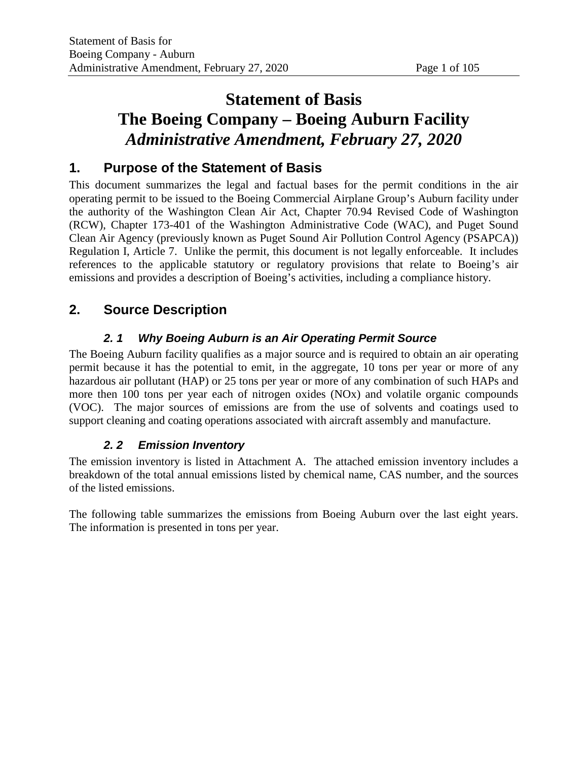# **Statement of Basis The Boeing Company – Boeing Auburn Facility** *Administrative Amendment, February 27, 2020*

# **1. Purpose of the Statement of Basis**

This document summarizes the legal and factual bases for the permit conditions in the air operating permit to be issued to the Boeing Commercial Airplane Group's Auburn facility under the authority of the Washington Clean Air Act, Chapter 70.94 Revised Code of Washington (RCW), Chapter 173-401 of the Washington Administrative Code (WAC), and Puget Sound Clean Air Agency (previously known as Puget Sound Air Pollution Control Agency (PSAPCA)) Regulation I, Article 7. Unlike the permit, this document is not legally enforceable. It includes references to the applicable statutory or regulatory provisions that relate to Boeing's air emissions and provides a description of Boeing's activities, including a compliance history.

# **2. Source Description**

# *2. 1 Why Boeing Auburn is an Air Operating Permit Source*

The Boeing Auburn facility qualifies as a major source and is required to obtain an air operating permit because it has the potential to emit, in the aggregate, 10 tons per year or more of any hazardous air pollutant (HAP) or 25 tons per year or more of any combination of such HAPs and more then 100 tons per year each of nitrogen oxides (NOx) and volatile organic compounds (VOC). The major sources of emissions are from the use of solvents and coatings used to support cleaning and coating operations associated with aircraft assembly and manufacture.

# *2. 2 Emission Inventory*

The emission inventory is listed in Attachment A. The attached emission inventory includes a breakdown of the total annual emissions listed by chemical name, CAS number, and the sources of the listed emissions.

The following table summarizes the emissions from Boeing Auburn over the last eight years. The information is presented in tons per year.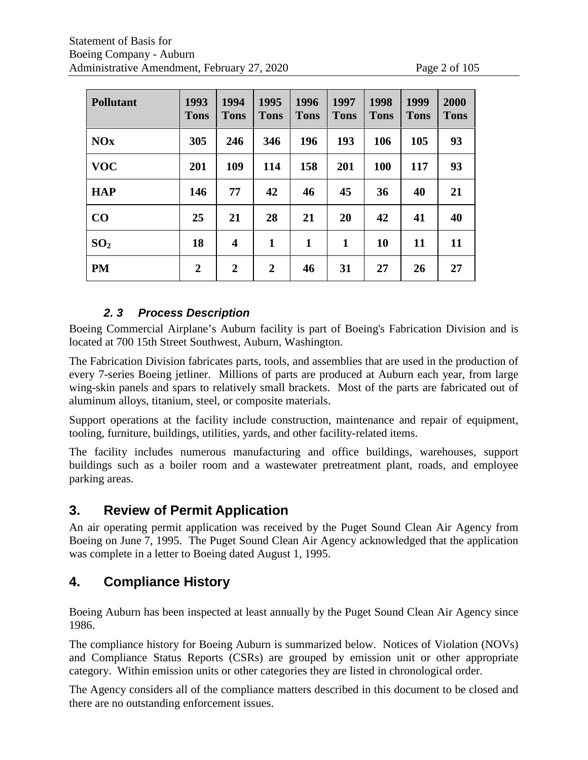|  | e 2 of 105 |
|--|------------|
|  |            |

| <b>Pollutant</b> | 1993<br><b>Tons</b> | 1994<br><b>Tons</b>     | 1995<br><b>Tons</b> | 1996<br><b>Tons</b> | 1997<br><b>Tons</b> | 1998<br><b>Tons</b> | 1999<br><b>Tons</b> | 2000<br><b>Tons</b> |
|------------------|---------------------|-------------------------|---------------------|---------------------|---------------------|---------------------|---------------------|---------------------|
| <b>NOx</b>       | 305                 | 246                     | 346                 | 196                 | 193                 | 106                 | 105                 | 93                  |
| <b>VOC</b>       | 201                 | 109                     | 114                 | 158                 | 201                 | <b>100</b>          | 117                 | 93                  |
| <b>HAP</b>       | 146                 | 77                      | 42                  | 46                  | 45                  | 36                  | 40                  | 21                  |
| $\bf CO$         | 25                  | 21                      | 28                  | 21                  | 20                  | 42                  | 41                  | 40                  |
| SO <sub>2</sub>  | 18                  | $\overline{\mathbf{4}}$ | $\mathbf{1}$        | $\mathbf{1}$        | 1                   | <b>10</b>           | 11                  | 11                  |
| <b>PM</b>        | $\overline{2}$      | $\overline{2}$          | $\mathbf{2}$        | 46                  | 31                  | 27                  | 26                  | 27                  |

# *2. 3 Process Description*

Boeing Commercial Airplane's Auburn facility is part of Boeing's Fabrication Division and is located at 700 15th Street Southwest, Auburn, Washington.

The Fabrication Division fabricates parts, tools, and assemblies that are used in the production of every 7-series Boeing jetliner. Millions of parts are produced at Auburn each year, from large wing-skin panels and spars to relatively small brackets. Most of the parts are fabricated out of aluminum alloys, titanium, steel, or composite materials.

Support operations at the facility include construction, maintenance and repair of equipment, tooling, furniture, buildings, utilities, yards, and other facility-related items.

The facility includes numerous manufacturing and office buildings, warehouses, support buildings such as a boiler room and a wastewater pretreatment plant, roads, and employee parking areas.

# **3. Review of Permit Application**

An air operating permit application was received by the Puget Sound Clean Air Agency from Boeing on June 7, 1995. The Puget Sound Clean Air Agency acknowledged that the application was complete in a letter to Boeing dated August 1, 1995.

# **4. Compliance History**

Boeing Auburn has been inspected at least annually by the Puget Sound Clean Air Agency since 1986.

The compliance history for Boeing Auburn is summarized below. Notices of Violation (NOVs) and Compliance Status Reports (CSRs) are grouped by emission unit or other appropriate category. Within emission units or other categories they are listed in chronological order.

The Agency considers all of the compliance matters described in this document to be closed and there are no outstanding enforcement issues.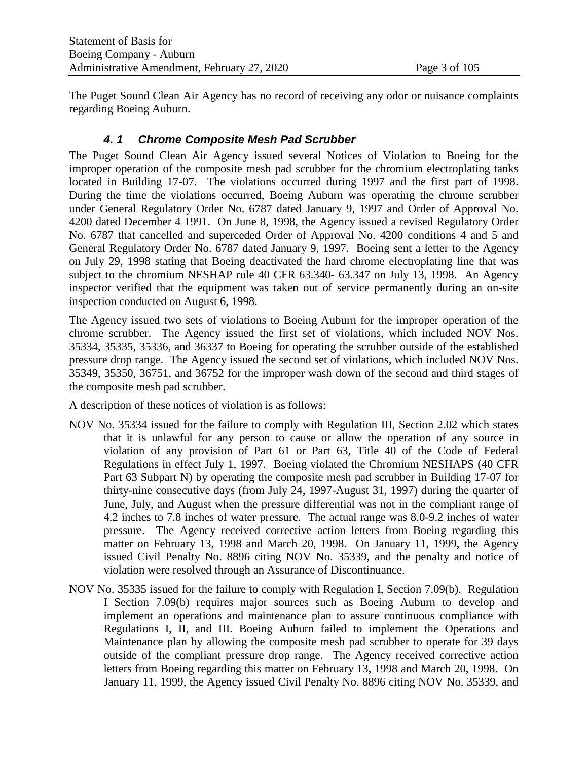The Puget Sound Clean Air Agency has no record of receiving any odor or nuisance complaints regarding Boeing Auburn.

# *4. 1 Chrome Composite Mesh Pad Scrubber*

The Puget Sound Clean Air Agency issued several Notices of Violation to Boeing for the improper operation of the composite mesh pad scrubber for the chromium electroplating tanks located in Building 17-07. The violations occurred during 1997 and the first part of 1998. During the time the violations occurred, Boeing Auburn was operating the chrome scrubber under General Regulatory Order No. 6787 dated January 9, 1997 and Order of Approval No. 4200 dated December 4 1991. On June 8, 1998, the Agency issued a revised Regulatory Order No. 6787 that cancelled and superceded Order of Approval No. 4200 conditions 4 and 5 and General Regulatory Order No. 6787 dated January 9, 1997. Boeing sent a letter to the Agency on July 29, 1998 stating that Boeing deactivated the hard chrome electroplating line that was subject to the chromium NESHAP rule 40 CFR 63.340- 63.347 on July 13, 1998. An Agency inspector verified that the equipment was taken out of service permanently during an on-site inspection conducted on August 6, 1998.

The Agency issued two sets of violations to Boeing Auburn for the improper operation of the chrome scrubber. The Agency issued the first set of violations, which included NOV Nos. 35334, 35335, 35336, and 36337 to Boeing for operating the scrubber outside of the established pressure drop range. The Agency issued the second set of violations, which included NOV Nos. 35349, 35350, 36751, and 36752 for the improper wash down of the second and third stages of the composite mesh pad scrubber.

A description of these notices of violation is as follows:

- NOV No. 35334 issued for the failure to comply with Regulation III, Section 2.02 which states that it is unlawful for any person to cause or allow the operation of any source in violation of any provision of Part 61 or Part 63, Title 40 of the Code of Federal Regulations in effect July 1, 1997. Boeing violated the Chromium NESHAPS (40 CFR Part 63 Subpart N) by operating the composite mesh pad scrubber in Building 17-07 for thirty-nine consecutive days (from July 24, 1997-August 31, 1997) during the quarter of June, July, and August when the pressure differential was not in the compliant range of 4.2 inches to 7.8 inches of water pressure. The actual range was 8.0-9.2 inches of water pressure. The Agency received corrective action letters from Boeing regarding this matter on February 13, 1998 and March 20, 1998. On January 11, 1999, the Agency issued Civil Penalty No. 8896 citing NOV No. 35339, and the penalty and notice of violation were resolved through an Assurance of Discontinuance.
- NOV No. 35335 issued for the failure to comply with Regulation I, Section 7.09(b). Regulation I Section 7.09(b) requires major sources such as Boeing Auburn to develop and implement an operations and maintenance plan to assure continuous compliance with Regulations I, II, and III. Boeing Auburn failed to implement the Operations and Maintenance plan by allowing the composite mesh pad scrubber to operate for 39 days outside of the compliant pressure drop range. The Agency received corrective action letters from Boeing regarding this matter on February 13, 1998 and March 20, 1998. On January 11, 1999, the Agency issued Civil Penalty No. 8896 citing NOV No. 35339, and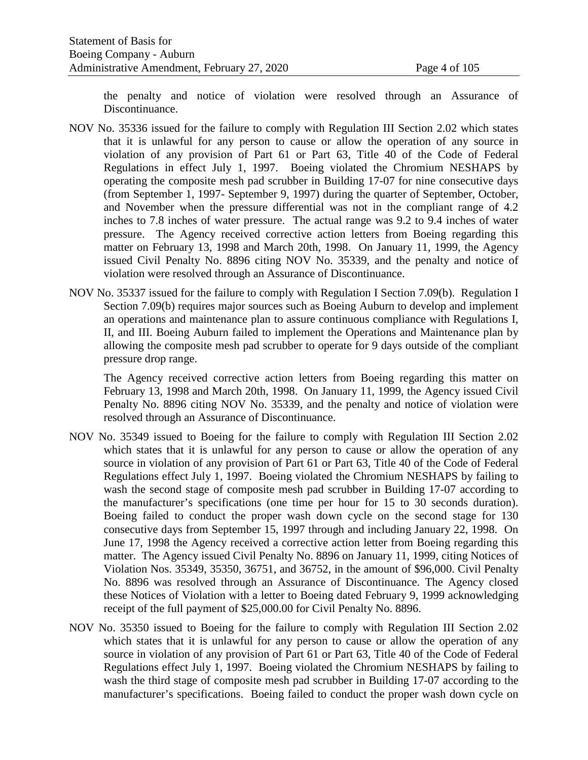the penalty and notice of violation were resolved through an Assurance of Discontinuance.

- NOV No. 35336 issued for the failure to comply with Regulation III Section 2.02 which states that it is unlawful for any person to cause or allow the operation of any source in violation of any provision of Part 61 or Part 63, Title 40 of the Code of Federal Regulations in effect July 1, 1997. Boeing violated the Chromium NESHAPS by operating the composite mesh pad scrubber in Building 17-07 for nine consecutive days (from September 1, 1997- September 9, 1997) during the quarter of September, October, and November when the pressure differential was not in the compliant range of 4.2 inches to 7.8 inches of water pressure. The actual range was 9.2 to 9.4 inches of water pressure. The Agency received corrective action letters from Boeing regarding this matter on February 13, 1998 and March 20th, 1998. On January 11, 1999, the Agency issued Civil Penalty No. 8896 citing NOV No. 35339, and the penalty and notice of violation were resolved through an Assurance of Discontinuance.
- NOV No. 35337 issued for the failure to comply with Regulation I Section 7.09(b). Regulation I Section 7.09(b) requires major sources such as Boeing Auburn to develop and implement an operations and maintenance plan to assure continuous compliance with Regulations I, II, and III. Boeing Auburn failed to implement the Operations and Maintenance plan by allowing the composite mesh pad scrubber to operate for 9 days outside of the compliant pressure drop range.

The Agency received corrective action letters from Boeing regarding this matter on February 13, 1998 and March 20th, 1998. On January 11, 1999, the Agency issued Civil Penalty No. 8896 citing NOV No. 35339, and the penalty and notice of violation were resolved through an Assurance of Discontinuance.

- NOV No. 35349 issued to Boeing for the failure to comply with Regulation III Section 2.02 which states that it is unlawful for any person to cause or allow the operation of any source in violation of any provision of Part 61 or Part 63, Title 40 of the Code of Federal Regulations effect July 1, 1997. Boeing violated the Chromium NESHAPS by failing to wash the second stage of composite mesh pad scrubber in Building 17-07 according to the manufacturer's specifications (one time per hour for 15 to 30 seconds duration). Boeing failed to conduct the proper wash down cycle on the second stage for 130 consecutive days from September 15, 1997 through and including January 22, 1998. On June 17, 1998 the Agency received a corrective action letter from Boeing regarding this matter. The Agency issued Civil Penalty No. 8896 on January 11, 1999, citing Notices of Violation Nos. 35349, 35350, 36751, and 36752, in the amount of \$96,000. Civil Penalty No. 8896 was resolved through an Assurance of Discontinuance. The Agency closed these Notices of Violation with a letter to Boeing dated February 9, 1999 acknowledging receipt of the full payment of \$25,000.00 for Civil Penalty No. 8896.
- NOV No. 35350 issued to Boeing for the failure to comply with Regulation III Section 2.02 which states that it is unlawful for any person to cause or allow the operation of any source in violation of any provision of Part 61 or Part 63, Title 40 of the Code of Federal Regulations effect July 1, 1997. Boeing violated the Chromium NESHAPS by failing to wash the third stage of composite mesh pad scrubber in Building 17-07 according to the manufacturer's specifications. Boeing failed to conduct the proper wash down cycle on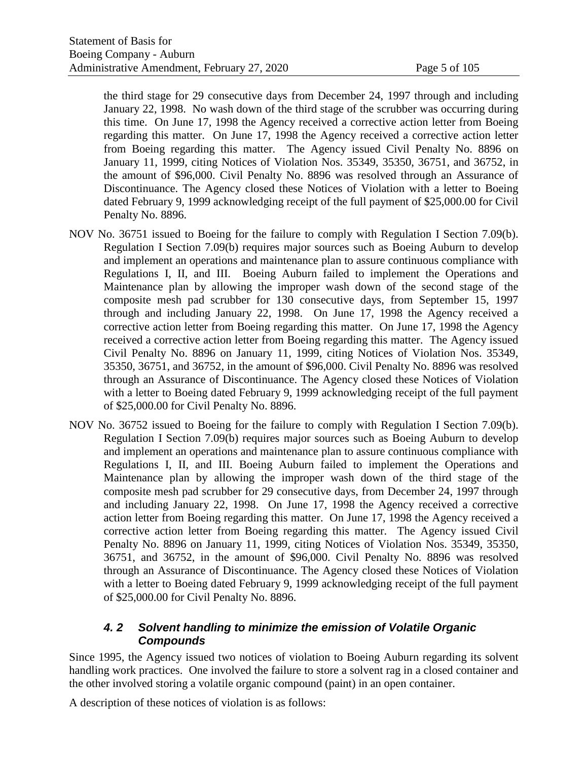the third stage for 29 consecutive days from December 24, 1997 through and including January 22, 1998. No wash down of the third stage of the scrubber was occurring during this time. On June 17, 1998 the Agency received a corrective action letter from Boeing regarding this matter. On June 17, 1998 the Agency received a corrective action letter from Boeing regarding this matter. The Agency issued Civil Penalty No. 8896 on January 11, 1999, citing Notices of Violation Nos. 35349, 35350, 36751, and 36752, in the amount of \$96,000. Civil Penalty No. 8896 was resolved through an Assurance of Discontinuance. The Agency closed these Notices of Violation with a letter to Boeing dated February 9, 1999 acknowledging receipt of the full payment of \$25,000.00 for Civil Penalty No. 8896.

- NOV No. 36751 issued to Boeing for the failure to comply with Regulation I Section 7.09(b). Regulation I Section 7.09(b) requires major sources such as Boeing Auburn to develop and implement an operations and maintenance plan to assure continuous compliance with Regulations I, II, and III. Boeing Auburn failed to implement the Operations and Maintenance plan by allowing the improper wash down of the second stage of the composite mesh pad scrubber for 130 consecutive days, from September 15, 1997 through and including January 22, 1998. On June 17, 1998 the Agency received a corrective action letter from Boeing regarding this matter. On June 17, 1998 the Agency received a corrective action letter from Boeing regarding this matter. The Agency issued Civil Penalty No. 8896 on January 11, 1999, citing Notices of Violation Nos. 35349, 35350, 36751, and 36752, in the amount of \$96,000. Civil Penalty No. 8896 was resolved through an Assurance of Discontinuance. The Agency closed these Notices of Violation with a letter to Boeing dated February 9, 1999 acknowledging receipt of the full payment of \$25,000.00 for Civil Penalty No. 8896.
- NOV No. 36752 issued to Boeing for the failure to comply with Regulation I Section 7.09(b). Regulation I Section 7.09(b) requires major sources such as Boeing Auburn to develop and implement an operations and maintenance plan to assure continuous compliance with Regulations I, II, and III. Boeing Auburn failed to implement the Operations and Maintenance plan by allowing the improper wash down of the third stage of the composite mesh pad scrubber for 29 consecutive days, from December 24, 1997 through and including January 22, 1998. On June 17, 1998 the Agency received a corrective action letter from Boeing regarding this matter. On June 17, 1998 the Agency received a corrective action letter from Boeing regarding this matter. The Agency issued Civil Penalty No. 8896 on January 11, 1999, citing Notices of Violation Nos. 35349, 35350, 36751, and 36752, in the amount of \$96,000. Civil Penalty No. 8896 was resolved through an Assurance of Discontinuance. The Agency closed these Notices of Violation with a letter to Boeing dated February 9, 1999 acknowledging receipt of the full payment of \$25,000.00 for Civil Penalty No. 8896.

#### *4. 2 Solvent handling to minimize the emission of Volatile Organic Compounds*

Since 1995, the Agency issued two notices of violation to Boeing Auburn regarding its solvent handling work practices. One involved the failure to store a solvent rag in a closed container and the other involved storing a volatile organic compound (paint) in an open container.

A description of these notices of violation is as follows: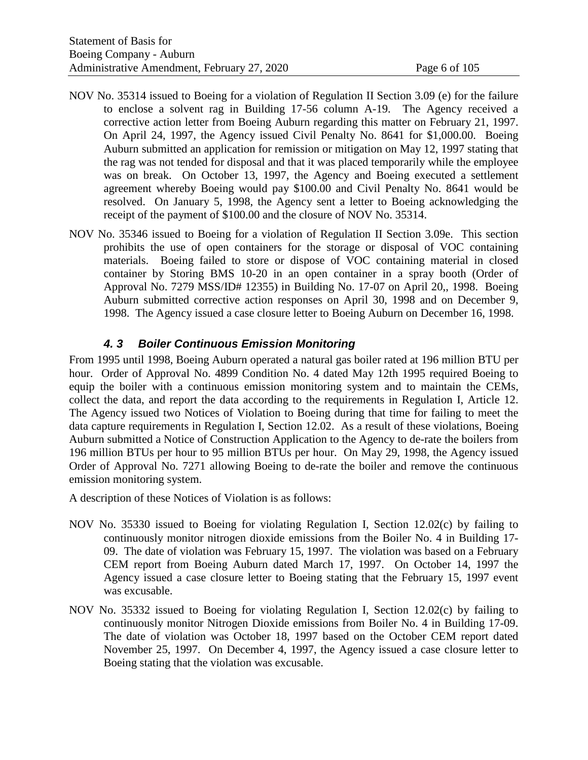- NOV No. 35314 issued to Boeing for a violation of Regulation II Section 3.09 (e) for the failure to enclose a solvent rag in Building 17-56 column A-19. The Agency received a corrective action letter from Boeing Auburn regarding this matter on February 21, 1997. On April 24, 1997, the Agency issued Civil Penalty No. 8641 for \$1,000.00. Boeing Auburn submitted an application for remission or mitigation on May 12, 1997 stating that the rag was not tended for disposal and that it was placed temporarily while the employee was on break. On October 13, 1997, the Agency and Boeing executed a settlement agreement whereby Boeing would pay \$100.00 and Civil Penalty No. 8641 would be resolved. On January 5, 1998, the Agency sent a letter to Boeing acknowledging the receipt of the payment of \$100.00 and the closure of NOV No. 35314.
- NOV No. 35346 issued to Boeing for a violation of Regulation II Section 3.09e. This section prohibits the use of open containers for the storage or disposal of VOC containing materials. Boeing failed to store or dispose of VOC containing material in closed container by Storing BMS 10-20 in an open container in a spray booth (Order of Approval No. 7279 MSS/ID# 12355) in Building No. 17-07 on April 20,, 1998. Boeing Auburn submitted corrective action responses on April 30, 1998 and on December 9, 1998. The Agency issued a case closure letter to Boeing Auburn on December 16, 1998.

#### *4. 3 Boiler Continuous Emission Monitoring*

From 1995 until 1998, Boeing Auburn operated a natural gas boiler rated at 196 million BTU per hour. Order of Approval No. 4899 Condition No. 4 dated May 12th 1995 required Boeing to equip the boiler with a continuous emission monitoring system and to maintain the CEMs, collect the data, and report the data according to the requirements in Regulation I, Article 12. The Agency issued two Notices of Violation to Boeing during that time for failing to meet the data capture requirements in Regulation I, Section 12.02. As a result of these violations, Boeing Auburn submitted a Notice of Construction Application to the Agency to de-rate the boilers from 196 million BTUs per hour to 95 million BTUs per hour. On May 29, 1998, the Agency issued Order of Approval No. 7271 allowing Boeing to de-rate the boiler and remove the continuous emission monitoring system.

A description of these Notices of Violation is as follows:

- NOV No. 35330 issued to Boeing for violating Regulation I, Section 12.02(c) by failing to continuously monitor nitrogen dioxide emissions from the Boiler No. 4 in Building 17- 09. The date of violation was February 15, 1997. The violation was based on a February CEM report from Boeing Auburn dated March 17, 1997. On October 14, 1997 the Agency issued a case closure letter to Boeing stating that the February 15, 1997 event was excusable.
- NOV No. 35332 issued to Boeing for violating Regulation I, Section 12.02(c) by failing to continuously monitor Nitrogen Dioxide emissions from Boiler No. 4 in Building 17-09. The date of violation was October 18, 1997 based on the October CEM report dated November 25, 1997. On December 4, 1997, the Agency issued a case closure letter to Boeing stating that the violation was excusable.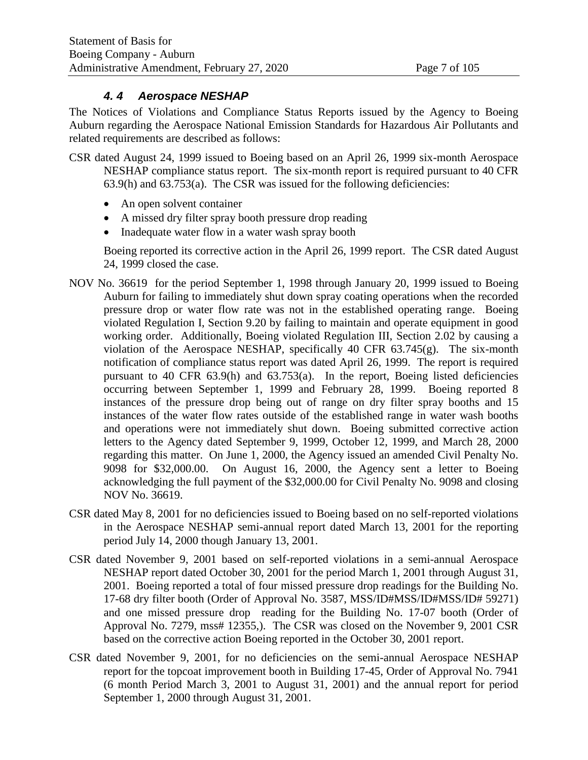#### *4. 4 Aerospace NESHAP*

The Notices of Violations and Compliance Status Reports issued by the Agency to Boeing Auburn regarding the Aerospace National Emission Standards for Hazardous Air Pollutants and related requirements are described as follows:

- CSR dated August 24, 1999 issued to Boeing based on an April 26, 1999 six-month Aerospace NESHAP compliance status report. The six-month report is required pursuant to 40 CFR 63.9(h) and 63.753(a). The CSR was issued for the following deficiencies:
	- An open solvent container
	- A missed dry filter spray booth pressure drop reading
	- Inadequate water flow in a water wash spray booth

Boeing reported its corrective action in the April 26, 1999 report. The CSR dated August 24, 1999 closed the case.

- NOV No. 36619 for the period September 1, 1998 through January 20, 1999 issued to Boeing Auburn for failing to immediately shut down spray coating operations when the recorded pressure drop or water flow rate was not in the established operating range. Boeing violated Regulation I, Section 9.20 by failing to maintain and operate equipment in good working order. Additionally, Boeing violated Regulation III, Section 2.02 by causing a violation of the Aerospace NESHAP, specifically 40 CFR  $63.745(g)$ . The six-month notification of compliance status report was dated April 26, 1999. The report is required pursuant to 40 CFR  $63.9(h)$  and  $63.753(a)$ . In the report, Boeing listed deficiencies occurring between September 1, 1999 and February 28, 1999. Boeing reported 8 instances of the pressure drop being out of range on dry filter spray booths and 15 instances of the water flow rates outside of the established range in water wash booths and operations were not immediately shut down. Boeing submitted corrective action letters to the Agency dated September 9, 1999, October 12, 1999, and March 28, 2000 regarding this matter. On June 1, 2000, the Agency issued an amended Civil Penalty No. 9098 for \$32,000.00. On August 16, 2000, the Agency sent a letter to Boeing acknowledging the full payment of the \$32,000.00 for Civil Penalty No. 9098 and closing NOV No. 36619.
- CSR dated May 8, 2001 for no deficiencies issued to Boeing based on no self-reported violations in the Aerospace NESHAP semi-annual report dated March 13, 2001 for the reporting period July 14, 2000 though January 13, 2001.
- CSR dated November 9, 2001 based on self-reported violations in a semi-annual Aerospace NESHAP report dated October 30, 2001 for the period March 1, 2001 through August 31, 2001. Boeing reported a total of four missed pressure drop readings for the Building No. 17-68 dry filter booth (Order of Approval No. 3587, MSS/ID#MSS/ID#MSS/ID# 59271) and one missed pressure drop reading for the Building No. 17-07 booth (Order of Approval No. 7279, mss# 12355,). The CSR was closed on the November 9, 2001 CSR based on the corrective action Boeing reported in the October 30, 2001 report.
- CSR dated November 9, 2001, for no deficiencies on the semi-annual Aerospace NESHAP report for the topcoat improvement booth in Building 17-45, Order of Approval No. 7941 (6 month Period March 3, 2001 to August 31, 2001) and the annual report for period September 1, 2000 through August 31, 2001.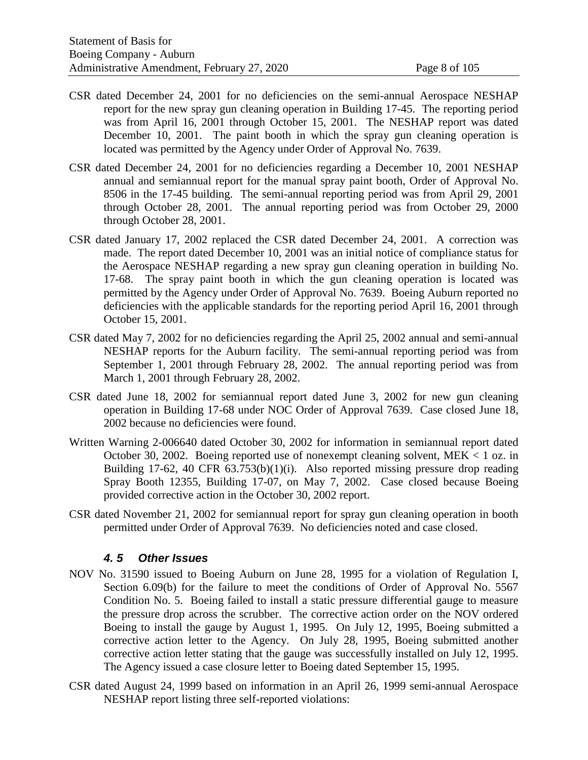- CSR dated December 24, 2001 for no deficiencies on the semi-annual Aerospace NESHAP report for the new spray gun cleaning operation in Building 17-45. The reporting period was from April 16, 2001 through October 15, 2001. The NESHAP report was dated December 10, 2001. The paint booth in which the spray gun cleaning operation is located was permitted by the Agency under Order of Approval No. 7639.
- CSR dated December 24, 2001 for no deficiencies regarding a December 10, 2001 NESHAP annual and semiannual report for the manual spray paint booth, Order of Approval No. 8506 in the 17-45 building. The semi-annual reporting period was from April 29, 2001 through October 28, 2001. The annual reporting period was from October 29, 2000 through October 28, 2001.
- CSR dated January 17, 2002 replaced the CSR dated December 24, 2001. A correction was made. The report dated December 10, 2001 was an initial notice of compliance status for the Aerospace NESHAP regarding a new spray gun cleaning operation in building No. 17-68. The spray paint booth in which the gun cleaning operation is located was permitted by the Agency under Order of Approval No. 7639. Boeing Auburn reported no deficiencies with the applicable standards for the reporting period April 16, 2001 through October 15, 2001.
- CSR dated May 7, 2002 for no deficiencies regarding the April 25, 2002 annual and semi-annual NESHAP reports for the Auburn facility. The semi-annual reporting period was from September 1, 2001 through February 28, 2002. The annual reporting period was from March 1, 2001 through February 28, 2002.
- CSR dated June 18, 2002 for semiannual report dated June 3, 2002 for new gun cleaning operation in Building 17-68 under NOC Order of Approval 7639. Case closed June 18, 2002 because no deficiencies were found.
- Written Warning 2-006640 dated October 30, 2002 for information in semiannual report dated October 30, 2002. Boeing reported use of nonexempt cleaning solvent,  $MEK < 1$  oz. in Building 17-62, 40 CFR  $63.753(b)(1)(i)$ . Also reported missing pressure drop reading Spray Booth 12355, Building 17-07, on May 7, 2002. Case closed because Boeing provided corrective action in the October 30, 2002 report.
- CSR dated November 21, 2002 for semiannual report for spray gun cleaning operation in booth permitted under Order of Approval 7639. No deficiencies noted and case closed.

#### *4. 5 Other Issues*

- NOV No. 31590 issued to Boeing Auburn on June 28, 1995 for a violation of Regulation I, Section 6.09(b) for the failure to meet the conditions of Order of Approval No. 5567 Condition No. 5. Boeing failed to install a static pressure differential gauge to measure the pressure drop across the scrubber. The corrective action order on the NOV ordered Boeing to install the gauge by August 1, 1995. On July 12, 1995, Boeing submitted a corrective action letter to the Agency. On July 28, 1995, Boeing submitted another corrective action letter stating that the gauge was successfully installed on July 12, 1995. The Agency issued a case closure letter to Boeing dated September 15, 1995.
- CSR dated August 24, 1999 based on information in an April 26, 1999 semi-annual Aerospace NESHAP report listing three self-reported violations: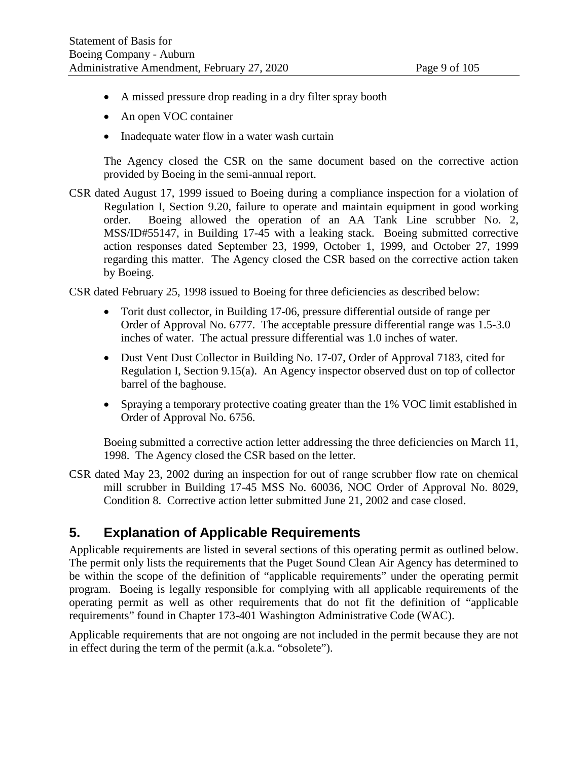- A missed pressure drop reading in a dry filter spray booth
- An open VOC container
- Inadequate water flow in a water wash curtain

The Agency closed the CSR on the same document based on the corrective action provided by Boeing in the semi-annual report.

CSR dated August 17, 1999 issued to Boeing during a compliance inspection for a violation of Regulation I, Section 9.20, failure to operate and maintain equipment in good working order. Boeing allowed the operation of an AA Tank Line scrubber No. 2, MSS/ID#55147, in Building 17-45 with a leaking stack. Boeing submitted corrective action responses dated September 23, 1999, October 1, 1999, and October 27, 1999 regarding this matter. The Agency closed the CSR based on the corrective action taken by Boeing.

CSR dated February 25, 1998 issued to Boeing for three deficiencies as described below:

- Torit dust collector, in Building 17-06, pressure differential outside of range per Order of Approval No. 6777. The acceptable pressure differential range was 1.5-3.0 inches of water. The actual pressure differential was 1.0 inches of water.
- Dust Vent Dust Collector in Building No. 17-07, Order of Approval 7183, cited for Regulation I, Section 9.15(a). An Agency inspector observed dust on top of collector barrel of the baghouse.
- Spraying a temporary protective coating greater than the 1% VOC limit established in Order of Approval No. 6756.

Boeing submitted a corrective action letter addressing the three deficiencies on March 11, 1998. The Agency closed the CSR based on the letter.

CSR dated May 23, 2002 during an inspection for out of range scrubber flow rate on chemical mill scrubber in Building 17-45 MSS No. 60036, NOC Order of Approval No. 8029, Condition 8. Corrective action letter submitted June 21, 2002 and case closed.

# **5. Explanation of Applicable Requirements**

Applicable requirements are listed in several sections of this operating permit as outlined below. The permit only lists the requirements that the Puget Sound Clean Air Agency has determined to be within the scope of the definition of "applicable requirements" under the operating permit program. Boeing is legally responsible for complying with all applicable requirements of the operating permit as well as other requirements that do not fit the definition of "applicable requirements" found in Chapter 173-401 Washington Administrative Code (WAC).

Applicable requirements that are not ongoing are not included in the permit because they are not in effect during the term of the permit (a.k.a. "obsolete").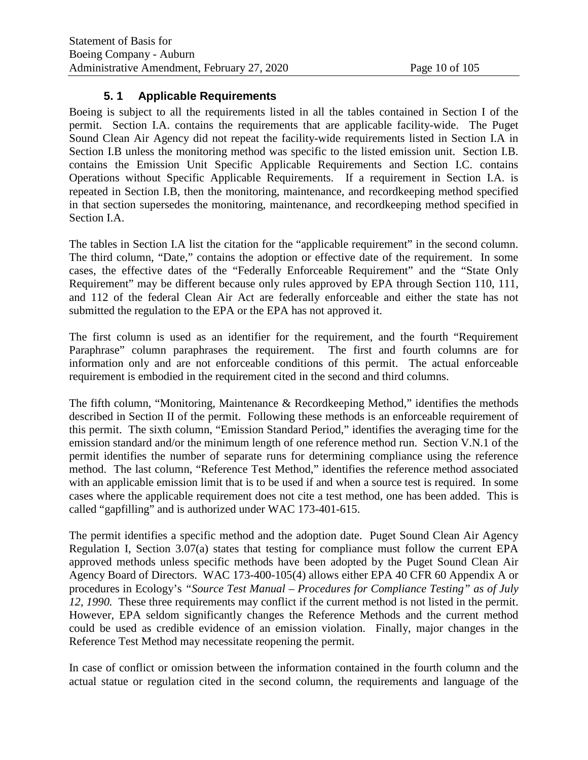#### **5. 1 Applicable Requirements**

Boeing is subject to all the requirements listed in all the tables contained in Section I of the permit. Section I.A. contains the requirements that are applicable facility-wide. The Puget Sound Clean Air Agency did not repeat the facility-wide requirements listed in Section I.A in Section I.B unless the monitoring method was specific to the listed emission unit. Section I.B. contains the Emission Unit Specific Applicable Requirements and Section I.C. contains Operations without Specific Applicable Requirements. If a requirement in Section I.A. is repeated in Section I.B, then the monitoring, maintenance, and recordkeeping method specified in that section supersedes the monitoring, maintenance, and recordkeeping method specified in Section I.A.

The tables in Section I.A list the citation for the "applicable requirement" in the second column. The third column, "Date," contains the adoption or effective date of the requirement. In some cases, the effective dates of the "Federally Enforceable Requirement" and the "State Only Requirement" may be different because only rules approved by EPA through Section 110, 111, and 112 of the federal Clean Air Act are federally enforceable and either the state has not submitted the regulation to the EPA or the EPA has not approved it.

The first column is used as an identifier for the requirement, and the fourth "Requirement Paraphrase" column paraphrases the requirement. The first and fourth columns are for information only and are not enforceable conditions of this permit. The actual enforceable requirement is embodied in the requirement cited in the second and third columns.

The fifth column, "Monitoring, Maintenance & Recordkeeping Method," identifies the methods described in Section II of the permit. Following these methods is an enforceable requirement of this permit. The sixth column, "Emission Standard Period," identifies the averaging time for the emission standard and/or the minimum length of one reference method run. Section V.N.1 of the permit identifies the number of separate runs for determining compliance using the reference method. The last column, "Reference Test Method," identifies the reference method associated with an applicable emission limit that is to be used if and when a source test is required. In some cases where the applicable requirement does not cite a test method, one has been added. This is called "gapfilling" and is authorized under WAC 173-401-615.

The permit identifies a specific method and the adoption date. Puget Sound Clean Air Agency Regulation I, Section 3.07(a) states that testing for compliance must follow the current EPA approved methods unless specific methods have been adopted by the Puget Sound Clean Air Agency Board of Directors. WAC 173-400-105(4) allows either EPA 40 CFR 60 Appendix A or procedures in Ecology's *"Source Test Manual – Procedures for Compliance Testing" as of July 12, 1990.* These three requirements may conflict if the current method is not listed in the permit. However, EPA seldom significantly changes the Reference Methods and the current method could be used as credible evidence of an emission violation. Finally, major changes in the Reference Test Method may necessitate reopening the permit.

In case of conflict or omission between the information contained in the fourth column and the actual statue or regulation cited in the second column, the requirements and language of the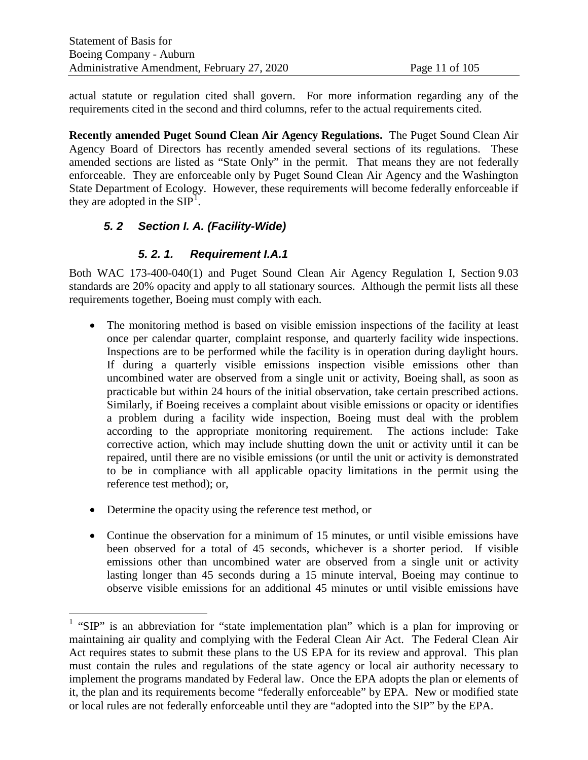actual statute or regulation cited shall govern. For more information regarding any of the requirements cited in the second and third columns, refer to the actual requirements cited.

**Recently amended Puget Sound Clean Air Agency Regulations.** The Puget Sound Clean Air Agency Board of Directors has recently amended several sections of its regulations. These amended sections are listed as "State Only" in the permit. That means they are not federally enforceable. They are enforceable only by Puget Sound Clean Air Agency and the Washington State Department of Ecology. However, these requirements will become federally enforceable if they are adopted in the  $SIP<sup>1</sup>$  $SIP<sup>1</sup>$  $SIP<sup>1</sup>$ .

# *5. 2 Section I. A. (Facility-Wide)*

#### *5. 2. 1. Requirement I.A.1*

Both WAC 173-400-040(1) and Puget Sound Clean Air Agency Regulation I, Section 9.03 standards are 20% opacity and apply to all stationary sources. Although the permit lists all these requirements together, Boeing must comply with each.

- The monitoring method is based on visible emission inspections of the facility at least once per calendar quarter, complaint response, and quarterly facility wide inspections. Inspections are to be performed while the facility is in operation during daylight hours. If during a quarterly visible emissions inspection visible emissions other than uncombined water are observed from a single unit or activity, Boeing shall, as soon as practicable but within 24 hours of the initial observation, take certain prescribed actions. Similarly, if Boeing receives a complaint about visible emissions or opacity or identifies a problem during a facility wide inspection, Boeing must deal with the problem according to the appropriate monitoring requirement. The actions include: Take corrective action, which may include shutting down the unit or activity until it can be repaired, until there are no visible emissions (or until the unit or activity is demonstrated to be in compliance with all applicable opacity limitations in the permit using the reference test method); or,
- Determine the opacity using the reference test method, or
- Continue the observation for a minimum of 15 minutes, or until visible emissions have been observed for a total of 45 seconds, whichever is a shorter period. If visible emissions other than uncombined water are observed from a single unit or activity lasting longer than 45 seconds during a 15 minute interval, Boeing may continue to observe visible emissions for an additional 45 minutes or until visible emissions have

<span id="page-10-0"></span><sup>&</sup>lt;sup>1</sup> "SIP" is an abbreviation for "state implementation plan" which is a plan for improving or maintaining air quality and complying with the Federal Clean Air Act. The Federal Clean Air Act requires states to submit these plans to the US EPA for its review and approval. This plan must contain the rules and regulations of the state agency or local air authority necessary to implement the programs mandated by Federal law. Once the EPA adopts the plan or elements of it, the plan and its requirements become "federally enforceable" by EPA. New or modified state or local rules are not federally enforceable until they are "adopted into the SIP" by the EPA.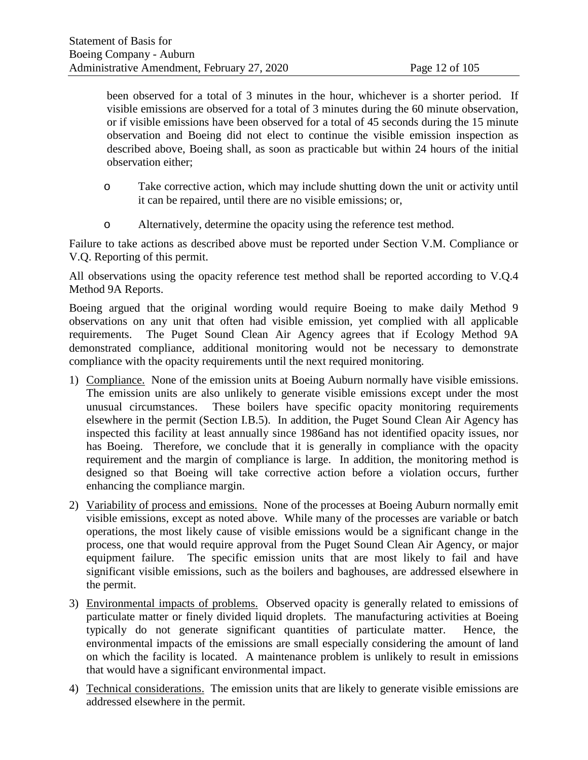been observed for a total of 3 minutes in the hour, whichever is a shorter period. If visible emissions are observed for a total of 3 minutes during the 60 minute observation, or if visible emissions have been observed for a total of 45 seconds during the 15 minute observation and Boeing did not elect to continue the visible emission inspection as described above, Boeing shall, as soon as practicable but within 24 hours of the initial observation either;

- o Take corrective action, which may include shutting down the unit or activity until it can be repaired, until there are no visible emissions; or,
- o Alternatively, determine the opacity using the reference test method.

Failure to take actions as described above must be reported under Section V.M. Compliance or V.Q. Reporting of this permit.

All observations using the opacity reference test method shall be reported according to V.Q.4 Method 9A Reports.

Boeing argued that the original wording would require Boeing to make daily Method 9 observations on any unit that often had visible emission, yet complied with all applicable requirements. The Puget Sound Clean Air Agency agrees that if Ecology Method 9A demonstrated compliance, additional monitoring would not be necessary to demonstrate compliance with the opacity requirements until the next required monitoring.

- 1) Compliance. None of the emission units at Boeing Auburn normally have visible emissions. The emission units are also unlikely to generate visible emissions except under the most unusual circumstances. These boilers have specific opacity monitoring requirements elsewhere in the permit (Section I.B.5). In addition, the Puget Sound Clean Air Agency has inspected this facility at least annually since 1986and has not identified opacity issues, nor has Boeing. Therefore, we conclude that it is generally in compliance with the opacity requirement and the margin of compliance is large. In addition, the monitoring method is designed so that Boeing will take corrective action before a violation occurs, further enhancing the compliance margin.
- 2) Variability of process and emissions. None of the processes at Boeing Auburn normally emit visible emissions, except as noted above. While many of the processes are variable or batch operations, the most likely cause of visible emissions would be a significant change in the process, one that would require approval from the Puget Sound Clean Air Agency, or major equipment failure. The specific emission units that are most likely to fail and have significant visible emissions, such as the boilers and baghouses, are addressed elsewhere in the permit.
- 3) Environmental impacts of problems. Observed opacity is generally related to emissions of particulate matter or finely divided liquid droplets. The manufacturing activities at Boeing typically do not generate significant quantities of particulate matter. Hence, the environmental impacts of the emissions are small especially considering the amount of land on which the facility is located. A maintenance problem is unlikely to result in emissions that would have a significant environmental impact.
- 4) Technical considerations. The emission units that are likely to generate visible emissions are addressed elsewhere in the permit.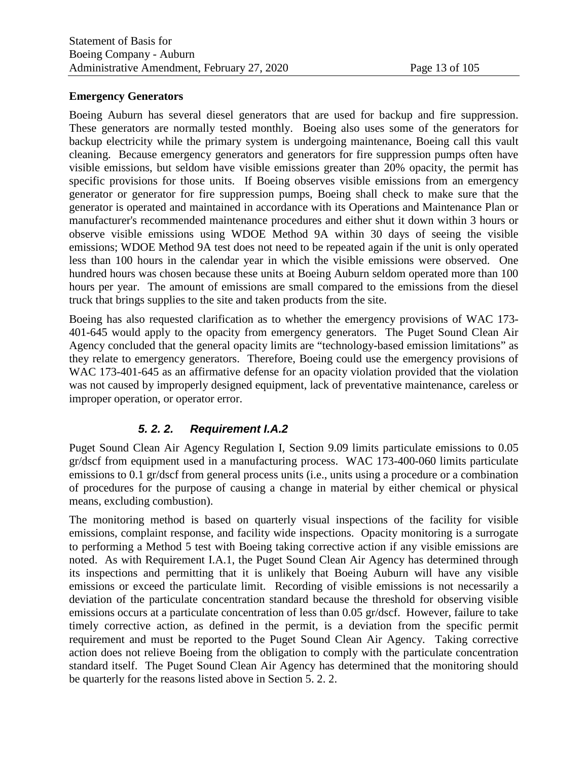#### **Emergency Generators**

Boeing Auburn has several diesel generators that are used for backup and fire suppression. These generators are normally tested monthly. Boeing also uses some of the generators for backup electricity while the primary system is undergoing maintenance, Boeing call this vault cleaning. Because emergency generators and generators for fire suppression pumps often have visible emissions, but seldom have visible emissions greater than 20% opacity, the permit has specific provisions for those units. If Boeing observes visible emissions from an emergency generator or generator for fire suppression pumps, Boeing shall check to make sure that the generator is operated and maintained in accordance with its Operations and Maintenance Plan or manufacturer's recommended maintenance procedures and either shut it down within 3 hours or observe visible emissions using WDOE Method 9A within 30 days of seeing the visible emissions; WDOE Method 9A test does not need to be repeated again if the unit is only operated less than 100 hours in the calendar year in which the visible emissions were observed. One hundred hours was chosen because these units at Boeing Auburn seldom operated more than 100 hours per year. The amount of emissions are small compared to the emissions from the diesel truck that brings supplies to the site and taken products from the site.

Boeing has also requested clarification as to whether the emergency provisions of WAC 173- 401-645 would apply to the opacity from emergency generators. The Puget Sound Clean Air Agency concluded that the general opacity limits are "technology-based emission limitations" as they relate to emergency generators. Therefore, Boeing could use the emergency provisions of WAC 173-401-645 as an affirmative defense for an opacity violation provided that the violation was not caused by improperly designed equipment, lack of preventative maintenance, careless or improper operation, or operator error.

# *5. 2. 2. Requirement I.A.2*

<span id="page-12-0"></span>Puget Sound Clean Air Agency Regulation I, Section 9.09 limits particulate emissions to 0.05 gr/dscf from equipment used in a manufacturing process. WAC 173-400-060 limits particulate emissions to 0.1 gr/dscf from general process units (i.e., units using a procedure or a combination of procedures for the purpose of causing a change in material by either chemical or physical means, excluding combustion).

The monitoring method is based on quarterly visual inspections of the facility for visible emissions, complaint response, and facility wide inspections. Opacity monitoring is a surrogate to performing a Method 5 test with Boeing taking corrective action if any visible emissions are noted. As with Requirement I.A.1, the Puget Sound Clean Air Agency has determined through its inspections and permitting that it is unlikely that Boeing Auburn will have any visible emissions or exceed the particulate limit. Recording of visible emissions is not necessarily a deviation of the particulate concentration standard because the threshold for observing visible emissions occurs at a particulate concentration of less than 0.05 gr/dscf. However, failure to take timely corrective action, as defined in the permit, is a deviation from the specific permit requirement and must be reported to the Puget Sound Clean Air Agency. Taking corrective action does not relieve Boeing from the obligation to comply with the particulate concentration standard itself. The Puget Sound Clean Air Agency has determined that the monitoring should be quarterly for the reasons listed above in Section [5. 2. 2.](#page-12-0)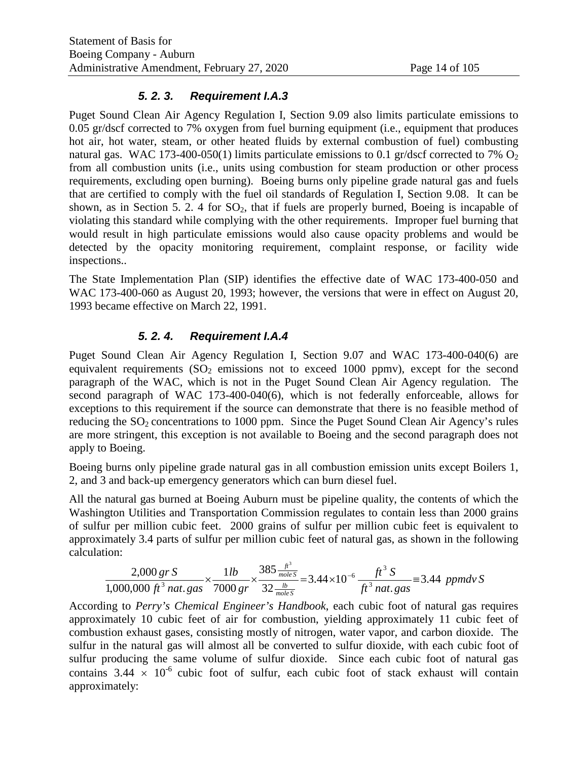#### *5. 2. 3. Requirement I.A.3*

Puget Sound Clean Air Agency Regulation I, Section 9.09 also limits particulate emissions to 0.05 gr/dscf corrected to 7% oxygen from fuel burning equipment (i.e., equipment that produces hot air, hot water, steam, or other heated fluids by external combustion of fuel) combusting natural gas. WAC 173-400-050(1) limits particulate emissions to 0.1 gr/dscf corrected to 7%  $O_2$ from all combustion units (i.e., units using combustion for steam production or other process requirements, excluding open burning). Boeing burns only pipeline grade natural gas and fuels that are certified to comply with the fuel oil standards of Regulation I, Section 9.08. It can be shown, as in Section [5. 2. 4](#page-13-0) for  $SO_2$ , that if fuels are properly burned, Boeing is incapable of violating this standard while complying with the other requirements. Improper fuel burning that would result in high particulate emissions would also cause opacity problems and would be detected by the opacity monitoring requirement, complaint response, or facility wide inspections..

The State Implementation Plan (SIP) identifies the effective date of WAC 173-400-050 and WAC 173-400-060 as August 20, 1993; however, the versions that were in effect on August 20, 1993 became effective on March 22, 1991.

#### *5. 2. 4. Requirement I.A.4*

<span id="page-13-0"></span>Puget Sound Clean Air Agency Regulation I, Section 9.07 and WAC 173-400-040(6) are equivalent requirements  $(SO<sub>2</sub>$  emissions not to exceed 1000 ppmv), except for the second paragraph of the WAC, which is not in the Puget Sound Clean Air Agency regulation. The second paragraph of WAC 173-400-040(6), which is not federally enforceable, allows for exceptions to this requirement if the source can demonstrate that there is no feasible method of reducing the  $SO_2$  concentrations to 1000 ppm. Since the Puget Sound Clean Air Agency's rules are more stringent, this exception is not available to Boeing and the second paragraph does not apply to Boeing.

Boeing burns only pipeline grade natural gas in all combustion emission units except Boilers 1, 2, and 3 and back-up emergency generators which can burn diesel fuel.

All the natural gas burned at Boeing Auburn must be pipeline quality, the contents of which the Washington Utilities and Transportation Commission regulates to contain less than 2000 grains of sulfur per million cubic feet. 2000 grains of sulfur per million cubic feet is equivalent to approximately 3.4 parts of sulfur per million cubic feet of natural gas, as shown in the following calculation:

$$
\frac{2,000 \text{ gr S}}{1,000,000 \text{ ft}^3 \text{ nat. gas}} \times \frac{1 \text{ lb}}{7000 \text{ gr}} \times \frac{385 \frac{\text{ft}^3}{\text{mole S}}}{32 \frac{\text{lb}}{\text{mole S}}} = 3.44 \times 10^{-6} \frac{\text{ft}^3 \text{ S}}{\text{ft}^3 \text{ nat. gas}} = 3.44 \text{ ppmdv S}
$$

According to *Perry's Chemical Engineer's Handbook*, each cubic foot of natural gas requires approximately 10 cubic feet of air for combustion, yielding approximately 11 cubic feet of combustion exhaust gases, consisting mostly of nitrogen, water vapor, and carbon dioxide. The sulfur in the natural gas will almost all be converted to sulfur dioxide, with each cubic foot of sulfur producing the same volume of sulfur dioxide. Since each cubic foot of natural gas contains  $3.44 \times 10^{-6}$  cubic foot of sulfur, each cubic foot of stack exhaust will contain approximately: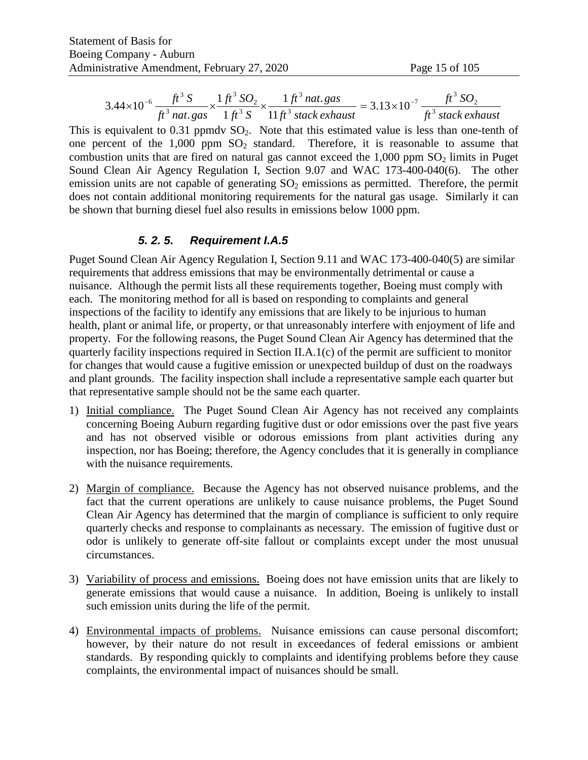$$
3.44 \times 10^{-6} \frac{ft^3 S}{ft^3 n \, \text{at. gas}} \times \frac{1 \, ft^3 SO_2}{1 \, ft^3 S} \times \frac{1 \, ft^3 n \, \text{at. gas}}{11 \, ft^3 \, \text{stack exhaust}} = 3.13 \times 10^{-7} \frac{ft^3 SO_2}{ft^3 \, \text{stack exhaust}}
$$

This is equivalent to  $0.31$  ppmdv  $SO_2$ . Note that this estimated value is less than one-tenth of one percent of the  $1,000$  ppm  $SO<sub>2</sub>$  standard. Therefore, it is reasonable to assume that combustion units that are fired on natural gas cannot exceed the  $1,000$  ppm  $SO<sub>2</sub>$  limits in Puget Sound Clean Air Agency Regulation I, Section 9.07 and WAC 173-400-040(6). The other emission units are not capable of generating  $SO<sub>2</sub>$  emissions as permitted. Therefore, the permit does not contain additional monitoring requirements for the natural gas usage. Similarly it can be shown that burning diesel fuel also results in emissions below 1000 ppm.

#### *5. 2. 5. Requirement I.A.5*

Puget Sound Clean Air Agency Regulation I, Section 9.11 and WAC 173-400-040(5) are similar requirements that address emissions that may be environmentally detrimental or cause a nuisance. Although the permit lists all these requirements together, Boeing must comply with each. The monitoring method for all is based on responding to complaints and general inspections of the facility to identify any emissions that are likely to be injurious to human health, plant or animal life, or property, or that unreasonably interfere with enjoyment of life and property. For the following reasons, the Puget Sound Clean Air Agency has determined that the quarterly facility inspections required in Section II.A.1(c) of the permit are sufficient to monitor for changes that would cause a fugitive emission or unexpected buildup of dust on the roadways and plant grounds. The facility inspection shall include a representative sample each quarter but that representative sample should not be the same each quarter.

- 1) Initial compliance. The Puget Sound Clean Air Agency has not received any complaints concerning Boeing Auburn regarding fugitive dust or odor emissions over the past five years and has not observed visible or odorous emissions from plant activities during any inspection, nor has Boeing; therefore, the Agency concludes that it is generally in compliance with the nuisance requirements.
- 2) Margin of compliance. Because the Agency has not observed nuisance problems, and the fact that the current operations are unlikely to cause nuisance problems, the Puget Sound Clean Air Agency has determined that the margin of compliance is sufficient to only require quarterly checks and response to complainants as necessary. The emission of fugitive dust or odor is unlikely to generate off-site fallout or complaints except under the most unusual circumstances.
- 3) Variability of process and emissions. Boeing does not have emission units that are likely to generate emissions that would cause a nuisance. In addition, Boeing is unlikely to install such emission units during the life of the permit.
- 4) Environmental impacts of problems. Nuisance emissions can cause personal discomfort; however, by their nature do not result in exceedances of federal emissions or ambient standards. By responding quickly to complaints and identifying problems before they cause complaints, the environmental impact of nuisances should be small.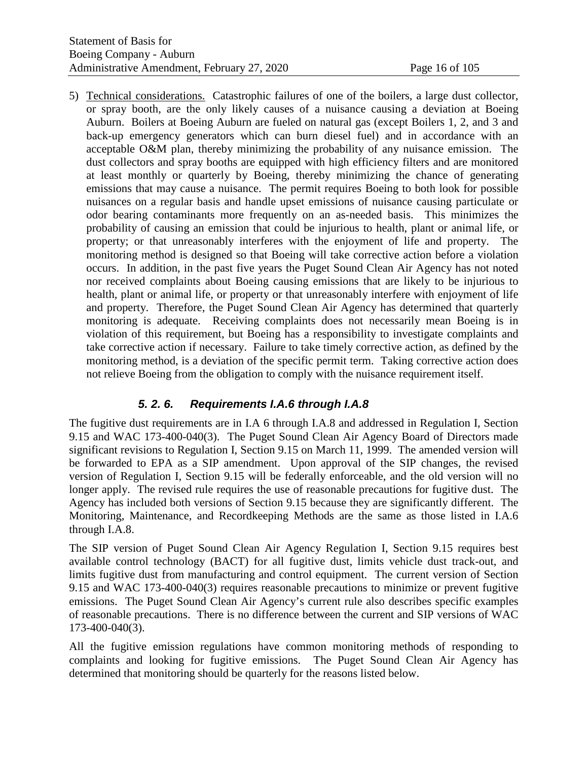5) Technical considerations. Catastrophic failures of one of the boilers, a large dust collector, or spray booth, are the only likely causes of a nuisance causing a deviation at Boeing Auburn. Boilers at Boeing Auburn are fueled on natural gas (except Boilers 1, 2, and 3 and back-up emergency generators which can burn diesel fuel) and in accordance with an acceptable O&M plan, thereby minimizing the probability of any nuisance emission. The dust collectors and spray booths are equipped with high efficiency filters and are monitored at least monthly or quarterly by Boeing, thereby minimizing the chance of generating emissions that may cause a nuisance. The permit requires Boeing to both look for possible nuisances on a regular basis and handle upset emissions of nuisance causing particulate or odor bearing contaminants more frequently on an as-needed basis. This minimizes the probability of causing an emission that could be injurious to health, plant or animal life, or property; or that unreasonably interferes with the enjoyment of life and property. The monitoring method is designed so that Boeing will take corrective action before a violation occurs. In addition, in the past five years the Puget Sound Clean Air Agency has not noted nor received complaints about Boeing causing emissions that are likely to be injurious to health, plant or animal life, or property or that unreasonably interfere with enjoyment of life and property. Therefore, the Puget Sound Clean Air Agency has determined that quarterly monitoring is adequate. Receiving complaints does not necessarily mean Boeing is in violation of this requirement, but Boeing has a responsibility to investigate complaints and take corrective action if necessary. Failure to take timely corrective action, as defined by the monitoring method, is a deviation of the specific permit term. Taking corrective action does not relieve Boeing from the obligation to comply with the nuisance requirement itself.

# *5. 2. 6. Requirements I.A.6 through I.A.8*

The fugitive dust requirements are in I.A 6 through I.A.8 and addressed in Regulation I, Section 9.15 and WAC 173-400-040(3). The Puget Sound Clean Air Agency Board of Directors made significant revisions to Regulation I, Section 9.15 on March 11, 1999. The amended version will be forwarded to EPA as a SIP amendment. Upon approval of the SIP changes, the revised version of Regulation I, Section 9.15 will be federally enforceable, and the old version will no longer apply. The revised rule requires the use of reasonable precautions for fugitive dust. The Agency has included both versions of Section 9.15 because they are significantly different. The Monitoring, Maintenance, and Recordkeeping Methods are the same as those listed in I.A.6 through I.A.8.

The SIP version of Puget Sound Clean Air Agency Regulation I, Section 9.15 requires best available control technology (BACT) for all fugitive dust, limits vehicle dust track-out, and limits fugitive dust from manufacturing and control equipment. The current version of Section 9.15 and WAC 173-400-040(3) requires reasonable precautions to minimize or prevent fugitive emissions. The Puget Sound Clean Air Agency's current rule also describes specific examples of reasonable precautions. There is no difference between the current and SIP versions of WAC 173-400-040(3).

All the fugitive emission regulations have common monitoring methods of responding to complaints and looking for fugitive emissions. The Puget Sound Clean Air Agency has determined that monitoring should be quarterly for the reasons listed below.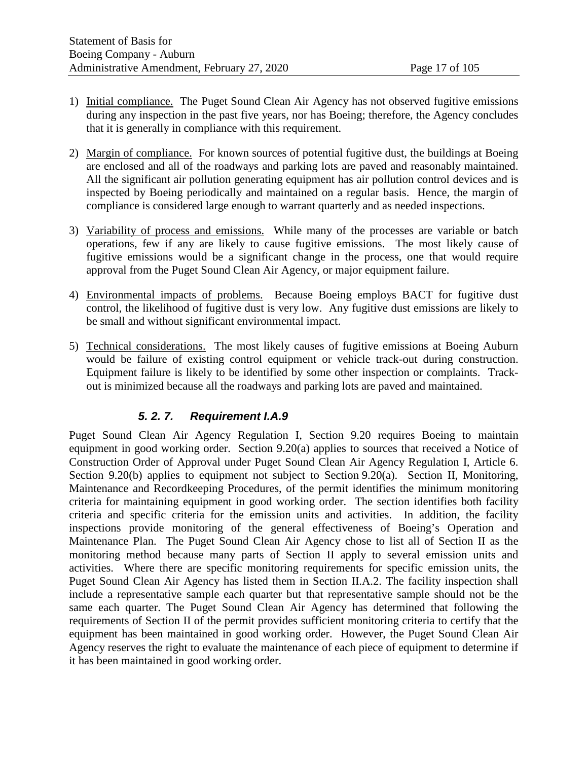- 1) Initial compliance. The Puget Sound Clean Air Agency has not observed fugitive emissions during any inspection in the past five years, nor has Boeing; therefore, the Agency concludes that it is generally in compliance with this requirement.
- 2) Margin of compliance. For known sources of potential fugitive dust, the buildings at Boeing are enclosed and all of the roadways and parking lots are paved and reasonably maintained. All the significant air pollution generating equipment has air pollution control devices and is inspected by Boeing periodically and maintained on a regular basis. Hence, the margin of compliance is considered large enough to warrant quarterly and as needed inspections.
- 3) Variability of process and emissions. While many of the processes are variable or batch operations, few if any are likely to cause fugitive emissions. The most likely cause of fugitive emissions would be a significant change in the process, one that would require approval from the Puget Sound Clean Air Agency, or major equipment failure.
- 4) Environmental impacts of problems. Because Boeing employs BACT for fugitive dust control, the likelihood of fugitive dust is very low. Any fugitive dust emissions are likely to be small and without significant environmental impact.
- 5) Technical considerations. The most likely causes of fugitive emissions at Boeing Auburn would be failure of existing control equipment or vehicle track-out during construction. Equipment failure is likely to be identified by some other inspection or complaints. Trackout is minimized because all the roadways and parking lots are paved and maintained.

#### *5. 2. 7. Requirement I.A.9*

Puget Sound Clean Air Agency Regulation I, Section 9.20 requires Boeing to maintain equipment in good working order. Section 9.20(a) applies to sources that received a Notice of Construction Order of Approval under Puget Sound Clean Air Agency Regulation I, Article 6. Section 9.20(b) applies to equipment not subject to Section 9.20(a). Section II, Monitoring, Maintenance and Recordkeeping Procedures, of the permit identifies the minimum monitoring criteria for maintaining equipment in good working order. The section identifies both facility criteria and specific criteria for the emission units and activities. In addition, the facility inspections provide monitoring of the general effectiveness of Boeing's Operation and Maintenance Plan. The Puget Sound Clean Air Agency chose to list all of Section II as the monitoring method because many parts of Section II apply to several emission units and activities. Where there are specific monitoring requirements for specific emission units, the Puget Sound Clean Air Agency has listed them in Section II.A.2. The facility inspection shall include a representative sample each quarter but that representative sample should not be the same each quarter. The Puget Sound Clean Air Agency has determined that following the requirements of Section II of the permit provides sufficient monitoring criteria to certify that the equipment has been maintained in good working order. However, the Puget Sound Clean Air Agency reserves the right to evaluate the maintenance of each piece of equipment to determine if it has been maintained in good working order.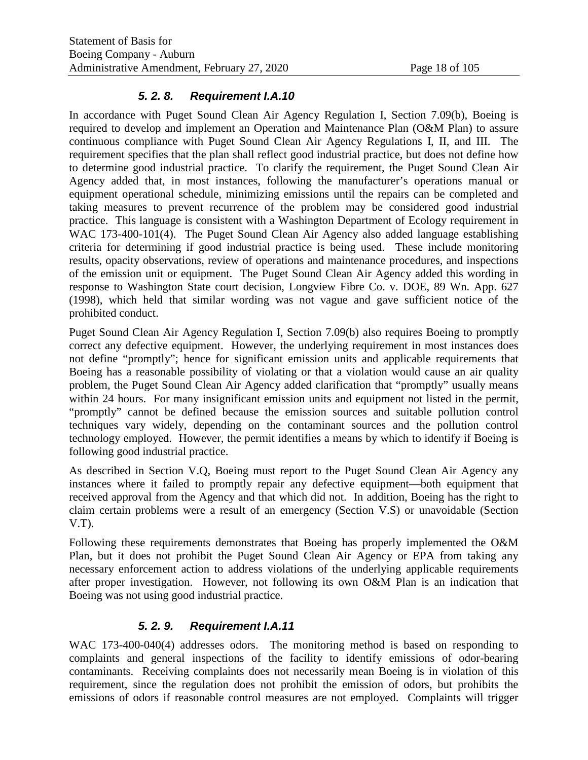#### *5. 2. 8. Requirement I.A.10*

In accordance with Puget Sound Clean Air Agency Regulation I, Section 7.09(b), Boeing is required to develop and implement an Operation and Maintenance Plan (O&M Plan) to assure continuous compliance with Puget Sound Clean Air Agency Regulations I, II, and III. The requirement specifies that the plan shall reflect good industrial practice, but does not define how to determine good industrial practice. To clarify the requirement, the Puget Sound Clean Air Agency added that, in most instances, following the manufacturer's operations manual or equipment operational schedule, minimizing emissions until the repairs can be completed and taking measures to prevent recurrence of the problem may be considered good industrial practice. This language is consistent with a Washington Department of Ecology requirement in WAC 173-400-101(4). The Puget Sound Clean Air Agency also added language establishing criteria for determining if good industrial practice is being used. These include monitoring results, opacity observations, review of operations and maintenance procedures, and inspections of the emission unit or equipment. The Puget Sound Clean Air Agency added this wording in response to Washington State court decision, Longview Fibre Co. v. DOE, 89 Wn. App. 627 (1998), which held that similar wording was not vague and gave sufficient notice of the prohibited conduct.

Puget Sound Clean Air Agency Regulation I, Section 7.09(b) also requires Boeing to promptly correct any defective equipment. However, the underlying requirement in most instances does not define "promptly"; hence for significant emission units and applicable requirements that Boeing has a reasonable possibility of violating or that a violation would cause an air quality problem, the Puget Sound Clean Air Agency added clarification that "promptly" usually means within 24 hours. For many insignificant emission units and equipment not listed in the permit, "promptly" cannot be defined because the emission sources and suitable pollution control techniques vary widely, depending on the contaminant sources and the pollution control technology employed. However, the permit identifies a means by which to identify if Boeing is following good industrial practice.

As described in Section V.Q, Boeing must report to the Puget Sound Clean Air Agency any instances where it failed to promptly repair any defective equipment—both equipment that received approval from the Agency and that which did not. In addition, Boeing has the right to claim certain problems were a result of an emergency (Section V.S) or unavoidable (Section V.T).

Following these requirements demonstrates that Boeing has properly implemented the O&M Plan, but it does not prohibit the Puget Sound Clean Air Agency or EPA from taking any necessary enforcement action to address violations of the underlying applicable requirements after proper investigation. However, not following its own O&M Plan is an indication that Boeing was not using good industrial practice.

# *5. 2. 9. Requirement I.A.11*

WAC 173-400-040(4) addresses odors. The monitoring method is based on responding to complaints and general inspections of the facility to identify emissions of odor-bearing contaminants. Receiving complaints does not necessarily mean Boeing is in violation of this requirement, since the regulation does not prohibit the emission of odors, but prohibits the emissions of odors if reasonable control measures are not employed. Complaints will trigger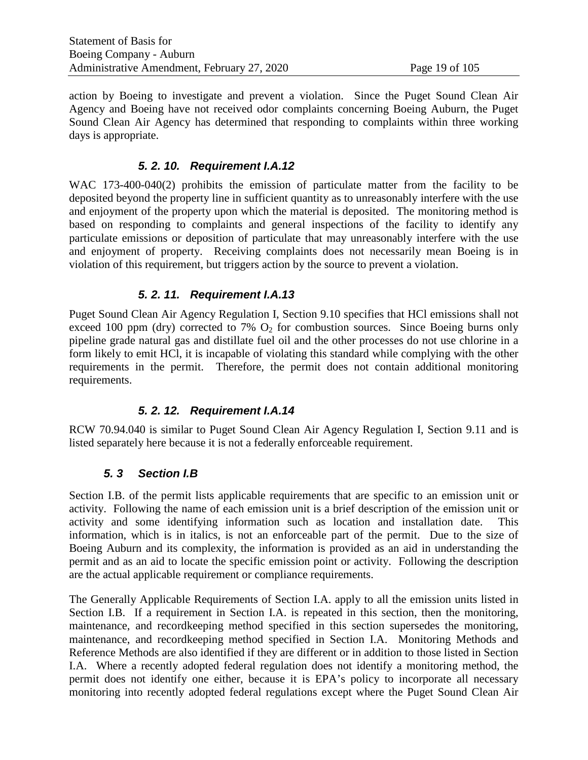action by Boeing to investigate and prevent a violation. Since the Puget Sound Clean Air Agency and Boeing have not received odor complaints concerning Boeing Auburn, the Puget Sound Clean Air Agency has determined that responding to complaints within three working days is appropriate.

#### *5. 2. 10. Requirement I.A.12*

WAC 173-400-040(2) prohibits the emission of particulate matter from the facility to be deposited beyond the property line in sufficient quantity as to unreasonably interfere with the use and enjoyment of the property upon which the material is deposited. The monitoring method is based on responding to complaints and general inspections of the facility to identify any particulate emissions or deposition of particulate that may unreasonably interfere with the use and enjoyment of property. Receiving complaints does not necessarily mean Boeing is in violation of this requirement, but triggers action by the source to prevent a violation.

#### *5. 2. 11. Requirement I.A.13*

Puget Sound Clean Air Agency Regulation I, Section 9.10 specifies that HCl emissions shall not exceed 100 ppm (dry) corrected to 7%  $O_2$  for combustion sources. Since Boeing burns only pipeline grade natural gas and distillate fuel oil and the other processes do not use chlorine in a form likely to emit HCl, it is incapable of violating this standard while complying with the other requirements in the permit. Therefore, the permit does not contain additional monitoring requirements.

# *5. 2. 12. Requirement I.A.14*

RCW 70.94.040 is similar to Puget Sound Clean Air Agency Regulation I, Section 9.11 and is listed separately here because it is not a federally enforceable requirement.

# *5. 3 Section I.B*

Section I.B. of the permit lists applicable requirements that are specific to an emission unit or activity. Following the name of each emission unit is a brief description of the emission unit or activity and some identifying information such as location and installation date. This information, which is in italics, is not an enforceable part of the permit. Due to the size of Boeing Auburn and its complexity, the information is provided as an aid in understanding the permit and as an aid to locate the specific emission point or activity. Following the description are the actual applicable requirement or compliance requirements.

The Generally Applicable Requirements of Section I.A. apply to all the emission units listed in Section I.B. If a requirement in Section I.A. is repeated in this section, then the monitoring, maintenance, and recordkeeping method specified in this section supersedes the monitoring, maintenance, and recordkeeping method specified in Section I.A. Monitoring Methods and Reference Methods are also identified if they are different or in addition to those listed in Section I.A. Where a recently adopted federal regulation does not identify a monitoring method, the permit does not identify one either, because it is EPA's policy to incorporate all necessary monitoring into recently adopted federal regulations except where the Puget Sound Clean Air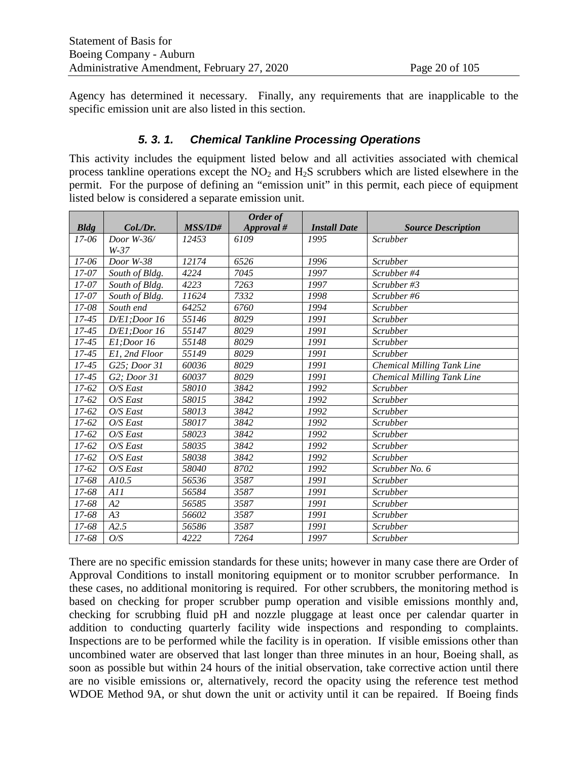Agency has determined it necessary. Finally, any requirements that are inapplicable to the specific emission unit are also listed in this section.

#### *5. 3. 1. Chemical Tankline Processing Operations*

This activity includes the equipment listed below and all activities associated with chemical process tankline operations except the  $NO<sub>2</sub>$  and  $H<sub>2</sub>S$  scrubbers which are listed elsewhere in the permit.For the purpose of defining an "emission unit" in this permit, each piece of equipment listed below is considered a separate emission unit.

|                    |                |                | Order of   |                     |                                   |
|--------------------|----------------|----------------|------------|---------------------|-----------------------------------|
| <b>Bldg</b>        | Col./Dr.       | <b>MSS/ID#</b> | Approval # | <b>Install Date</b> | <b>Source Description</b>         |
| $17-06$            | Door $W-36$    | 12453          | 6109       | 1995                | Scrubber                          |
|                    | $W-37$         |                |            |                     |                                   |
| 17-06              | Door W-38      | 12174          | 6526       | 1996                | Scrubber                          |
| $17 - 07$          | South of Bldg. | 4224           | 7045       | 1997                | Scrubber #4                       |
| 17-07              | South of Bldg. | 4223           | 7263       | 1997                | Scrubber #3                       |
| $17 - 07$          | South of Bldg. | 11624          | 7332       | 1998                | Scrubber#6                        |
| 17-08              | South end      | 64252          | 6760       | 1994                | Scrubber                          |
| $17 - 45$          | D/E1; Door16   | 55146          | 8029       | 1991                | Scrubber                          |
| $17 - 45$          | D/E1; Door16   | 55147          | 8029       | 1991                | Scrubber                          |
| $17 - 45$          | El;Door 16     | 55148          | 8029       | 1991                | Scrubber                          |
| $17 - 45$          | E1, 2nd Floor  | 55149          | 8029       | 1991                | Scrubber                          |
| $\overline{17-45}$ | G25; Door 31   | 60036          | 8029       | 1991                | Chemical Milling Tank Line        |
| $17 - 45$          | G2; Door 31    | 60037          | 8029       | 1991                | <b>Chemical Milling Tank Line</b> |
| $17 - 62$          | O/S East       | 58010          | 3842       | 1992                | Scrubber                          |
| $17 - 62$          | $O/S$ East     | 58015          | 3842       | 1992                | Scrubber                          |
| $17 - 62$          | $O/S$ East     | 58013          | 3842       | 1992                | Scrubber                          |
| $17 - 62$          | O/S East       | 58017          | 3842       | 1992                | Scrubber                          |
| $17-62$            | $O/S$ East     | 58023          | 3842       | 1992                | Scrubber                          |
| 17-62              | O/S East       | 58035          | 3842       | 1992                | Scrubber                          |
| $17 - 62$          | O/S East       | 58038          | 3842       | 1992                | Scrubber                          |
| $17 - 62$          | O/S East       | 58040          | 8702       | 1992                | Scrubber No. 6                    |
| 17-68              | A10.5          | 56536          | 3587       | 1991                | Scrubber                          |
| 17-68              | A11            | 56584          | 3587       | 1991                | Scrubber                          |
| 17-68              | A2             | 56585          | 3587       | 1991                | Scrubber                          |
| 17-68              | A3             | 56602          | 3587       | 1991                | Scrubber                          |
| 17-68              | A2.5           | 56586          | 3587       | 1991                | Scrubber                          |
| 17-68              | O/S            | 4222           | 7264       | 1997                | Scrubber                          |

There are no specific emission standards for these units; however in many case there are Order of Approval Conditions to install monitoring equipment or to monitor scrubber performance. In these cases, no additional monitoring is required. For other scrubbers, the monitoring method is based on checking for proper scrubber pump operation and visible emissions monthly and, checking for scrubbing fluid pH and nozzle pluggage at least once per calendar quarter in addition to conducting quarterly facility wide inspections and responding to complaints. Inspections are to be performed while the facility is in operation. If visible emissions other than uncombined water are observed that last longer than three minutes in an hour, Boeing shall, as soon as possible but within 24 hours of the initial observation, take corrective action until there are no visible emissions or, alternatively, record the opacity using the reference test method WDOE Method 9A, or shut down the unit or activity until it can be repaired. If Boeing finds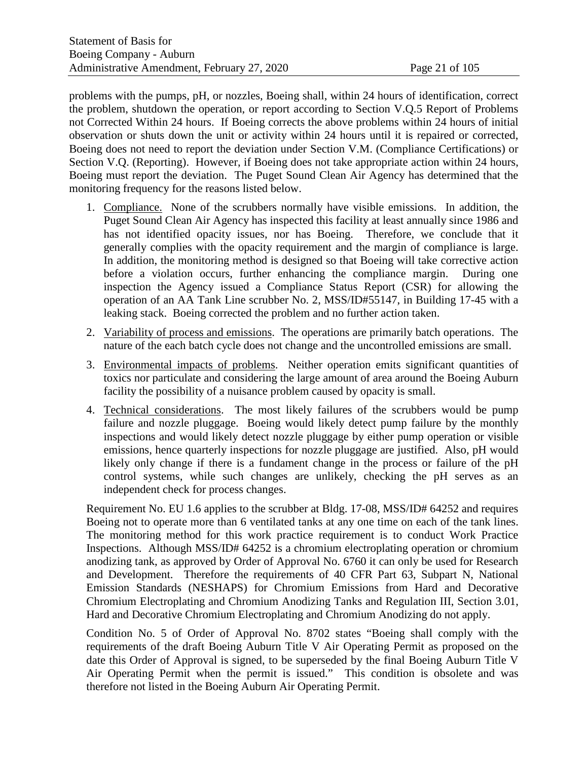problems with the pumps, pH, or nozzles, Boeing shall, within 24 hours of identification, correct the problem, shutdown the operation, or report according to Section V.Q.5 Report of Problems not Corrected Within 24 hours. If Boeing corrects the above problems within 24 hours of initial observation or shuts down the unit or activity within 24 hours until it is repaired or corrected, Boeing does not need to report the deviation under Section V.M. (Compliance Certifications) or Section V.Q. (Reporting). However, if Boeing does not take appropriate action within 24 hours, Boeing must report the deviation. The Puget Sound Clean Air Agency has determined that the monitoring frequency for the reasons listed below.

- 1. Compliance. None of the scrubbers normally have visible emissions. In addition, the Puget Sound Clean Air Agency has inspected this facility at least annually since 1986 and has not identified opacity issues, nor has Boeing. Therefore, we conclude that it generally complies with the opacity requirement and the margin of compliance is large. In addition, the monitoring method is designed so that Boeing will take corrective action before a violation occurs, further enhancing the compliance margin. During one inspection the Agency issued a Compliance Status Report (CSR) for allowing the operation of an AA Tank Line scrubber No. 2, MSS/ID#55147, in Building 17-45 with a leaking stack. Boeing corrected the problem and no further action taken.
- 2. Variability of process and emissions. The operations are primarily batch operations. The nature of the each batch cycle does not change and the uncontrolled emissions are small.
- 3. Environmental impacts of problems. Neither operation emits significant quantities of toxics nor particulate and considering the large amount of area around the Boeing Auburn facility the possibility of a nuisance problem caused by opacity is small.
- 4. Technical considerations. The most likely failures of the scrubbers would be pump failure and nozzle pluggage. Boeing would likely detect pump failure by the monthly inspections and would likely detect nozzle pluggage by either pump operation or visible emissions, hence quarterly inspections for nozzle pluggage are justified. Also, pH would likely only change if there is a fundament change in the process or failure of the pH control systems, while such changes are unlikely, checking the pH serves as an independent check for process changes.

Requirement No. EU 1.6 applies to the scrubber at Bldg. 17-08, MSS/ID# 64252 and requires Boeing not to operate more than 6 ventilated tanks at any one time on each of the tank lines. The monitoring method for this work practice requirement is to conduct Work Practice Inspections. Although MSS/ID# 64252 is a chromium electroplating operation or chromium anodizing tank, as approved by Order of Approval No. 6760 it can only be used for Research and Development. Therefore the requirements of 40 CFR Part 63, Subpart N, National Emission Standards (NESHAPS) for Chromium Emissions from Hard and Decorative Chromium Electroplating and Chromium Anodizing Tanks and Regulation III, Section 3.01, Hard and Decorative Chromium Electroplating and Chromium Anodizing do not apply.

Condition No. 5 of Order of Approval No. 8702 states "Boeing shall comply with the requirements of the draft Boeing Auburn Title V Air Operating Permit as proposed on the date this Order of Approval is signed, to be superseded by the final Boeing Auburn Title V Air Operating Permit when the permit is issued." This condition is obsolete and was therefore not listed in the Boeing Auburn Air Operating Permit.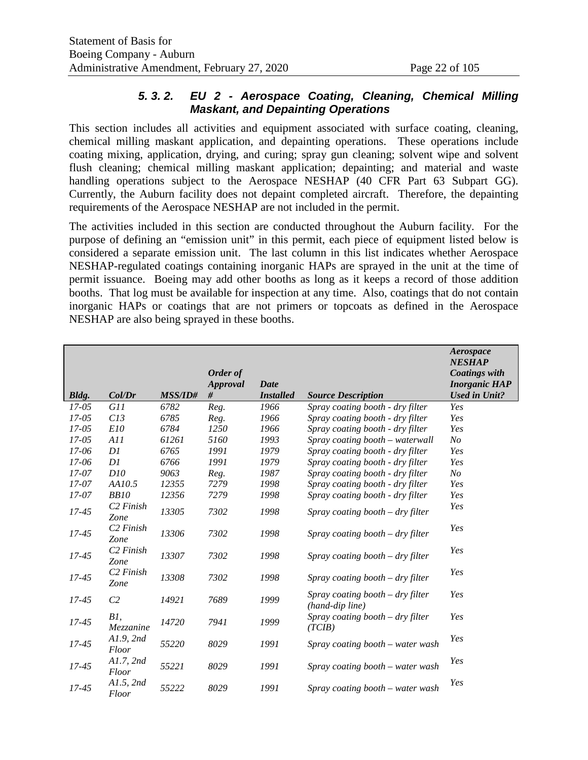#### *5. 3. 2. EU 2 - Aerospace Coating, Cleaning, Chemical Milling Maskant, and Depainting Operations*

This section includes all activities and equipment associated with surface coating, cleaning, chemical milling maskant application, and depainting operations. These operations include coating mixing, application, drying, and curing; spray gun cleaning; solvent wipe and solvent flush cleaning; chemical milling maskant application; depainting; and material and waste handling operations subject to the Aerospace NESHAP (40 CFR Part 63 Subpart GG). Currently, the Auburn facility does not depaint completed aircraft. Therefore, the depainting requirements of the Aerospace NESHAP are not included in the permit.

The activities included in this section are conducted throughout the Auburn facility. For the purpose of defining an "emission unit" in this permit, each piece of equipment listed below is considered a separate emission unit. The last column in this list indicates whether Aerospace NESHAP-regulated coatings containing inorganic HAPs are sprayed in the unit at the time of permit issuance. Boeing may add other booths as long as it keeps a record of those addition booths. That log must be available for inspection at any time. Also, coatings that do not contain inorganic HAPs or coatings that are not primers or topcoats as defined in the Aerospace NESHAP are also being sprayed in these booths.

|           |                               |                | Order of        |                  |                                                     | Aerospace<br><b>NESHAP</b><br><b>Coatings with</b> |
|-----------|-------------------------------|----------------|-----------------|------------------|-----------------------------------------------------|----------------------------------------------------|
|           |                               |                | <b>Approval</b> | Date             |                                                     | <b>Inorganic HAP</b>                               |
| Bldg.     | Col/Dr                        | <b>MSS/ID#</b> | #               | <b>Installed</b> | <b>Source Description</b>                           | <b>Used in Unit?</b>                               |
| $17 - 05$ | <i>G11</i>                    | 6782           | Reg.            | 1966             | Spray coating booth - dry filter                    | Yes                                                |
| $17 - 05$ | C13                           | 6785           | Reg.            | 1966             | Spray coating booth - dry filter                    | Yes                                                |
| $17 - 05$ | E10                           | 6784           | 1250            | 1966             | Spray coating booth - dry filter                    | Yes                                                |
| $17 - 05$ | A11                           | 61261          | 5160            | 1993             | Spray coating booth – waterwall                     | N <sub>O</sub>                                     |
| $17 - 06$ | D1                            | 6765           | 1991            | 1979             | Spray coating booth - dry filter                    | Yes                                                |
| $17 - 06$ | DI                            | 6766           | 1991            | 1979             | Spray coating booth - dry filter                    | Yes                                                |
| 17-07     | D10                           | 9063           | Reg.            | 1987             | Spray coating booth - dry filter                    | N <sub>O</sub>                                     |
| $17 - 07$ | AA10.5                        | 12355          | 7279            | 1998             | Spray coating booth - dry filter                    | Yes                                                |
| $17 - 07$ | <b>BB10</b>                   | 12356          | 7279            | 1998             | Spray coating booth - dry filter                    | Yes                                                |
| $17 - 45$ | C <sub>2</sub> Finish<br>Zone | 13305          | 7302            | 1998             | Spray coating booth $-$ dry filter                  | Yes                                                |
| $17 - 45$ | C <sub>2</sub> Finish<br>Zone | 13306          | 7302            | 1998             | Spray coating booth $-$ dry filter                  | Yes                                                |
| 17-45     | C <sub>2</sub> Finish<br>Zone | 13307          | 7302            | 1998             | Spray coating booth $-$ dry filter                  | Yes                                                |
| $17 - 45$ | C <sub>2</sub> Finish<br>Zone | 13308          | 7302            | 1998             | Spray coating booth $-$ dry filter                  | Yes                                                |
| $17 - 45$ | C <sub>2</sub>                | 14921          | 7689            | 1999             | Spray coating booth - dry filter<br>(hand-dip line) | Yes                                                |
| $17 - 45$ | B1,<br>Mezzanine              | 14720          | 7941            | 1999             | Spray coating booth $-$ dry filter<br>(TCIB)        | Yes                                                |
| $17 - 45$ | A1.9, 2nd<br>Floor            | 55220          | 8029            | 1991             | Spray coating booth - water wash                    | Yes                                                |
| $17 - 45$ | A1.7, 2nd<br>Floor            | 55221          | 8029            | 1991             | Spray coating booth – water wash                    | Yes                                                |
| $17 - 45$ | A1.5, 2nd<br>Floor            | 55222          | 8029            | 1991             | Spray coating booth – water wash                    | Yes                                                |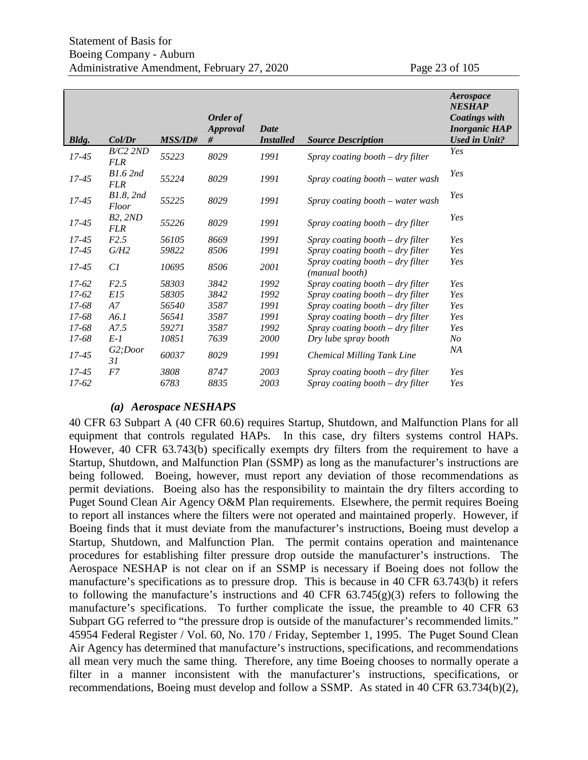|           |                               |                | Order of<br><b>Approval</b> | Date             |                                                    | Aerospace<br><b>NESHAP</b><br><b>Coatings with</b><br><b>Inorganic HAP</b> |
|-----------|-------------------------------|----------------|-----------------------------|------------------|----------------------------------------------------|----------------------------------------------------------------------------|
| Bldg.     | Col/Dr                        | <b>MSS/ID#</b> | #                           | <b>Installed</b> | <b>Source Description</b>                          | <b>Used in Unit?</b>                                                       |
| $17 - 45$ | $B/C2$ 2ND<br><b>FLR</b>      | 55223          | 8029                        | 1991             | Spray coating booth $-$ dry filter                 | Yes                                                                        |
| $17 - 45$ | <b>B1.6 2nd</b><br><b>FLR</b> | 55224          | 8029                        | 1991             | Spray coating booth - water wash                   | Yes                                                                        |
| $17 - 45$ | B1.8, 2nd<br>Floor            | 55225          | 8029                        | 1991             | Spray coating booth – water wash                   | Yes                                                                        |
| $17 - 45$ | <b>B2, 2ND</b><br><b>FLR</b>  | 55226          | 8029                        | 1991             | Spray coating booth $-$ dry filter                 | Yes                                                                        |
| $17 - 45$ | F2.5                          | 56105          | 8669                        | 1991             | Spray coating booth $-$ dry filter                 | Yes                                                                        |
| $17 - 45$ | G/H2                          | 59822          | 8506                        | 1991             | Spray coating booth – dry filter                   | Yes                                                                        |
| $17 - 45$ | Cl                            | 10695          | 8506                        | 2001             | Spray coating booth – dry filter<br>(manual booth) | Yes                                                                        |
| $17-62$   | F2.5                          | 58303          | 3842                        | 1992             | Spray coating booth – dry filter                   | Yes                                                                        |
| $17-62$   | E15                           | 58305          | 3842                        | 1992             | Spray coating booth – dry filter                   | Yes                                                                        |
| 17-68     | A7                            | 56540          | 3587                        | 1991             | Spray coating booth $-$ dry filter                 | Yes                                                                        |
| 17-68     | A6.1                          | 56541          | 3587                        | 1991             | Spray coating booth $-$ dry filter                 | Yes                                                                        |
| 17-68     | A7.5                          | 59271          | 3587                        | 1992             | Spray coating booth $-$ dry filter                 | Yes                                                                        |
| 17-68     | $E-1$                         | 10851          | 7639                        | 2000             | Dry lube spray booth                               | N <sub>O</sub>                                                             |
| $17 - 45$ | G2;Door<br>31                 | 60037          | 8029                        | 1991             | <b>Chemical Milling Tank Line</b>                  | ΝA                                                                         |
| $17 - 45$ | F7                            | 3808           | 8747                        | 2003             | Spray coating booth $-$ dry filter                 | Yes                                                                        |
| $17 - 62$ |                               | 6783           | 8835                        | 2003             | Spray coating booth – dry filter                   | Yes                                                                        |

#### *(a) Aerospace NESHAPS*

40 CFR 63 Subpart A (40 CFR 60.6) requires Startup, Shutdown, and Malfunction Plans for all equipment that controls regulated HAPs. In this case, dry filters systems control HAPs. However, 40 CFR 63.743(b) specifically exempts dry filters from the requirement to have a Startup, Shutdown, and Malfunction Plan (SSMP) as long as the manufacturer's instructions are being followed. Boeing, however, must report any deviation of those recommendations as permit deviations. Boeing also has the responsibility to maintain the dry filters according to Puget Sound Clean Air Agency O&M Plan requirements. Elsewhere, the permit requires Boeing to report all instances where the filters were not operated and maintained properly. However, if Boeing finds that it must deviate from the manufacturer's instructions, Boeing must develop a Startup, Shutdown, and Malfunction Plan. The permit contains operation and maintenance procedures for establishing filter pressure drop outside the manufacturer's instructions. The Aerospace NESHAP is not clear on if an SSMP is necessary if Boeing does not follow the manufacture's specifications as to pressure drop. This is because in 40 CFR 63.743(b) it refers to following the manufacture's instructions and 40 CFR  $63.745(g)(3)$  refers to following the manufacture's specifications. To further complicate the issue, the preamble to 40 CFR 63 Subpart GG referred to "the pressure drop is outside of the manufacturer's recommended limits." 45954 Federal Register / Vol. 60, No. 170 / Friday, September 1, 1995. The Puget Sound Clean Air Agency has determined that manufacture's instructions, specifications, and recommendations all mean very much the same thing. Therefore, any time Boeing chooses to normally operate a filter in a manner inconsistent with the manufacturer's instructions, specifications, or recommendations, Boeing must develop and follow a SSMP. As stated in 40 CFR 63.734(b)(2),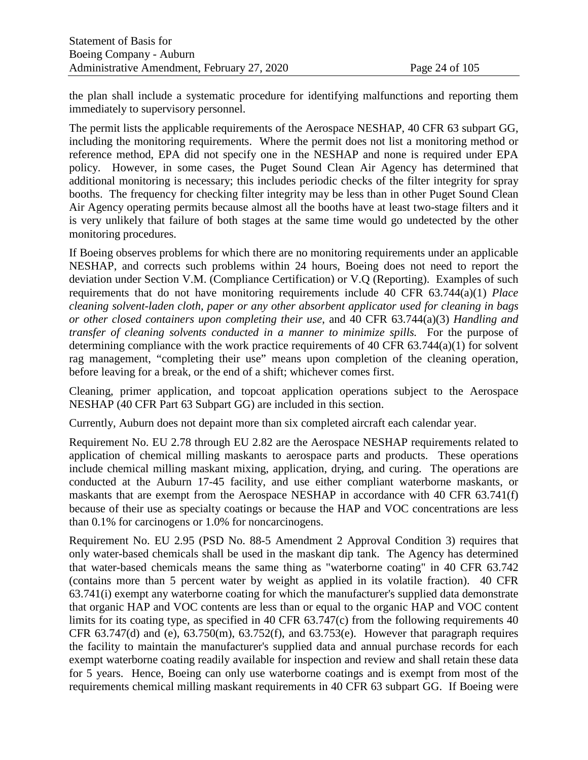the plan shall include a systematic procedure for identifying malfunctions and reporting them immediately to supervisory personnel.

The permit lists the applicable requirements of the Aerospace NESHAP, 40 CFR 63 subpart GG, including the monitoring requirements. Where the permit does not list a monitoring method or reference method, EPA did not specify one in the NESHAP and none is required under EPA policy. However, in some cases, the Puget Sound Clean Air Agency has determined that additional monitoring is necessary; this includes periodic checks of the filter integrity for spray booths. The frequency for checking filter integrity may be less than in other Puget Sound Clean Air Agency operating permits because almost all the booths have at least two-stage filters and it is very unlikely that failure of both stages at the same time would go undetected by the other monitoring procedures.

If Boeing observes problems for which there are no monitoring requirements under an applicable NESHAP, and corrects such problems within 24 hours, Boeing does not need to report the deviation under Section V.M. (Compliance Certification) or V.Q (Reporting). Examples of such requirements that do not have monitoring requirements include 40 CFR 63.744(a)(1) *Place cleaning solvent-laden cloth, paper or any other absorbent applicator used for cleaning in bags or other closed containers upon completing their use*, and 40 CFR 63.744(a)(3) *Handling and transfer of cleaning solvents conducted in a manner to minimize spills.* For the purpose of determining compliance with the work practice requirements of 40 CFR  $63.744(a)(1)$  for solvent rag management, "completing their use" means upon completion of the cleaning operation, before leaving for a break, or the end of a shift; whichever comes first.

Cleaning, primer application, and topcoat application operations subject to the Aerospace NESHAP (40 CFR Part 63 Subpart GG) are included in this section.

Currently, Auburn does not depaint more than six completed aircraft each calendar year.

Requirement No. EU 2.78 through EU 2.82 are the Aerospace NESHAP requirements related to application of chemical milling maskants to aerospace parts and products. These operations include chemical milling maskant mixing, application, drying, and curing. The operations are conducted at the Auburn 17-45 facility, and use either compliant waterborne maskants, or maskants that are exempt from the Aerospace NESHAP in accordance with 40 CFR 63.741(f) because of their use as specialty coatings or because the HAP and VOC concentrations are less than 0.1% for carcinogens or 1.0% for noncarcinogens.

Requirement No. EU 2.95 (PSD No. 88-5 Amendment 2 Approval Condition 3) requires that only water-based chemicals shall be used in the maskant dip tank. The Agency has determined that water-based chemicals means the same thing as "waterborne coating" in 40 CFR 63.742 (contains more than 5 percent water by weight as applied in its volatile fraction). 40 CFR 63.741(i) exempt any waterborne coating for which the manufacturer's supplied data demonstrate that organic HAP and VOC contents are less than or equal to the organic HAP and VOC content limits for its coating type, as specified in 40 CFR 63.747(c) from the following requirements 40 CFR 63.747(d) and (e),  $63.750$ (m),  $63.752$ (f), and  $63.753$ (e). However that paragraph requires the facility to maintain the manufacturer's supplied data and annual purchase records for each exempt waterborne coating readily available for inspection and review and shall retain these data for 5 years. Hence, Boeing can only use waterborne coatings and is exempt from most of the requirements chemical milling maskant requirements in 40 CFR 63 subpart GG. If Boeing were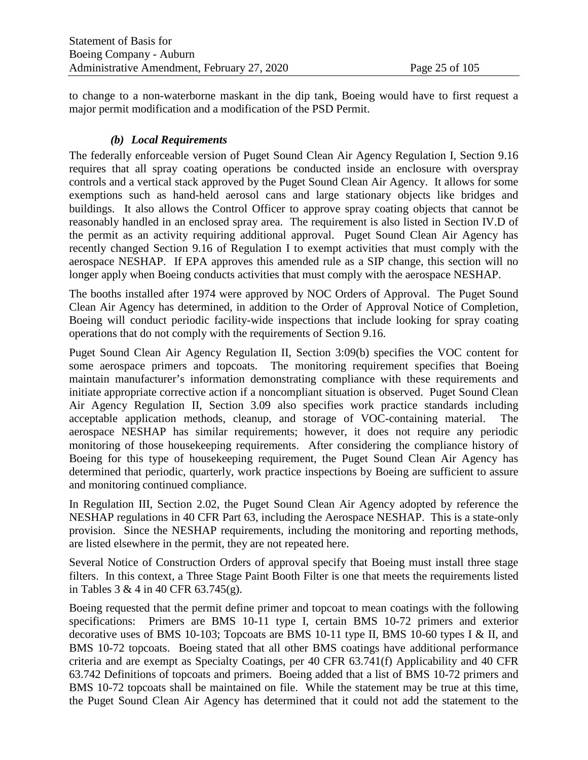to change to a non-waterborne maskant in the dip tank, Boeing would have to first request a major permit modification and a modification of the PSD Permit.

#### *(b) Local Requirements*

The federally enforceable version of Puget Sound Clean Air Agency Regulation I, Section 9.16 requires that all spray coating operations be conducted inside an enclosure with overspray controls and a vertical stack approved by the Puget Sound Clean Air Agency. It allows for some exemptions such as hand-held aerosol cans and large stationary objects like bridges and buildings. It also allows the Control Officer to approve spray coating objects that cannot be reasonably handled in an enclosed spray area. The requirement is also listed in Section IV.D of the permit as an activity requiring additional approval. Puget Sound Clean Air Agency has recently changed Section 9.16 of Regulation I to exempt activities that must comply with the aerospace NESHAP. If EPA approves this amended rule as a SIP change, this section will no longer apply when Boeing conducts activities that must comply with the aerospace NESHAP.

The booths installed after 1974 were approved by NOC Orders of Approval. The Puget Sound Clean Air Agency has determined, in addition to the Order of Approval Notice of Completion, Boeing will conduct periodic facility-wide inspections that include looking for spray coating operations that do not comply with the requirements of Section 9.16.

Puget Sound Clean Air Agency Regulation II, Section 3:09(b) specifies the VOC content for some aerospace primers and topcoats. The monitoring requirement specifies that Boeing maintain manufacturer's information demonstrating compliance with these requirements and initiate appropriate corrective action if a noncompliant situation is observed. Puget Sound Clean Air Agency Regulation II, Section 3.09 also specifies work practice standards including acceptable application methods, cleanup, and storage of VOC-containing material. The aerospace NESHAP has similar requirements; however, it does not require any periodic monitoring of those housekeeping requirements. After considering the compliance history of Boeing for this type of housekeeping requirement, the Puget Sound Clean Air Agency has determined that periodic, quarterly, work practice inspections by Boeing are sufficient to assure and monitoring continued compliance.

In Regulation III, Section 2.02, the Puget Sound Clean Air Agency adopted by reference the NESHAP regulations in 40 CFR Part 63, including the Aerospace NESHAP. This is a state-only provision. Since the NESHAP requirements, including the monitoring and reporting methods, are listed elsewhere in the permit, they are not repeated here.

Several Notice of Construction Orders of approval specify that Boeing must install three stage filters. In this context, a Three Stage Paint Booth Filter is one that meets the requirements listed in Tables 3 & 4 in 40 CFR 63.745(g).

Boeing requested that the permit define primer and topcoat to mean coatings with the following specifications: Primers are BMS 10-11 type I, certain BMS 10-72 primers and exterior decorative uses of BMS 10-103; Topcoats are BMS 10-11 type II, BMS 10-60 types I & II, and BMS 10-72 topcoats. Boeing stated that all other BMS coatings have additional performance criteria and are exempt as Specialty Coatings, per 40 CFR 63.741(f) Applicability and 40 CFR 63.742 Definitions of topcoats and primers. Boeing added that a list of BMS 10-72 primers and BMS 10-72 topcoats shall be maintained on file. While the statement may be true at this time, the Puget Sound Clean Air Agency has determined that it could not add the statement to the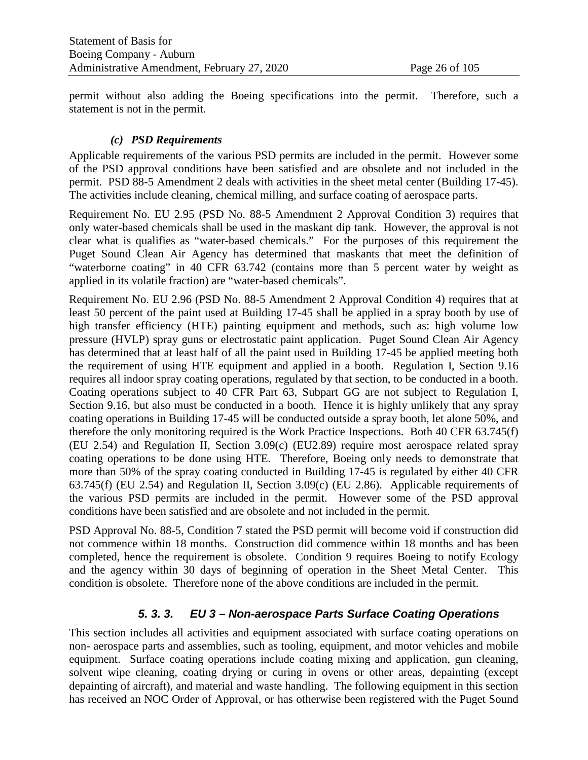permit without also adding the Boeing specifications into the permit. Therefore, such a statement is not in the permit.

#### *(c) PSD Requirements*

Applicable requirements of the various PSD permits are included in the permit. However some of the PSD approval conditions have been satisfied and are obsolete and not included in the permit. PSD 88-5 Amendment 2 deals with activities in the sheet metal center (Building 17-45). The activities include cleaning, chemical milling, and surface coating of aerospace parts.

Requirement No. EU 2.95 (PSD No. 88-5 Amendment 2 Approval Condition 3) requires that only water-based chemicals shall be used in the maskant dip tank. However, the approval is not clear what is qualifies as "water-based chemicals." For the purposes of this requirement the Puget Sound Clean Air Agency has determined that maskants that meet the definition of "waterborne coating" in 40 CFR 63.742 (contains more than 5 percent water by weight as applied in its volatile fraction) are "water-based chemicals".

Requirement No. EU 2.96 (PSD No. 88-5 Amendment 2 Approval Condition 4) requires that at least 50 percent of the paint used at Building 17-45 shall be applied in a spray booth by use of high transfer efficiency (HTE) painting equipment and methods, such as: high volume low pressure (HVLP) spray guns or electrostatic paint application. Puget Sound Clean Air Agency has determined that at least half of all the paint used in Building 17-45 be applied meeting both the requirement of using HTE equipment and applied in a booth. Regulation I, Section 9.16 requires all indoor spray coating operations, regulated by that section, to be conducted in a booth. Coating operations subject to 40 CFR Part 63, Subpart GG are not subject to Regulation I, Section 9.16, but also must be conducted in a booth. Hence it is highly unlikely that any spray coating operations in Building 17-45 will be conducted outside a spray booth, let alone 50%, and therefore the only monitoring required is the Work Practice Inspections. Both 40 CFR 63.745(f) (EU 2.54) and Regulation II, Section 3.09(c) (EU2.89) require most aerospace related spray coating operations to be done using HTE. Therefore, Boeing only needs to demonstrate that more than 50% of the spray coating conducted in Building 17-45 is regulated by either 40 CFR 63.745(f) (EU 2.54) and Regulation II, Section 3.09(c) (EU 2.86). Applicable requirements of the various PSD permits are included in the permit. However some of the PSD approval conditions have been satisfied and are obsolete and not included in the permit.

PSD Approval No. 88-5, Condition 7 stated the PSD permit will become void if construction did not commence within 18 months. Construction did commence within 18 months and has been completed, hence the requirement is obsolete. Condition 9 requires Boeing to notify Ecology and the agency within 30 days of beginning of operation in the Sheet Metal Center. This condition is obsolete. Therefore none of the above conditions are included in the permit.

# *5. 3. 3. EU 3 – Non-aerospace Parts Surface Coating Operations*

This section includes all activities and equipment associated with surface coating operations on non- aerospace parts and assemblies, such as tooling, equipment, and motor vehicles and mobile equipment. Surface coating operations include coating mixing and application, gun cleaning, solvent wipe cleaning, coating drying or curing in ovens or other areas, depainting (except depainting of aircraft), and material and waste handling. The following equipment in this section has received an NOC Order of Approval, or has otherwise been registered with the Puget Sound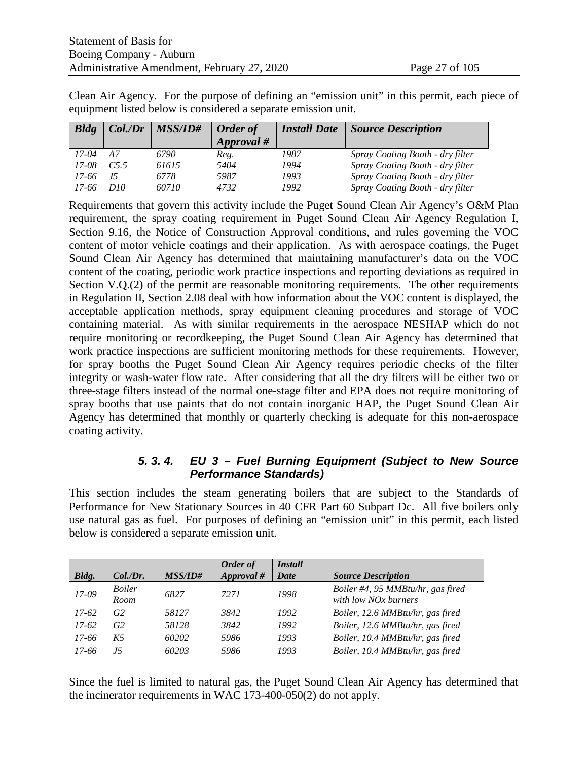Clean Air Agency. For the purpose of defining an "emission unit" in this permit, each piece of equipment listed below is considered a separate emission unit.

| $B$ ldg | $Col$ ./Dr      | <b>MSS/ID#</b> | <b>Order of</b> | <b>Install Date</b> | <b>Source Description</b>        |
|---------|-----------------|----------------|-----------------|---------------------|----------------------------------|
|         |                 |                | $\it Appendix$  |                     |                                  |
| $17-04$ | А7              | 6790           | Reg.            | 1987                | Spray Coating Booth - dry filter |
| 17-08   | C5.5            | 61615          | 5404            | 1994                | Spray Coating Booth - dry filter |
| 17-66   | 15              | 6778           | 5987            | 1993                | Spray Coating Booth - dry filter |
| 17-66   | D <sub>10</sub> | 60710          | 4732            | 1992                | Spray Coating Booth - dry filter |

Requirements that govern this activity include the Puget Sound Clean Air Agency's O&M Plan requirement, the spray coating requirement in Puget Sound Clean Air Agency Regulation I, Section 9.16, the Notice of Construction Approval conditions, and rules governing the VOC content of motor vehicle coatings and their application. As with aerospace coatings, the Puget Sound Clean Air Agency has determined that maintaining manufacturer's data on the VOC content of the coating, periodic work practice inspections and reporting deviations as required in Section V.Q.(2) of the permit are reasonable monitoring requirements. The other requirements in Regulation II, Section 2.08 deal with how information about the VOC content is displayed, the acceptable application methods, spray equipment cleaning procedures and storage of VOC containing material. As with similar requirements in the aerospace NESHAP which do not require monitoring or recordkeeping, the Puget Sound Clean Air Agency has determined that work practice inspections are sufficient monitoring methods for these requirements. However, for spray booths the Puget Sound Clean Air Agency requires periodic checks of the filter integrity or wash-water flow rate. After considering that all the dry filters will be either two or three-stage filters instead of the normal one-stage filter and EPA does not require monitoring of spray booths that use paints that do not contain inorganic HAP, the Puget Sound Clean Air Agency has determined that monthly or quarterly checking is adequate for this non-aerospace coating activity.

#### *5. 3. 4. EU 3 – Fuel Burning Equipment (Subject to New Source Performance Standards)*

This section includes the steam generating boilers that are subject to the Standards of Performance for New Stationary Sources in 40 CFR Part 60 Subpart Dc. All five boilers only use natural gas as fuel. For purposes of defining an "emission unit" in this permit, each listed below is considered a separate emission unit.

|         |                       |                | Order of   | <i>Install</i> |                                                                       |
|---------|-----------------------|----------------|------------|----------------|-----------------------------------------------------------------------|
| Bldg.   | Col.Dr.               | <b>MSS/ID#</b> | Approval # | Date           | <b>Source Description</b>                                             |
| 17-09   | <b>Boiler</b><br>Room | 6827           | 7271       | 1998           | Boiler #4, 95 MMBtu/hr, gas fired<br>with low NO <sub>x</sub> burners |
| $17-62$ | G <sub>2</sub>        | 58127          | 3842       | 1992           | Boiler, 12.6 MMBtu/hr, gas fired                                      |
| $17-62$ | G <sub>2</sub>        | 58128          | 3842       | 1992           | Boiler, 12.6 MMBtu/hr, gas fired                                      |
| 17-66   | K5                    | 60202          | 5986       | 1993           | Boiler, 10.4 MMBtu/hr, gas fired                                      |
| 17-66   | .I5                   | 60203          | 5986       | 1993           | Boiler, 10.4 MMBtu/hr, gas fired                                      |

Since the fuel is limited to natural gas, the Puget Sound Clean Air Agency has determined that the incinerator requirements in WAC 173-400-050(2) do not apply.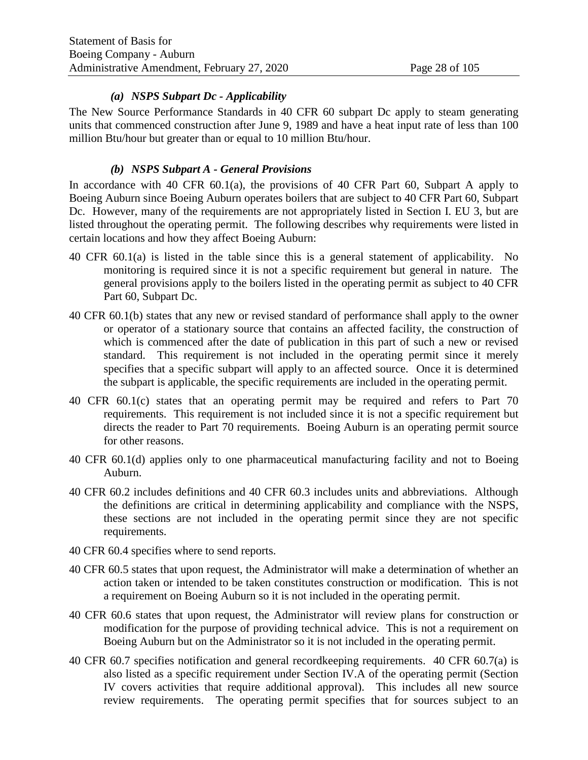#### *(a) NSPS Subpart Dc - Applicability*

The New Source Performance Standards in 40 CFR 60 subpart Dc apply to steam generating units that commenced construction after June 9, 1989 and have a heat input rate of less than 100 million Btu/hour but greater than or equal to 10 million Btu/hour.

#### *(b) NSPS Subpart A - General Provisions*

In accordance with 40 CFR 60.1(a), the provisions of 40 CFR Part 60, Subpart A apply to Boeing Auburn since Boeing Auburn operates boilers that are subject to 40 CFR Part 60, Subpart Dc. However, many of the requirements are not appropriately listed in Section I. EU 3, but are listed throughout the operating permit. The following describes why requirements were listed in certain locations and how they affect Boeing Auburn:

- 40 CFR 60.1(a) is listed in the table since this is a general statement of applicability. No monitoring is required since it is not a specific requirement but general in nature. The general provisions apply to the boilers listed in the operating permit as subject to 40 CFR Part 60, Subpart Dc.
- 40 CFR 60.1(b) states that any new or revised standard of performance shall apply to the owner or operator of a stationary source that contains an affected facility, the construction of which is commenced after the date of publication in this part of such a new or revised standard. This requirement is not included in the operating permit since it merely specifies that a specific subpart will apply to an affected source. Once it is determined the subpart is applicable, the specific requirements are included in the operating permit.
- 40 CFR 60.1(c) states that an operating permit may be required and refers to Part 70 requirements. This requirement is not included since it is not a specific requirement but directs the reader to Part 70 requirements. Boeing Auburn is an operating permit source for other reasons.
- 40 CFR 60.1(d) applies only to one pharmaceutical manufacturing facility and not to Boeing Auburn.
- 40 CFR 60.2 includes definitions and 40 CFR 60.3 includes units and abbreviations. Although the definitions are critical in determining applicability and compliance with the NSPS, these sections are not included in the operating permit since they are not specific requirements.
- 40 CFR 60.4 specifies where to send reports.
- 40 CFR 60.5 states that upon request, the Administrator will make a determination of whether an action taken or intended to be taken constitutes construction or modification. This is not a requirement on Boeing Auburn so it is not included in the operating permit.
- 40 CFR 60.6 states that upon request, the Administrator will review plans for construction or modification for the purpose of providing technical advice. This is not a requirement on Boeing Auburn but on the Administrator so it is not included in the operating permit.
- 40 CFR 60.7 specifies notification and general recordkeeping requirements. 40 CFR 60.7(a) is also listed as a specific requirement under Section IV.A of the operating permit (Section IV covers activities that require additional approval). This includes all new source review requirements. The operating permit specifies that for sources subject to an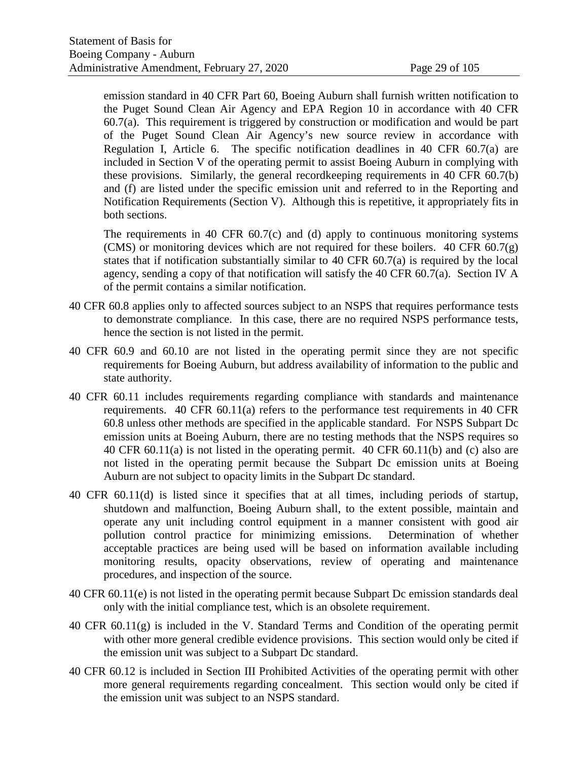emission standard in 40 CFR Part 60, Boeing Auburn shall furnish written notification to the Puget Sound Clean Air Agency and EPA Region 10 in accordance with 40 CFR 60.7(a). This requirement is triggered by construction or modification and would be part of the Puget Sound Clean Air Agency's new source review in accordance with Regulation I, Article 6. The specific notification deadlines in 40 CFR 60.7(a) are included in Section V of the operating permit to assist Boeing Auburn in complying with these provisions. Similarly, the general recordkeeping requirements in 40 CFR 60.7(b) and (f) are listed under the specific emission unit and referred to in the Reporting and Notification Requirements (Section V). Although this is repetitive, it appropriately fits in both sections.

The requirements in 40 CFR  $60.7(c)$  and (d) apply to continuous monitoring systems (CMS) or monitoring devices which are not required for these boilers. 40 CFR  $60.7(g)$ states that if notification substantially similar to 40 CFR 60.7(a) is required by the local agency, sending a copy of that notification will satisfy the 40 CFR 60.7(a). Section IV A of the permit contains a similar notification.

- 40 CFR 60.8 applies only to affected sources subject to an NSPS that requires performance tests to demonstrate compliance. In this case, there are no required NSPS performance tests, hence the section is not listed in the permit.
- 40 CFR 60.9 and 60.10 are not listed in the operating permit since they are not specific requirements for Boeing Auburn, but address availability of information to the public and state authority.
- 40 CFR 60.11 includes requirements regarding compliance with standards and maintenance requirements. 40 CFR 60.11(a) refers to the performance test requirements in 40 CFR 60.8 unless other methods are specified in the applicable standard. For NSPS Subpart Dc emission units at Boeing Auburn, there are no testing methods that the NSPS requires so 40 CFR 60.11(a) is not listed in the operating permit. 40 CFR 60.11(b) and (c) also are not listed in the operating permit because the Subpart Dc emission units at Boeing Auburn are not subject to opacity limits in the Subpart Dc standard.
- 40 CFR 60.11(d) is listed since it specifies that at all times, including periods of startup, shutdown and malfunction, Boeing Auburn shall, to the extent possible, maintain and operate any unit including control equipment in a manner consistent with good air pollution control practice for minimizing emissions. Determination of whether acceptable practices are being used will be based on information available including monitoring results, opacity observations, review of operating and maintenance procedures, and inspection of the source.
- 40 CFR 60.11(e) is not listed in the operating permit because Subpart Dc emission standards deal only with the initial compliance test, which is an obsolete requirement.
- 40 CFR 60.11(g) is included in the V. Standard Terms and Condition of the operating permit with other more general credible evidence provisions. This section would only be cited if the emission unit was subject to a Subpart Dc standard.
- 40 CFR 60.12 is included in Section III Prohibited Activities of the operating permit with other more general requirements regarding concealment. This section would only be cited if the emission unit was subject to an NSPS standard.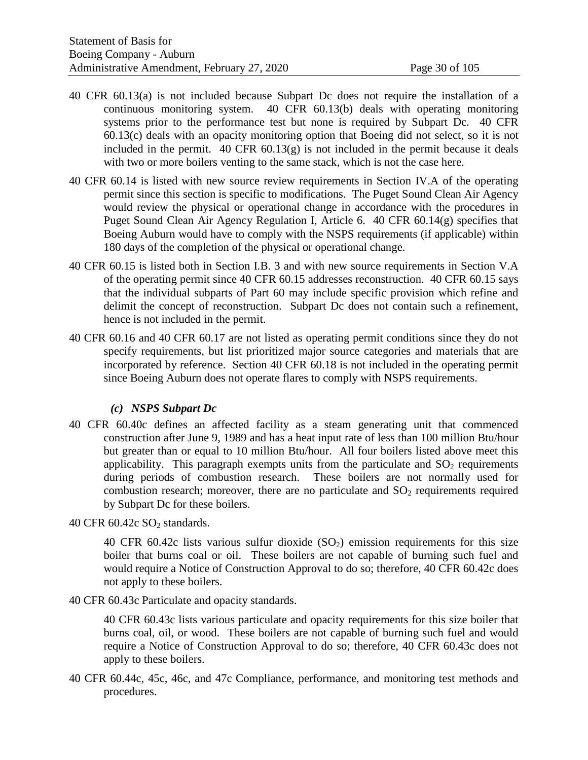- 40 CFR 60.13(a) is not included because Subpart Dc does not require the installation of a continuous monitoring system. 40 CFR 60.13(b) deals with operating monitoring systems prior to the performance test but none is required by Subpart Dc. 40 CFR 60.13(c) deals with an opacity monitoring option that Boeing did not select, so it is not included in the permit.  $40 \text{ CFR } 60.13(g)$  is not included in the permit because it deals with two or more boilers venting to the same stack, which is not the case here.
- 40 CFR 60.14 is listed with new source review requirements in Section IV.A of the operating permit since this section is specific to modifications. The Puget Sound Clean Air Agency would review the physical or operational change in accordance with the procedures in Puget Sound Clean Air Agency Regulation I, Article 6. 40 CFR 60.14(g) specifies that Boeing Auburn would have to comply with the NSPS requirements (if applicable) within 180 days of the completion of the physical or operational change.
- 40 CFR 60.15 is listed both in Section I.B. 3 and with new source requirements in Section V.A of the operating permit since 40 CFR 60.15 addresses reconstruction. 40 CFR 60.15 says that the individual subparts of Part 60 may include specific provision which refine and delimit the concept of reconstruction. Subpart Dc does not contain such a refinement, hence is not included in the permit.
- 40 CFR 60.16 and 40 CFR 60.17 are not listed as operating permit conditions since they do not specify requirements, but list prioritized major source categories and materials that are incorporated by reference. Section 40 CFR 60.18 is not included in the operating permit since Boeing Auburn does not operate flares to comply with NSPS requirements.

#### *(c) NSPS Subpart Dc*

40 CFR 60.40c defines an affected facility as a steam generating unit that commenced construction after June 9, 1989 and has a heat input rate of less than 100 million Btu/hour but greater than or equal to 10 million Btu/hour. All four boilers listed above meet this applicability. This paragraph exempts units from the particulate and  $SO_2$  requirements during periods of combustion research. These boilers are not normally used for combustion research; moreover, there are no particulate and  $SO<sub>2</sub>$  requirements required by Subpart Dc for these boilers.

40 CFR  $60.42c$  SO<sub>2</sub> standards.

40 CFR 60.42c lists various sulfur dioxide  $(SO<sub>2</sub>)$  emission requirements for this size boiler that burns coal or oil. These boilers are not capable of burning such fuel and would require a Notice of Construction Approval to do so; therefore, 40 CFR 60.42c does not apply to these boilers.

40 CFR 60.43c Particulate and opacity standards.

40 CFR 60.43c lists various particulate and opacity requirements for this size boiler that burns coal, oil, or wood. These boilers are not capable of burning such fuel and would require a Notice of Construction Approval to do so; therefore, 40 CFR 60.43c does not apply to these boilers.

40 CFR 60.44c, 45c, 46c, and 47c Compliance, performance, and monitoring test methods and procedures.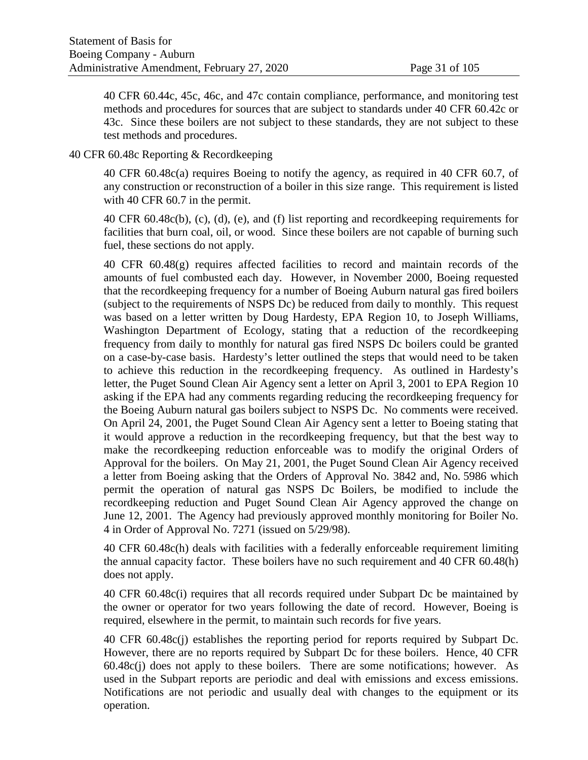40 CFR 60.44c, 45c, 46c, and 47c contain compliance, performance, and monitoring test methods and procedures for sources that are subject to standards under 40 CFR 60.42c or 43c. Since these boilers are not subject to these standards, they are not subject to these test methods and procedures.

#### 40 CFR 60.48c Reporting & Recordkeeping

40 CFR 60.48c(a) requires Boeing to notify the agency, as required in 40 CFR 60.7, of any construction or reconstruction of a boiler in this size range. This requirement is listed with 40 CFR 60.7 in the permit.

40 CFR 60.48c(b), (c), (d), (e), and (f) list reporting and recordkeeping requirements for facilities that burn coal, oil, or wood. Since these boilers are not capable of burning such fuel, these sections do not apply.

40 CFR 60.48(g) requires affected facilities to record and maintain records of the amounts of fuel combusted each day. However, in November 2000, Boeing requested that the recordkeeping frequency for a number of Boeing Auburn natural gas fired boilers (subject to the requirements of NSPS Dc) be reduced from daily to monthly. This request was based on a letter written by Doug Hardesty, EPA Region 10, to Joseph Williams, Washington Department of Ecology, stating that a reduction of the recordkeeping frequency from daily to monthly for natural gas fired NSPS Dc boilers could be granted on a case-by-case basis. Hardesty's letter outlined the steps that would need to be taken to achieve this reduction in the recordkeeping frequency. As outlined in Hardesty's letter, the Puget Sound Clean Air Agency sent a letter on April 3, 2001 to EPA Region 10 asking if the EPA had any comments regarding reducing the recordkeeping frequency for the Boeing Auburn natural gas boilers subject to NSPS Dc. No comments were received. On April 24, 2001, the Puget Sound Clean Air Agency sent a letter to Boeing stating that it would approve a reduction in the recordkeeping frequency, but that the best way to make the recordkeeping reduction enforceable was to modify the original Orders of Approval for the boilers. On May 21, 2001, the Puget Sound Clean Air Agency received a letter from Boeing asking that the Orders of Approval No. 3842 and, No. 5986 which permit the operation of natural gas NSPS Dc Boilers, be modified to include the recordkeeping reduction and Puget Sound Clean Air Agency approved the change on June 12, 2001. The Agency had previously approved monthly monitoring for Boiler No. 4 in Order of Approval No. 7271 (issued on 5/29/98).

40 CFR 60.48c(h) deals with facilities with a federally enforceable requirement limiting the annual capacity factor. These boilers have no such requirement and 40 CFR 60.48(h) does not apply.

40 CFR 60.48c(i) requires that all records required under Subpart Dc be maintained by the owner or operator for two years following the date of record. However, Boeing is required, elsewhere in the permit, to maintain such records for five years.

40 CFR 60.48c(j) establishes the reporting period for reports required by Subpart Dc. However, there are no reports required by Subpart Dc for these boilers. Hence, 40 CFR 60.48c(j) does not apply to these boilers. There are some notifications; however. As used in the Subpart reports are periodic and deal with emissions and excess emissions. Notifications are not periodic and usually deal with changes to the equipment or its operation.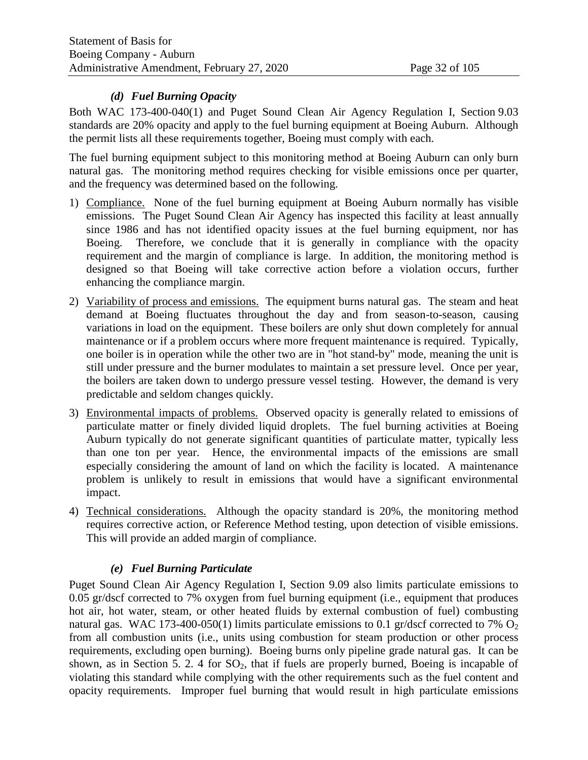#### *(d) Fuel Burning Opacity*

Both WAC 173-400-040(1) and Puget Sound Clean Air Agency Regulation I, Section 9.03 standards are 20% opacity and apply to the fuel burning equipment at Boeing Auburn. Although the permit lists all these requirements together, Boeing must comply with each.

The fuel burning equipment subject to this monitoring method at Boeing Auburn can only burn natural gas. The monitoring method requires checking for visible emissions once per quarter, and the frequency was determined based on the following.

- 1) Compliance. None of the fuel burning equipment at Boeing Auburn normally has visible emissions. The Puget Sound Clean Air Agency has inspected this facility at least annually since 1986 and has not identified opacity issues at the fuel burning equipment, nor has Boeing. Therefore, we conclude that it is generally in compliance with the opacity requirement and the margin of compliance is large. In addition, the monitoring method is designed so that Boeing will take corrective action before a violation occurs, further enhancing the compliance margin.
- 2) Variability of process and emissions. The equipment burns natural gas. The steam and heat demand at Boeing fluctuates throughout the day and from season-to-season, causing variations in load on the equipment. These boilers are only shut down completely for annual maintenance or if a problem occurs where more frequent maintenance is required. Typically, one boiler is in operation while the other two are in "hot stand-by" mode, meaning the unit is still under pressure and the burner modulates to maintain a set pressure level. Once per year, the boilers are taken down to undergo pressure vessel testing. However, the demand is very predictable and seldom changes quickly.
- 3) Environmental impacts of problems. Observed opacity is generally related to emissions of particulate matter or finely divided liquid droplets. The fuel burning activities at Boeing Auburn typically do not generate significant quantities of particulate matter, typically less than one ton per year. Hence, the environmental impacts of the emissions are small especially considering the amount of land on which the facility is located. A maintenance problem is unlikely to result in emissions that would have a significant environmental impact.
- 4) Technical considerations. Although the opacity standard is 20%, the monitoring method requires corrective action, or Reference Method testing, upon detection of visible emissions. This will provide an added margin of compliance.

#### *(e) Fuel Burning Particulate*

Puget Sound Clean Air Agency Regulation I, Section 9.09 also limits particulate emissions to 0.05 gr/dscf corrected to 7% oxygen from fuel burning equipment (i.e., equipment that produces hot air, hot water, steam, or other heated fluids by external combustion of fuel) combusting natural gas. WAC 173-400-050(1) limits particulate emissions to 0.1 gr/dscf corrected to 7%  $O_2$ from all combustion units (i.e., units using combustion for steam production or other process requirements, excluding open burning). Boeing burns only pipeline grade natural gas. It can be shown, as in Section [5. 2. 4](#page-13-0) for  $SO_2$ , that if fuels are properly burned, Boeing is incapable of violating this standard while complying with the other requirements such as the fuel content and opacity requirements. Improper fuel burning that would result in high particulate emissions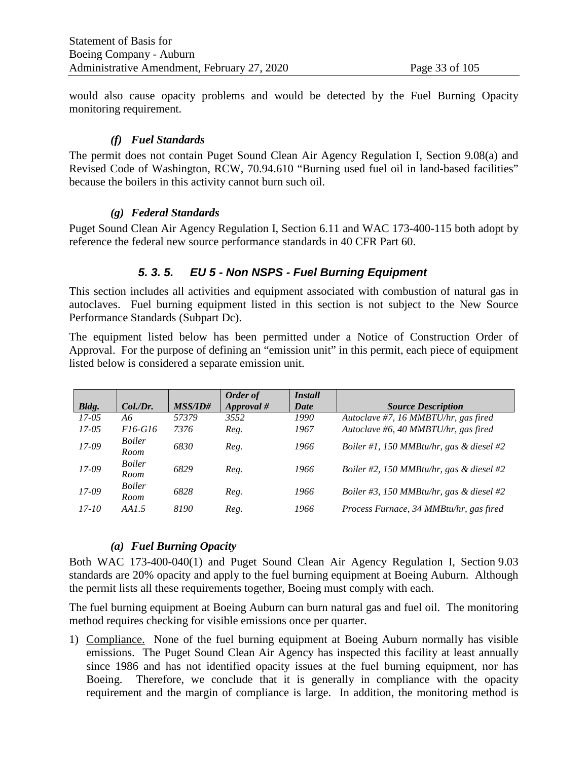would also cause opacity problems and would be detected by the Fuel Burning Opacity monitoring requirement.

#### *(f) Fuel Standards*

The permit does not contain Puget Sound Clean Air Agency Regulation I, Section 9.08(a) and Revised Code of Washington, RCW, 70.94.610 "Burning used fuel oil in land-based facilities" because the boilers in this activity cannot burn such oil.

#### *(g) Federal Standards*

Puget Sound Clean Air Agency Regulation I, Section 6.11 and WAC 173-400-115 both adopt by reference the federal new source performance standards in 40 CFR Part 60.

#### *5. 3. 5. EU 5 - Non NSPS - Fuel Burning Equipment*

This section includes all activities and equipment associated with combustion of natural gas in autoclaves. Fuel burning equipment listed in this section is not subject to the New Source Performance Standards (Subpart Dc).

The equipment listed below has been permitted under a Notice of Construction Order of Approval. For the purpose of defining an "emission unit" in this permit, each piece of equipment listed below is considered a separate emission unit.

|           |                       |                | Order of   | <i><b>Install</b></i> |                                          |
|-----------|-----------------------|----------------|------------|-----------------------|------------------------------------------|
| Bldg.     | Col.Dr.               | <b>MSS/ID#</b> | Approval # | Date                  | <b>Source Description</b>                |
| $17 - 05$ | Aб                    | 57379          | 3552       | 1990                  | Autoclave #7, 16 MMBTU/hr, gas fired     |
| $17 - 05$ | $F16-G16$             | 7376           | Reg.       | 1967                  | Autoclave #6, 40 MMBTU/hr, gas fired     |
| 17-09     | <i>Boiler</i><br>Room | 6830           | Reg.       | 1966                  | Boiler #1, 150 MMBtu/hr, gas & diesel #2 |
| 17-09     | <i>Boiler</i><br>Room | 6829           | Reg.       | 1966                  | Boiler #2, 150 MMBtu/hr, gas & diesel #2 |
| 17-09     | <i>Boiler</i><br>Room | 6828           | Reg.       | 1966                  | Boiler #3, 150 MMBtu/hr, gas & diesel #2 |
| $17 - 10$ | AA1.5                 | 8190           | Reg.       | 1966                  | Process Furnace, 34 MMBtu/hr, gas fired  |

#### *(a) Fuel Burning Opacity*

Both WAC 173-400-040(1) and Puget Sound Clean Air Agency Regulation I, Section 9.03 standards are 20% opacity and apply to the fuel burning equipment at Boeing Auburn. Although the permit lists all these requirements together, Boeing must comply with each.

The fuel burning equipment at Boeing Auburn can burn natural gas and fuel oil. The monitoring method requires checking for visible emissions once per quarter.

1) Compliance. None of the fuel burning equipment at Boeing Auburn normally has visible emissions. The Puget Sound Clean Air Agency has inspected this facility at least annually since 1986 and has not identified opacity issues at the fuel burning equipment, nor has Boeing. Therefore, we conclude that it is generally in compliance with the opacity requirement and the margin of compliance is large. In addition, the monitoring method is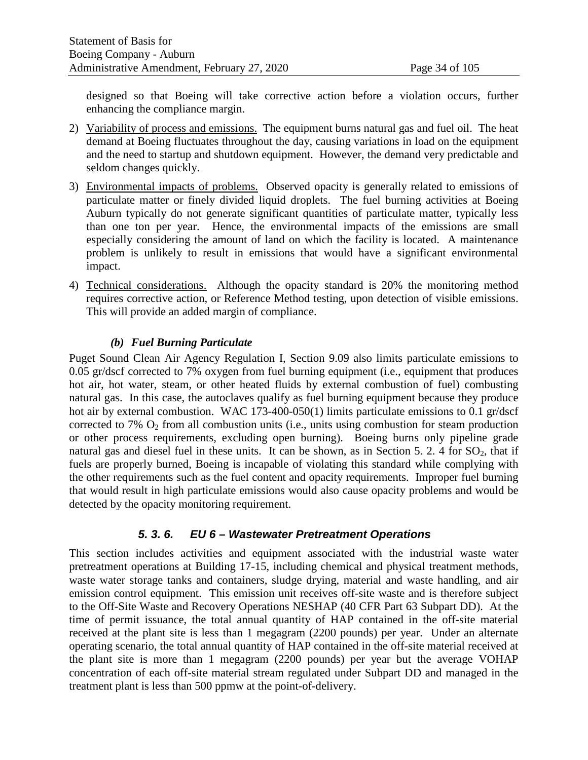designed so that Boeing will take corrective action before a violation occurs, further enhancing the compliance margin.

- 2) Variability of process and emissions. The equipment burns natural gas and fuel oil. The heat demand at Boeing fluctuates throughout the day, causing variations in load on the equipment and the need to startup and shutdown equipment. However, the demand very predictable and seldom changes quickly.
- 3) Environmental impacts of problems. Observed opacity is generally related to emissions of particulate matter or finely divided liquid droplets. The fuel burning activities at Boeing Auburn typically do not generate significant quantities of particulate matter, typically less than one ton per year. Hence, the environmental impacts of the emissions are small especially considering the amount of land on which the facility is located. A maintenance problem is unlikely to result in emissions that would have a significant environmental impact.
- 4) Technical considerations. Although the opacity standard is 20% the monitoring method requires corrective action, or Reference Method testing, upon detection of visible emissions. This will provide an added margin of compliance.

#### *(b) Fuel Burning Particulate*

Puget Sound Clean Air Agency Regulation I, Section 9.09 also limits particulate emissions to 0.05 gr/dscf corrected to 7% oxygen from fuel burning equipment (i.e., equipment that produces hot air, hot water, steam, or other heated fluids by external combustion of fuel) combusting natural gas. In this case, the autoclaves qualify as fuel burning equipment because they produce hot air by external combustion. WAC 173-400-050(1) limits particulate emissions to 0.1 gr/dscf corrected to 7%  $O_2$  from all combustion units (i.e., units using combustion for steam production or other process requirements, excluding open burning). Boeing burns only pipeline grade natural gas and diesel fuel in these units. It can be shown, as in Section [5. 2. 4](#page-13-0) for  $SO_2$ , that if fuels are properly burned, Boeing is incapable of violating this standard while complying with the other requirements such as the fuel content and opacity requirements. Improper fuel burning that would result in high particulate emissions would also cause opacity problems and would be detected by the opacity monitoring requirement.

# *5. 3. 6. EU 6 – Wastewater Pretreatment Operations*

This section includes activities and equipment associated with the industrial waste water pretreatment operations at Building 17-15, including chemical and physical treatment methods, waste water storage tanks and containers, sludge drying, material and waste handling, and air emission control equipment. This emission unit receives off-site waste and is therefore subject to the Off-Site Waste and Recovery Operations NESHAP (40 CFR Part 63 Subpart DD). At the time of permit issuance, the total annual quantity of HAP contained in the off-site material received at the plant site is less than 1 megagram (2200 pounds) per year. Under an alternate operating scenario, the total annual quantity of HAP contained in the off-site material received at the plant site is more than 1 megagram (2200 pounds) per year but the average VOHAP concentration of each off-site material stream regulated under Subpart DD and managed in the treatment plant is less than 500 ppmw at the point-of-delivery.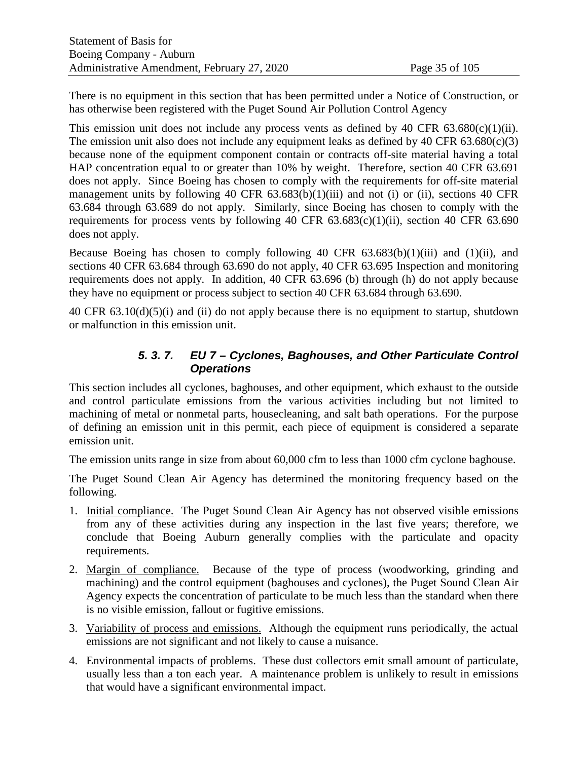There is no equipment in this section that has been permitted under a Notice of Construction, or has otherwise been registered with the Puget Sound Air Pollution Control Agency

This emission unit does not include any process vents as defined by 40 CFR  $63.680(c)(1)(ii)$ . The emission unit also does not include any equipment leaks as defined by 40 CFR  $63.680(c)(3)$ because none of the equipment component contain or contracts off-site material having a total HAP concentration equal to or greater than 10% by weight. Therefore, section 40 CFR 63.691 does not apply. Since Boeing has chosen to comply with the requirements for off-site material management units by following 40 CFR  $63.683(b)(1)(iii)$  and not (i) or (ii), sections 40 CFR 63.684 through 63.689 do not apply. Similarly, since Boeing has chosen to comply with the requirements for process vents by following 40 CFR  $63.683(c)(1)(ii)$ , section 40 CFR  $63.690$ does not apply.

Because Boeing has chosen to comply following 40 CFR  $63.683(b)(1)(iii)$  and  $(1)(ii)$ , and sections 40 CFR 63.684 through 63.690 do not apply, 40 CFR 63.695 Inspection and monitoring requirements does not apply. In addition, 40 CFR 63.696 (b) through (h) do not apply because they have no equipment or process subject to section 40 CFR 63.684 through 63.690.

40 CFR 63.10(d)(5)(i) and (ii) do not apply because there is no equipment to startup, shutdown or malfunction in this emission unit.

# *5. 3. 7. EU 7 – Cyclones, Baghouses, and Other Particulate Control Operations*

This section includes all cyclones, baghouses, and other equipment, which exhaust to the outside and control particulate emissions from the various activities including but not limited to machining of metal or nonmetal parts, housecleaning, and salt bath operations. For the purpose of defining an emission unit in this permit, each piece of equipment is considered a separate emission unit.

The emission units range in size from about 60,000 cfm to less than 1000 cfm cyclone baghouse.

The Puget Sound Clean Air Agency has determined the monitoring frequency based on the following.

- 1. Initial compliance. The Puget Sound Clean Air Agency has not observed visible emissions from any of these activities during any inspection in the last five years; therefore, we conclude that Boeing Auburn generally complies with the particulate and opacity requirements.
- 2. Margin of compliance. Because of the type of process (woodworking, grinding and machining) and the control equipment (baghouses and cyclones), the Puget Sound Clean Air Agency expects the concentration of particulate to be much less than the standard when there is no visible emission, fallout or fugitive emissions.
- 3. Variability of process and emissions. Although the equipment runs periodically, the actual emissions are not significant and not likely to cause a nuisance.
- 4. Environmental impacts of problems. These dust collectors emit small amount of particulate, usually less than a ton each year. A maintenance problem is unlikely to result in emissions that would have a significant environmental impact.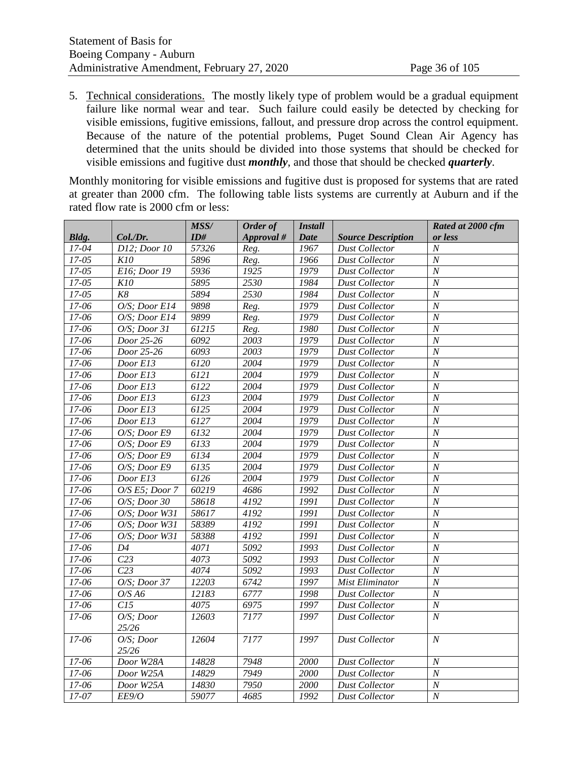5. Technical considerations. The mostly likely type of problem would be a gradual equipment failure like normal wear and tear. Such failure could easily be detected by checking for visible emissions, fugitive emissions, fallout, and pressure drop across the control equipment. Because of the nature of the potential problems, Puget Sound Clean Air Agency has determined that the units should be divided into those systems that should be checked for visible emissions and fugitive dust *monthly*, and those that should be checked *quarterly*.

Monthly monitoring for visible emissions and fugitive dust is proposed for systems that are rated at greater than 2000 cfm. The following table lists systems are currently at Auburn and if the rated flow rate is 2000 cfm or less:

|           |                  | MSS/          | Order of          | <i>Install</i> |                           | Rated at 2000 cfm |
|-----------|------------------|---------------|-------------------|----------------|---------------------------|-------------------|
| Bldg.     | Col./Dr.         | ID#           | Approval #        | Date           | <b>Source Description</b> | or less           |
| $17 - 04$ | D12; Door 10     | 57326         | Reg.              | 1967           | <b>Dust Collector</b>     | $\boldsymbol{N}$  |
| $17 - 05$ | K10              | 5896          | Reg.              | 1966           | <b>Dust Collector</b>     | $\boldsymbol{N}$  |
| $17 - 05$ | E16; Door 19     | 5936          | 1925              | 1979           | <b>Dust Collector</b>     | $\overline{N}$    |
| $17 - 05$ | K10              | 5895          | 2530              | 1984           | <b>Dust Collector</b>     | $\overline{N}$    |
| $17 - 05$ | K8               | 5894          | 2530              | 1984           | <b>Dust Collector</b>     | $\overline{N}$    |
| 17-06     | O/S; Door E14    | 9898          | Reg.              | 1979           | <b>Dust Collector</b>     | $\boldsymbol{N}$  |
| 17-06     | O/S; Door E14    | 9899          | Reg.              | 1979           | <b>Dust Collector</b>     | $\cal N$          |
| $17 - 06$ | O/S; Door 31     | 61215         | Reg.              | 1980           | <b>Dust Collector</b>     | $\overline{N}$    |
| $17 - 06$ | Door 25-26       | $\sqrt{6092}$ | 2003              | 1979           | <b>Dust Collector</b>     | $\overline{N}$    |
| 17-06     | Door 25-26       | 6093          | 2003              | 1979           | <b>Dust Collector</b>     | $\overline{N}$    |
| $17 - 06$ | Door E13         | 6120          | 2004              | 1979           | <b>Dust Collector</b>     | $\overline{N}$    |
| 17-06     | Door E13         | 6121          | 2004              | 1979           | <b>Dust Collector</b>     | $\overline{N}$    |
| 17-06     | Door E13         | 6122          | $20\overline{04}$ | 1979           | <b>Dust Collector</b>     | $\overline{N}$    |
| $17-06$   | Door E13         | 6123          | 2004              | 1979           | <b>Dust Collector</b>     | $\overline{N}$    |
| 17-06     | Door E13         | 6125          | 2004              | 1979           | <b>Dust Collector</b>     | $\boldsymbol{N}$  |
| 17-06     | Door E13         | 6127          | 2004              | 1979           | <b>Dust Collector</b>     | $\boldsymbol{N}$  |
| $17 - 06$ | O/S; Door E9     | 6132          | $20\overline{04}$ | 1979           | <b>Dust Collector</b>     | $\overline{N}$    |
| 17-06     | O/S; Door E9     | 6133          | 2004              | 1979           | <b>Dust Collector</b>     | $\overline{N}$    |
| 17-06     | $O/S$ : Door E9  | 6134          | 2004              | 1979           | <b>Dust Collector</b>     | $\overline{N}$    |
| 17-06     | $O/S$ : Door E9  | 6135          | 2004              | 1979           | <b>Dust Collector</b>     | $\boldsymbol{N}$  |
| 17-06     | Door E13         | 6126          | 2004              | 1979           | <b>Dust Collector</b>     | $\overline{N}$    |
| 17-06     | $O/S$ E5; Door 7 | 60219         | 4686              | 1992           | <b>Dust Collector</b>     | $\overline{N}$    |
| $17-06$   | $O/S$ ; Door 30  | 58618         | 4192              | 1991           | <b>Dust Collector</b>     | $\overline{N}$    |
| 17-06     | O/S; Door W31    | 58617         | 4192              | 1991           | <b>Dust Collector</b>     | $\cal N$          |
| 17-06     | O/S; Door W31    | 58389         | 4192              | 1991           | <b>Dust Collector</b>     | $\overline{N}$    |
| 17-06     | O/S; Door W31    | 58388         | 4192              | 1991           | <b>Dust Collector</b>     | $\overline{N}$    |
| 17-06     | D4               | 4071          | 5092              | 1993           | <b>Dust Collector</b>     | $\overline{N}$    |
| 17-06     | C <sub>23</sub>  | 4073          | 5092              | 1993           | <b>Dust Collector</b>     | $\boldsymbol{N}$  |
| 17-06     | C <sub>23</sub>  | 4074          | 5092              | 1993           | <b>Dust Collector</b>     | $\boldsymbol{N}$  |
| $17 - 06$ | $O/S$ ; Door 37  | 12203         | 6742              | 1997           | <b>Mist Eliminator</b>    | $\overline{N}$    |
| 17-06     | $O/S$ A6         | 12183         | 6777              | 1998           | <b>Dust Collector</b>     | $\boldsymbol{N}$  |
| 17-06     | C15              | 4075          | 6975              | 1997           | <b>Dust Collector</b>     | $\overline{N}$    |
| 17-06     | O/S; Door        | 12603         | 7177              | 1997           | <b>Dust Collector</b>     | $\boldsymbol{N}$  |
|           | 25/26            |               |                   |                |                           |                   |
| 17-06     | O/S; Door        | 12604         | 7177              | 1997           | <b>Dust Collector</b>     | N                 |
|           | 25/26            |               |                   |                |                           |                   |
| 17-06     | Door W28A        | 14828         | 7948              | 2000           | <b>Dust Collector</b>     | $\boldsymbol{N}$  |
| 17-06     | Door W25A        | 14829         | 7949              | 2000           | <b>Dust Collector</b>     | $\boldsymbol{N}$  |
| 17-06     | Door W25A        | 14830         | 7950              | 2000           | <b>Dust Collector</b>     | $\boldsymbol{N}$  |
| $17 - 07$ | EE9/O            | 59077         | 4685              | 1992           | <b>Dust Collector</b>     | $\overline{N}$    |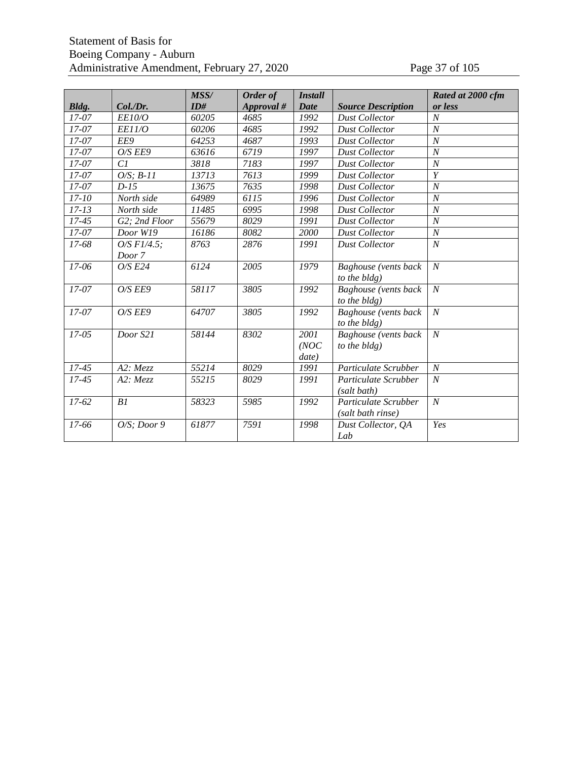### Statement of Basis for Boeing Company - Auburn Administrative Amendment, February 27, 2020 Page 37 of 105

|           |                  | MSS/  | Order of   | <b>Install</b> |                           | Rated at 2000 cfm |
|-----------|------------------|-------|------------|----------------|---------------------------|-------------------|
| Bldg.     | Col./Dr.         | ID#   | Approval # | <b>Date</b>    | <b>Source Description</b> | or less           |
| $17 - 07$ | <i>EE10/O</i>    | 60205 | 4685       | 1992           | <b>Dust Collector</b>     | $\boldsymbol{N}$  |
| $17-07$   | <b>EE11/O</b>    | 60206 | 4685       | 1992           | <b>Dust Collector</b>     | $\overline{N}$    |
| $17 - 07$ | EE9              | 64253 | 4687       | 1993           | <b>Dust Collector</b>     | $\overline{N}$    |
| $17 - 07$ | O/S EE9          | 63616 | 6719       | 1997           | <b>Dust Collector</b>     | $\overline{N}$    |
| $17 - 07$ | Cl               | 3818  | 7183       | 1997           | <b>Dust Collector</b>     | $\boldsymbol{N}$  |
| $17 - 07$ | $O/S: B-11$      | 13713 | 7613       | 1999           | <b>Dust Collector</b>     | $\overline{Y}$    |
| 17-07     | $D-15$           | 13675 | 7635       | 1998           | <b>Dust Collector</b>     | $\boldsymbol{N}$  |
| $17 - 10$ | North side       | 64989 | 6115       | 1996           | <b>Dust Collector</b>     | $\boldsymbol{N}$  |
| $17 - 13$ | North side       | 11485 | 6995       | 1998           | <b>Dust Collector</b>     | $\overline{N}$    |
| $17 - 45$ | G2; 2nd Floor    | 55679 | 8029       | 1991           | <b>Dust Collector</b>     | $\boldsymbol{N}$  |
| 17-07     | Door W19         | 16186 | 8082       | 2000           | <b>Dust Collector</b>     | $\cal N$          |
| 17-68     | $O/S$ F1/4.5:    | 8763  | 2876       | 1991           | <b>Dust Collector</b>     | $\boldsymbol{N}$  |
|           | Door 7           |       |            |                |                           |                   |
| 17-06     | $O/S$ $E24$      | 6124  | 2005       | 1979           | Baghouse (vents back      | $\cal N$          |
|           |                  |       |            |                | to the bldg)              |                   |
| $17 - 07$ | O/S EE9          | 58117 | 3805       | 1992           | Baghouse (vents back      | $\boldsymbol{N}$  |
|           |                  |       |            |                | to the bldg)              |                   |
| $17 - 07$ | O/S EE9          | 64707 | 3805       | 1992           | Baghouse (vents back      | $\cal N$          |
|           |                  |       |            |                | to the bldg)              |                   |
| $17 - 05$ | Door S21         | 58144 | 8302       | 2001           | Baghouse (vents back      | $\cal N$          |
|           |                  |       |            | (NOC)          | to the bldg)              |                   |
|           |                  |       |            | date)          |                           |                   |
| $17 - 45$ | A2: Mezz         | 55214 | 8029       | 1991           | Particulate Scrubber      | $\boldsymbol{N}$  |
| $17 - 45$ | A2:Mezz          | 55215 | 8029       | 1991           | Particulate Scrubber      | $\boldsymbol{N}$  |
|           |                  |       |            |                | (salt bath)               |                   |
| $17 - 62$ | B1               | 58323 | 5985       | 1992           | Particulate Scrubber      | $\cal N$          |
|           |                  |       |            |                | (salt bath rinse)         |                   |
| 17-66     | $O/S$ ; Door $9$ | 61877 | 7591       | 1998           | Dust Collector, QA        | Yes               |
|           |                  |       |            |                | Lab                       |                   |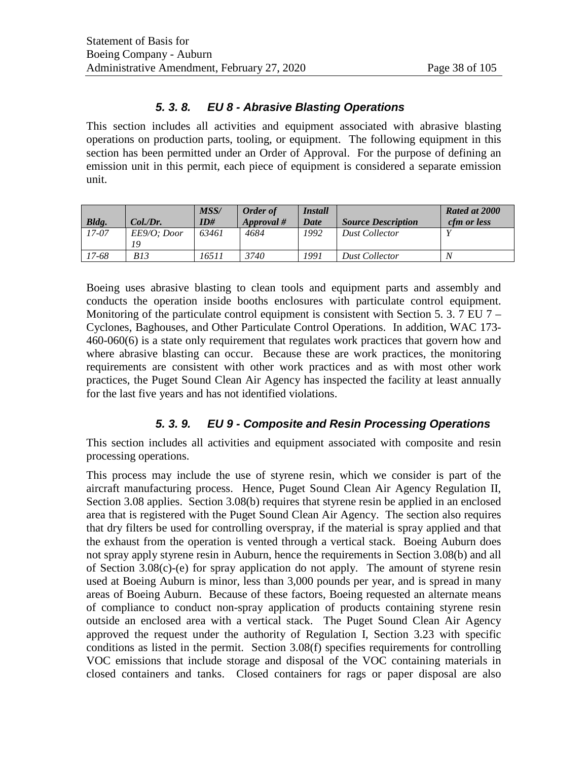### *5. 3. 8. EU 8 - Abrasive Blasting Operations*

This section includes all activities and equipment associated with abrasive blasting operations on production parts, tooling, or equipment. The following equipment in this section has been permitted under an Order of Approval. For the purpose of defining an emission unit in this permit, each piece of equipment is considered a separate emission unit.

| Bldg.   | Col.Dr.           | MSS/<br>ID# | Order of<br>$Approval$ # | <i><b>Install</b></i><br>Date | <b>Source Description</b> | Rated at 2000<br><i>cfm or less</i> |
|---------|-------------------|-------------|--------------------------|-------------------------------|---------------------------|-------------------------------------|
| $17-07$ | EE9/0: Door<br>19 | 63461       | 4684                     | 1992                          | <b>Dust Collector</b>     |                                     |
| 17-68   | <i>B13</i>        | 16511       | 3740                     | 1991                          | <b>Dust Collector</b>     | N                                   |

Boeing uses abrasive blasting to clean tools and equipment parts and assembly and conducts the operation inside booths enclosures with particulate control equipment. Monitoring of the particulate control equipment is consistent with Section [5. 3. 7](#page-34-0) [EU 7 –](#page-34-0) [Cyclones, Baghouses, and Other Particulate Control Operations.](#page-34-0) In addition, WAC 173- 460-060(6) is a state only requirement that regulates work practices that govern how and where abrasive blasting can occur. Because these are work practices, the monitoring requirements are consistent with other work practices and as with most other work practices, the Puget Sound Clean Air Agency has inspected the facility at least annually for the last five years and has not identified violations.

# *5. 3. 9. EU 9 - Composite and Resin Processing Operations*

This section includes all activities and equipment associated with composite and resin processing operations.

This process may include the use of styrene resin, which we consider is part of the aircraft manufacturing process. Hence, Puget Sound Clean Air Agency Regulation II, Section 3.08 applies. Section 3.08(b) requires that styrene resin be applied in an enclosed area that is registered with the Puget Sound Clean Air Agency. The section also requires that dry filters be used for controlling overspray, if the material is spray applied and that the exhaust from the operation is vented through a vertical stack. Boeing Auburn does not spray apply styrene resin in Auburn, hence the requirements in Section 3.08(b) and all of Section 3.08(c)-(e) for spray application do not apply. The amount of styrene resin used at Boeing Auburn is minor, less than 3,000 pounds per year, and is spread in many areas of Boeing Auburn. Because of these factors, Boeing requested an alternate means of compliance to conduct non-spray application of products containing styrene resin outside an enclosed area with a vertical stack. The Puget Sound Clean Air Agency approved the request under the authority of Regulation I, Section 3.23 with specific conditions as listed in the permit. Section 3.08(f) specifies requirements for controlling VOC emissions that include storage and disposal of the VOC containing materials in closed containers and tanks. Closed containers for rags or paper disposal are also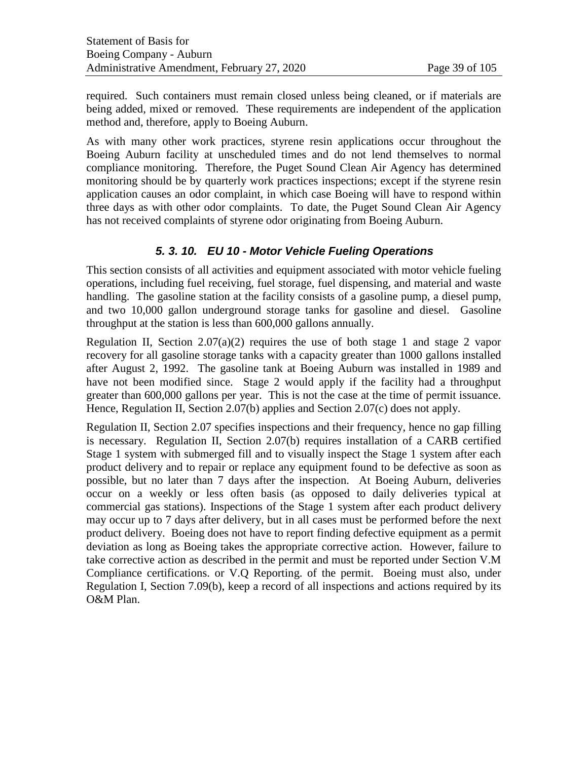required. Such containers must remain closed unless being cleaned, or if materials are being added, mixed or removed. These requirements are independent of the application method and, therefore, apply to Boeing Auburn.

As with many other work practices, styrene resin applications occur throughout the Boeing Auburn facility at unscheduled times and do not lend themselves to normal compliance monitoring. Therefore, the Puget Sound Clean Air Agency has determined monitoring should be by quarterly work practices inspections; except if the styrene resin application causes an odor complaint, in which case Boeing will have to respond within three days as with other odor complaints. To date, the Puget Sound Clean Air Agency has not received complaints of styrene odor originating from Boeing Auburn.

# *5. 3. 10. EU 10 - Motor Vehicle Fueling Operations*

This section consists of all activities and equipment associated with motor vehicle fueling operations, including fuel receiving, fuel storage, fuel dispensing, and material and waste handling. The gasoline station at the facility consists of a gasoline pump, a diesel pump, and two 10,000 gallon underground storage tanks for gasoline and diesel. Gasoline throughput at the station is less than 600,000 gallons annually.

Regulation II, Section 2.07(a)(2) requires the use of both stage 1 and stage 2 vapor recovery for all gasoline storage tanks with a capacity greater than 1000 gallons installed after August 2, 1992. The gasoline tank at Boeing Auburn was installed in 1989 and have not been modified since. Stage 2 would apply if the facility had a throughput greater than 600,000 gallons per year. This is not the case at the time of permit issuance. Hence, Regulation II, Section 2.07(b) applies and Section 2.07(c) does not apply.

Regulation II, Section 2.07 specifies inspections and their frequency, hence no gap filling is necessary. Regulation II, Section 2.07(b) requires installation of a CARB certified Stage 1 system with submerged fill and to visually inspect the Stage 1 system after each product delivery and to repair or replace any equipment found to be defective as soon as possible, but no later than 7 days after the inspection. At Boeing Auburn, deliveries occur on a weekly or less often basis (as opposed to daily deliveries typical at commercial gas stations). Inspections of the Stage 1 system after each product delivery may occur up to 7 days after delivery, but in all cases must be performed before the next product delivery. Boeing does not have to report finding defective equipment as a permit deviation as long as Boeing takes the appropriate corrective action. However, failure to take corrective action as described in the permit and must be reported under Section V.M Compliance certifications. or V.Q Reporting. of the permit. Boeing must also, under Regulation I, Section 7.09(b), keep a record of all inspections and actions required by its O&M Plan.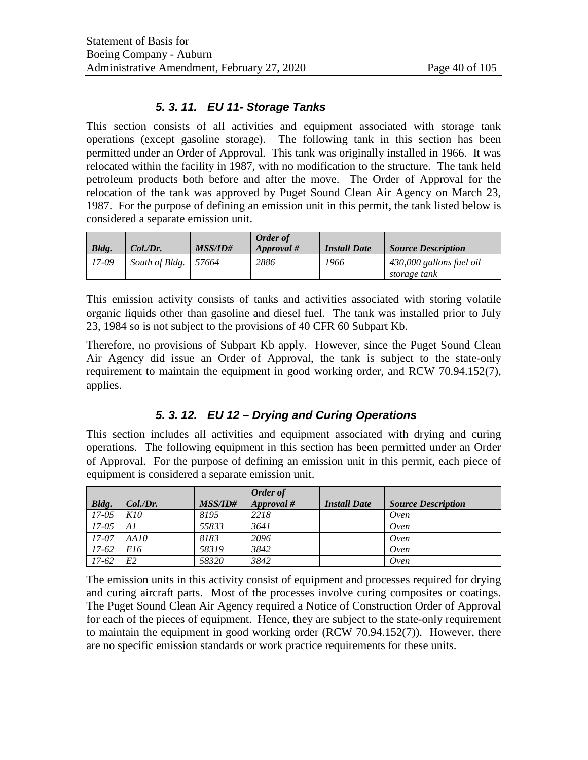# *5. 3. 11. EU 11- Storage Tanks*

This section consists of all activities and equipment associated with storage tank operations (except gasoline storage). The following tank in this section has been permitted under an Order of Approval. This tank was originally installed in 1966. It was relocated within the facility in 1987, with no modification to the structure. The tank held petroleum products both before and after the move. The Order of Approval for the relocation of the tank was approved by Puget Sound Clean Air Agency on March 23, 1987. For the purpose of defining an emission unit in this permit, the tank listed below is considered a separate emission unit.

| Bldg.   | Col.Dr.        | <i>MSS/ID#</i> | <b>Order of</b><br>$\it{Approxal\#}$ | <b>Install Date</b> | <b>Source Description</b>                |
|---------|----------------|----------------|--------------------------------------|---------------------|------------------------------------------|
| $17-09$ | South of Bldg. | 57664          | 2886                                 | 1966                | 430,000 gallons fuel oil<br>storage tank |

This emission activity consists of tanks and activities associated with storing volatile organic liquids other than gasoline and diesel fuel. The tank was installed prior to July 23, 1984 so is not subject to the provisions of 40 CFR 60 Subpart Kb.

Therefore, no provisions of Subpart Kb apply. However, since the Puget Sound Clean Air Agency did issue an Order of Approval, the tank is subject to the state-only requirement to maintain the equipment in good working order, and RCW 70.94.152(7), applies.

# *5. 3. 12. EU 12 – Drying and Curing Operations*

This section includes all activities and equipment associated with drying and curing operations. The following equipment in this section has been permitted under an Order of Approval. For the purpose of defining an emission unit in this permit, each piece of equipment is considered a separate emission unit.

|         |         |                | Order of     |                     |                           |
|---------|---------|----------------|--------------|---------------------|---------------------------|
| Bldg.   | Col.Dr. | <b>MSS/ID#</b> | $Approval\#$ | <b>Install Date</b> | <b>Source Description</b> |
| $17-05$ | K10     | 8195           | 2218         |                     | Oven                      |
| $17-05$ | A1      | 55833          | 3641         |                     | Oven                      |
| 17-07   | AA10    | 8183           | 2096         |                     | Oven                      |
| 17-62   | E16     | 58319          | 3842         |                     | Oven                      |
| $17-62$ | E2      | 58320          | 3842         |                     | Oven                      |

The emission units in this activity consist of equipment and processes required for drying and curing aircraft parts. Most of the processes involve curing composites or coatings. The Puget Sound Clean Air Agency required a Notice of Construction Order of Approval for each of the pieces of equipment. Hence, they are subject to the state-only requirement to maintain the equipment in good working order (RCW 70.94.152(7)). However, there are no specific emission standards or work practice requirements for these units.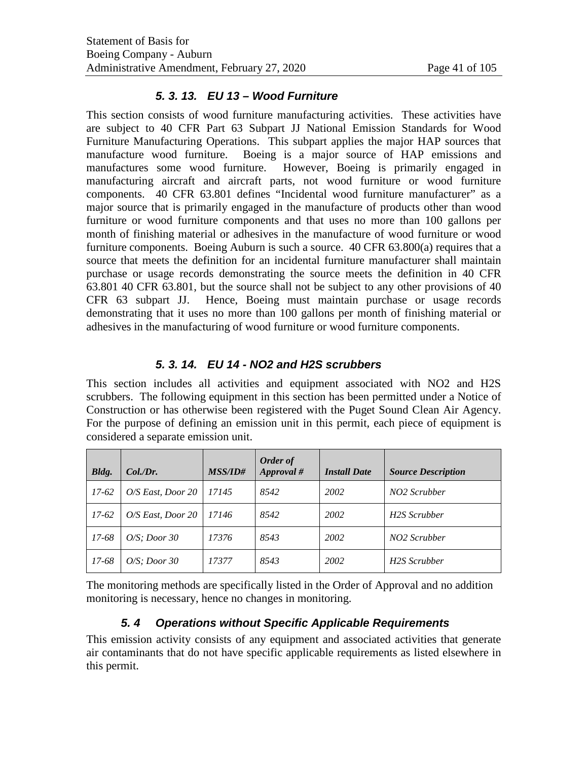### *5. 3. 13. EU 13 – Wood Furniture*

This section consists of wood furniture manufacturing activities. These activities have are subject to 40 CFR Part 63 Subpart JJ National Emission Standards for Wood Furniture Manufacturing Operations. This subpart applies the major HAP sources that manufacture wood furniture. Boeing is a major source of HAP emissions and manufactures some wood furniture. However, Boeing is primarily engaged in manufacturing aircraft and aircraft parts, not wood furniture or wood furniture components. 40 CFR 63.801 defines "Incidental wood furniture manufacturer" as a major source that is primarily engaged in the manufacture of products other than wood furniture or wood furniture components and that uses no more than 100 gallons per month of finishing material or adhesives in the manufacture of wood furniture or wood furniture components. Boeing Auburn is such a source. 40 CFR 63.800(a) requires that a source that meets the definition for an incidental furniture manufacturer shall maintain purchase or usage records demonstrating the source meets the definition in 40 CFR 63.801 40 CFR 63.801, but the source shall not be subject to any other provisions of 40 CFR 63 subpart JJ. Hence, Boeing must maintain purchase or usage records demonstrating that it uses no more than 100 gallons per month of finishing material or adhesives in the manufacturing of wood furniture or wood furniture components.

### *5. 3. 14. EU 14 - NO2 and H2S scrubbers*

This section includes all activities and equipment associated with NO2 and H2S scrubbers. The following equipment in this section has been permitted under a Notice of Construction or has otherwise been registered with the Puget Sound Clean Air Agency. For the purpose of defining an emission unit in this permit, each piece of equipment is considered a separate emission unit.

| Bldg.   | Col.Dr.           | <i>MSS/ID#</i> | Order of<br>Approval # | <b>Install Date</b> | <b>Source Description</b> |
|---------|-------------------|----------------|------------------------|---------------------|---------------------------|
| $17-62$ | O/S East, Door 20 | 17145          | 8542                   | 2002                | NO <sub>2</sub> Scrubber  |
| $17-62$ | O/S East, Door 20 | 17146          | 8542                   | 2002                | H2S Scrubber              |
| 17-68   | $O/S$ : Door 30   | 17376          | 8543                   | 2002                | NO2 Scrubber              |
| 17-68   | $O/S$ : Door 30   | 17377          | 8543                   | 2002                | H2S Scrubber              |

The monitoring methods are specifically listed in the Order of Approval and no addition monitoring is necessary, hence no changes in monitoring.

# *5. 4 Operations without Specific Applicable Requirements*

This emission activity consists of any equipment and associated activities that generate air contaminants that do not have specific applicable requirements as listed elsewhere in this permit.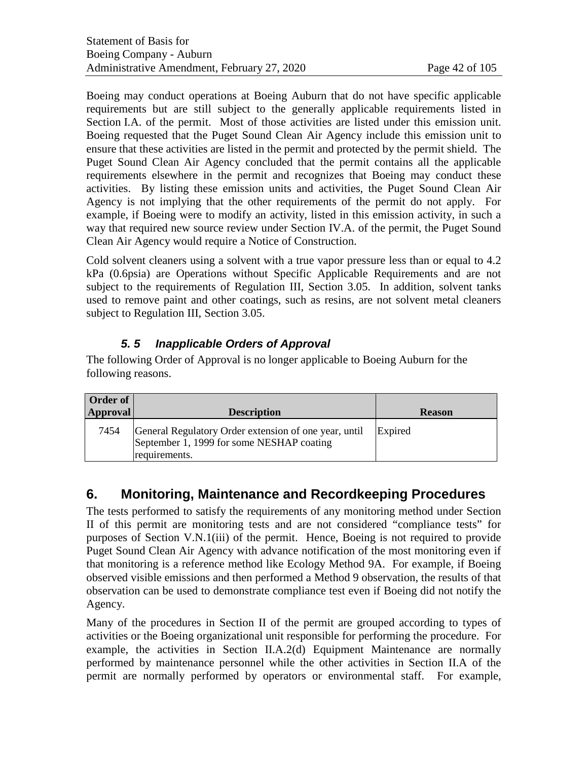Boeing may conduct operations at Boeing Auburn that do not have specific applicable requirements but are still subject to the generally applicable requirements listed in Section I.A. of the permit. Most of those activities are listed under this emission unit. Boeing requested that the Puget Sound Clean Air Agency include this emission unit to ensure that these activities are listed in the permit and protected by the permit shield. The Puget Sound Clean Air Agency concluded that the permit contains all the applicable requirements elsewhere in the permit and recognizes that Boeing may conduct these activities. By listing these emission units and activities, the Puget Sound Clean Air Agency is not implying that the other requirements of the permit do not apply. For example, if Boeing were to modify an activity, listed in this emission activity, in such a way that required new source review under Section IV.A. of the permit, the Puget Sound Clean Air Agency would require a Notice of Construction.

Cold solvent cleaners using a solvent with a true vapor pressure less than or equal to 4.2 kPa (0.6psia) are Operations without Specific Applicable Requirements and are not subject to the requirements of Regulation III, Section 3.05. In addition, solvent tanks used to remove paint and other coatings, such as resins, are not solvent metal cleaners subject to Regulation III, Section 3.05.

# *5. 5 Inapplicable Orders of Approval*

The following Order of Approval is no longer applicable to Boeing Auburn for the following reasons.

| <b>Description</b>                                                                                 | <b>Reason</b> |
|----------------------------------------------------------------------------------------------------|---------------|
| General Regulatory Order extension of one year, until<br>September 1, 1999 for some NESHAP coating | Expired       |
|                                                                                                    | requirements. |

# **6. Monitoring, Maintenance and Recordkeeping Procedures**

The tests performed to satisfy the requirements of any monitoring method under Section II of this permit are monitoring tests and are not considered "compliance tests" for purposes of Section V.N.1(iii) of the permit. Hence, Boeing is not required to provide Puget Sound Clean Air Agency with advance notification of the most monitoring even if that monitoring is a reference method like Ecology Method 9A. For example, if Boeing observed visible emissions and then performed a Method 9 observation, the results of that observation can be used to demonstrate compliance test even if Boeing did not notify the Agency.

Many of the procedures in Section II of the permit are grouped according to types of activities or the Boeing organizational unit responsible for performing the procedure. For example, the activities in Section II.A.2(d) Equipment Maintenance are normally performed by maintenance personnel while the other activities in Section II.A of the permit are normally performed by operators or environmental staff. For example,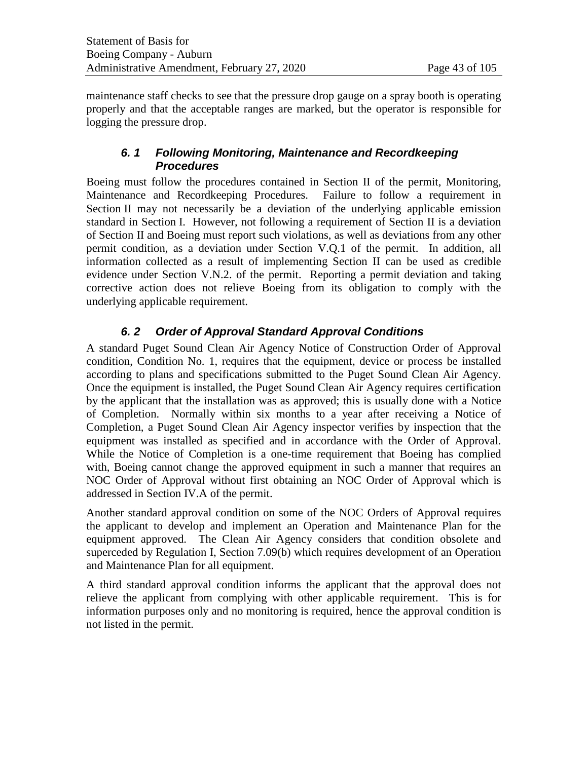maintenance staff checks to see that the pressure drop gauge on a spray booth is operating properly and that the acceptable ranges are marked, but the operator is responsible for logging the pressure drop.

# *6. 1 Following Monitoring, Maintenance and Recordkeeping Procedures*

Boeing must follow the procedures contained in Section II of the permit, Monitoring, Maintenance and Recordkeeping Procedures. Failure to follow a requirement in Section II may not necessarily be a deviation of the underlying applicable emission standard in Section I. However, not following a requirement of Section II is a deviation of Section II and Boeing must report such violations, as well as deviations from any other permit condition, as a deviation under Section V.Q.1 of the permit. In addition, all information collected as a result of implementing Section II can be used as credible evidence under Section V.N.2. of the permit. Reporting a permit deviation and taking corrective action does not relieve Boeing from its obligation to comply with the underlying applicable requirement.

# *6. 2 Order of Approval Standard Approval Conditions*

A standard Puget Sound Clean Air Agency Notice of Construction Order of Approval condition, Condition No. 1, requires that the equipment, device or process be installed according to plans and specifications submitted to the Puget Sound Clean Air Agency. Once the equipment is installed, the Puget Sound Clean Air Agency requires certification by the applicant that the installation was as approved; this is usually done with a Notice of Completion. Normally within six months to a year after receiving a Notice of Completion, a Puget Sound Clean Air Agency inspector verifies by inspection that the equipment was installed as specified and in accordance with the Order of Approval. While the Notice of Completion is a one-time requirement that Boeing has complied with, Boeing cannot change the approved equipment in such a manner that requires an NOC Order of Approval without first obtaining an NOC Order of Approval which is addressed in Section IV.A of the permit.

Another standard approval condition on some of the NOC Orders of Approval requires the applicant to develop and implement an Operation and Maintenance Plan for the equipment approved. The Clean Air Agency considers that condition obsolete and superceded by Regulation I, Section 7.09(b) which requires development of an Operation and Maintenance Plan for all equipment.

A third standard approval condition informs the applicant that the approval does not relieve the applicant from complying with other applicable requirement. This is for information purposes only and no monitoring is required, hence the approval condition is not listed in the permit.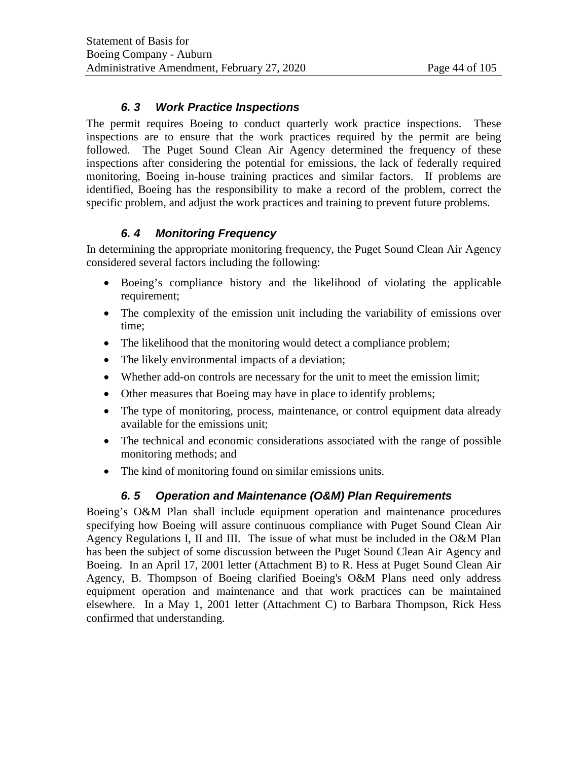# *6. 3 Work Practice Inspections*

The permit requires Boeing to conduct quarterly work practice inspections. These inspections are to ensure that the work practices required by the permit are being followed. The Puget Sound Clean Air Agency determined the frequency of these inspections after considering the potential for emissions, the lack of federally required monitoring, Boeing in-house training practices and similar factors. If problems are identified, Boeing has the responsibility to make a record of the problem, correct the specific problem, and adjust the work practices and training to prevent future problems.

# *6. 4 Monitoring Frequency*

In determining the appropriate monitoring frequency, the Puget Sound Clean Air Agency considered several factors including the following:

- Boeing's compliance history and the likelihood of violating the applicable requirement;
- The complexity of the emission unit including the variability of emissions over time;
- The likelihood that the monitoring would detect a compliance problem;
- The likely environmental impacts of a deviation;
- Whether add-on controls are necessary for the unit to meet the emission limit;
- Other measures that Boeing may have in place to identify problems;
- The type of monitoring, process, maintenance, or control equipment data already available for the emissions unit;
- The technical and economic considerations associated with the range of possible monitoring methods; and
- The kind of monitoring found on similar emissions units.

# *6. 5 Operation and Maintenance (O&M) Plan Requirements*

Boeing's O&M Plan shall include equipment operation and maintenance procedures specifying how Boeing will assure continuous compliance with Puget Sound Clean Air Agency Regulations I, II and III. The issue of what must be included in the O&M Plan has been the subject of some discussion between the Puget Sound Clean Air Agency and Boeing. In an April 17, 2001 letter (Attachment B) to R. Hess at Puget Sound Clean Air Agency, B. Thompson of Boeing clarified Boeing's O&M Plans need only address equipment operation and maintenance and that work practices can be maintained elsewhere. In a May 1, 2001 letter (Attachment C) to Barbara Thompson, Rick Hess confirmed that understanding.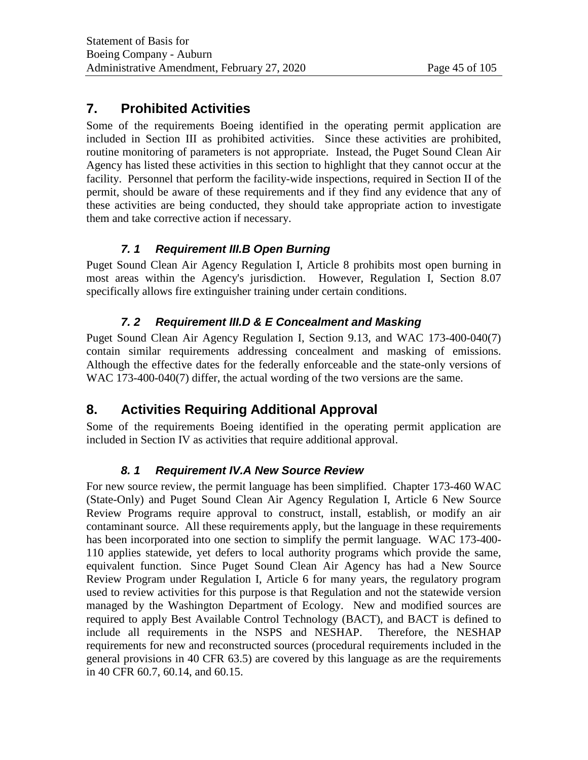# **7. Prohibited Activities**

Some of the requirements Boeing identified in the operating permit application are included in Section III as prohibited activities. Since these activities are prohibited, routine monitoring of parameters is not appropriate. Instead, the Puget Sound Clean Air Agency has listed these activities in this section to highlight that they cannot occur at the facility. Personnel that perform the facility-wide inspections, required in Section II of the permit, should be aware of these requirements and if they find any evidence that any of these activities are being conducted, they should take appropriate action to investigate them and take corrective action if necessary.

# *7. 1 Requirement III.B Open Burning*

Puget Sound Clean Air Agency Regulation I, Article 8 prohibits most open burning in most areas within the Agency's jurisdiction. However, Regulation I, Section 8.07 specifically allows fire extinguisher training under certain conditions.

# *7. 2 Requirement III.D & E Concealment and Masking*

Puget Sound Clean Air Agency Regulation I, Section 9.13, and WAC 173-400-040(7) contain similar requirements addressing concealment and masking of emissions. Although the effective dates for the federally enforceable and the state-only versions of WAC 173-400-040(7) differ, the actual wording of the two versions are the same.

# **8. Activities Requiring Additional Approval**

Some of the requirements Boeing identified in the operating permit application are included in Section IV as activities that require additional approval.

# *8. 1 Requirement IV.A New Source Review*

For new source review, the permit language has been simplified. Chapter 173-460 WAC (State-Only) and Puget Sound Clean Air Agency Regulation I, Article 6 New Source Review Programs require approval to construct, install, establish, or modify an air contaminant source. All these requirements apply, but the language in these requirements has been incorporated into one section to simplify the permit language. WAC 173-400- 110 applies statewide, yet defers to local authority programs which provide the same, equivalent function. Since Puget Sound Clean Air Agency has had a New Source Review Program under Regulation I, Article 6 for many years, the regulatory program used to review activities for this purpose is that Regulation and not the statewide version managed by the Washington Department of Ecology. New and modified sources are required to apply Best Available Control Technology (BACT), and BACT is defined to include all requirements in the NSPS and NESHAP. Therefore, the NESHAP requirements for new and reconstructed sources (procedural requirements included in the general provisions in 40 CFR 63.5) are covered by this language as are the requirements in 40 CFR 60.7, 60.14, and 60.15.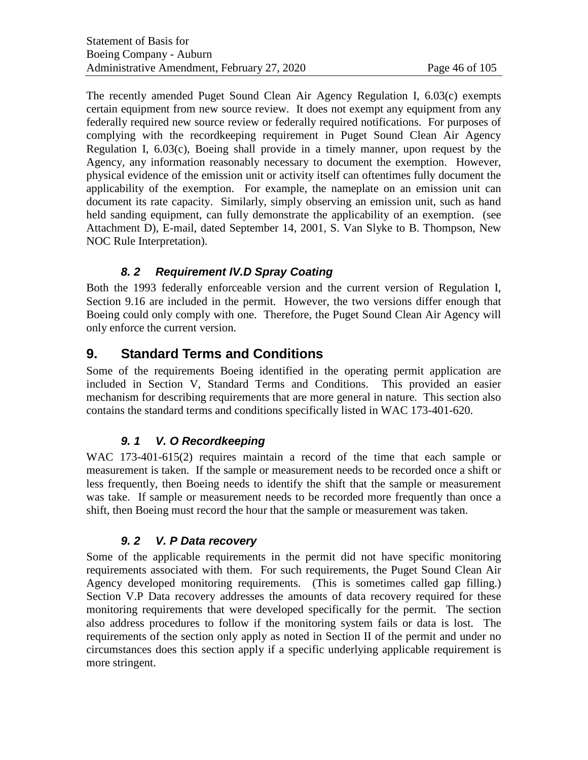The recently amended Puget Sound Clean Air Agency Regulation I, 6.03(c) exempts certain equipment from new source review. It does not exempt any equipment from any federally required new source review or federally required notifications. For purposes of complying with the recordkeeping requirement in Puget Sound Clean Air Agency Regulation I, 6.03(c), Boeing shall provide in a timely manner, upon request by the Agency, any information reasonably necessary to document the exemption. However, physical evidence of the emission unit or activity itself can oftentimes fully document the applicability of the exemption. For example, the nameplate on an emission unit can document its rate capacity. Similarly, simply observing an emission unit, such as hand held sanding equipment, can fully demonstrate the applicability of an exemption. (see Attachment D), E-mail, dated September 14, 2001, S. Van Slyke to B. Thompson, New NOC Rule Interpretation).

# *8. 2 Requirement IV.D Spray Coating*

Both the 1993 federally enforceable version and the current version of Regulation I, Section 9.16 are included in the permit. However, the two versions differ enough that Boeing could only comply with one. Therefore, the Puget Sound Clean Air Agency will only enforce the current version.

# **9. Standard Terms and Conditions**

Some of the requirements Boeing identified in the operating permit application are included in Section V, Standard Terms and Conditions. This provided an easier mechanism for describing requirements that are more general in nature. This section also contains the standard terms and conditions specifically listed in WAC 173-401-620.

# *9. 1 V. O Recordkeeping*

WAC 173-401-615(2) requires maintain a record of the time that each sample or measurement is taken. If the sample or measurement needs to be recorded once a shift or less frequently, then Boeing needs to identify the shift that the sample or measurement was take. If sample or measurement needs to be recorded more frequently than once a shift, then Boeing must record the hour that the sample or measurement was taken.

# *9. 2 V. P Data recovery*

Some of the applicable requirements in the permit did not have specific monitoring requirements associated with them. For such requirements, the Puget Sound Clean Air Agency developed monitoring requirements. (This is sometimes called gap filling.) Section V.P Data recovery addresses the amounts of data recovery required for these monitoring requirements that were developed specifically for the permit. The section also address procedures to follow if the monitoring system fails or data is lost. The requirements of the section only apply as noted in Section II of the permit and under no circumstances does this section apply if a specific underlying applicable requirement is more stringent.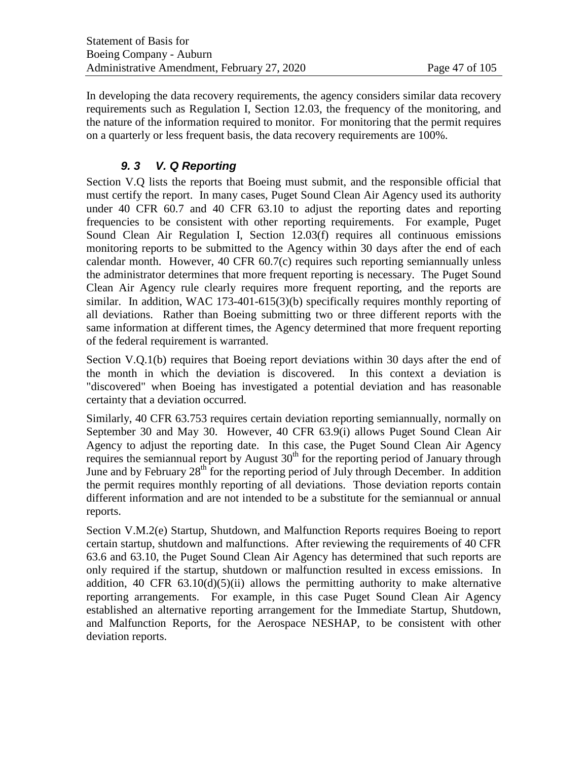In developing the data recovery requirements, the agency considers similar data recovery requirements such as Regulation I, Section 12.03, the frequency of the monitoring, and the nature of the information required to monitor. For monitoring that the permit requires on a quarterly or less frequent basis, the data recovery requirements are 100%.

# *9. 3 V. Q Reporting*

Section V.Q lists the reports that Boeing must submit, and the responsible official that must certify the report. In many cases, Puget Sound Clean Air Agency used its authority under 40 CFR 60.7 and 40 CFR 63.10 to adjust the reporting dates and reporting frequencies to be consistent with other reporting requirements. For example, Puget Sound Clean Air Regulation I, Section 12.03(f) requires all continuous emissions monitoring reports to be submitted to the Agency within 30 days after the end of each calendar month. However, 40 CFR 60.7(c) requires such reporting semiannually unless the administrator determines that more frequent reporting is necessary. The Puget Sound Clean Air Agency rule clearly requires more frequent reporting, and the reports are similar. In addition, WAC 173-401-615(3)(b) specifically requires monthly reporting of all deviations. Rather than Boeing submitting two or three different reports with the same information at different times, the Agency determined that more frequent reporting of the federal requirement is warranted.

Section V.Q.1(b) requires that Boeing report deviations within 30 days after the end of the month in which the deviation is discovered. In this context a deviation is "discovered" when Boeing has investigated a potential deviation and has reasonable certainty that a deviation occurred.

Similarly, 40 CFR 63.753 requires certain deviation reporting semiannually, normally on September 30 and May 30. However, 40 CFR 63.9(i) allows Puget Sound Clean Air Agency to adjust the reporting date. In this case, the Puget Sound Clean Air Agency requires the semiannual report by August  $30<sup>th</sup>$  for the reporting period of January through June and by February  $28<sup>th</sup>$  for the reporting period of July through December. In addition the permit requires monthly reporting of all deviations. Those deviation reports contain different information and are not intended to be a substitute for the semiannual or annual reports.

Section V.M.2(e) Startup, Shutdown, and Malfunction Reports requires Boeing to report certain startup, shutdown and malfunctions. After reviewing the requirements of 40 CFR 63.6 and 63.10, the Puget Sound Clean Air Agency has determined that such reports are only required if the startup, shutdown or malfunction resulted in excess emissions. In addition, 40 CFR  $63.10(d)(5)(ii)$  allows the permitting authority to make alternative reporting arrangements. For example, in this case Puget Sound Clean Air Agency established an alternative reporting arrangement for the Immediate Startup, Shutdown, and Malfunction Reports, for the Aerospace NESHAP, to be consistent with other deviation reports.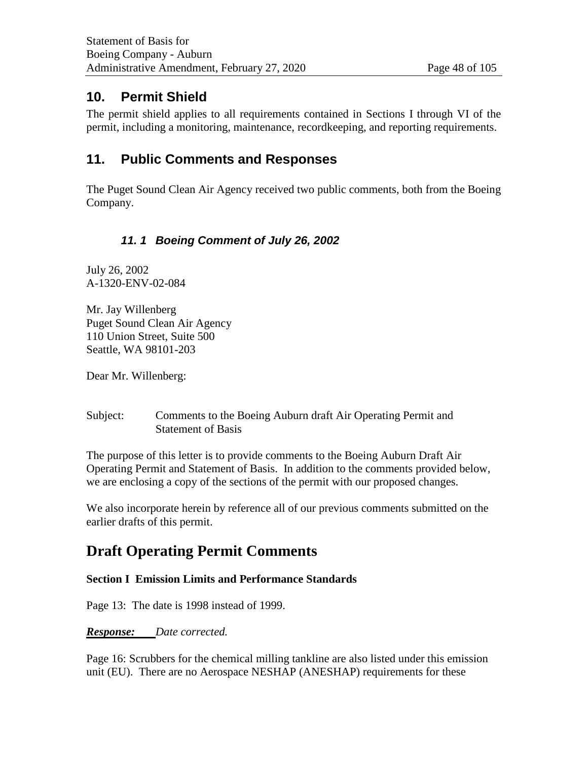# **10. Permit Shield**

The permit shield applies to all requirements contained in Sections I through VI of the permit, including a monitoring, maintenance, recordkeeping, and reporting requirements.

# **11. Public Comments and Responses**

The Puget Sound Clean Air Agency received two public comments, both from the Boeing Company.

# *11. 1 Boeing Comment of July 26, 2002*

July 26, 2002 A-1320-ENV-02-084

Mr. Jay Willenberg Puget Sound Clean Air Agency 110 Union Street, Suite 500 Seattle, WA 98101-203

Dear Mr. Willenberg:

Subject: Comments to the Boeing Auburn draft Air Operating Permit and Statement of Basis

The purpose of this letter is to provide comments to the Boeing Auburn Draft Air Operating Permit and Statement of Basis. In addition to the comments provided below, we are enclosing a copy of the sections of the permit with our proposed changes.

We also incorporate herein by reference all of our previous comments submitted on the earlier drafts of this permit.

# **Draft Operating Permit Comments**

### **Section I Emission Limits and Performance Standards**

Page 13: The date is 1998 instead of 1999.

### *Response: Date corrected.*

Page 16: Scrubbers for the chemical milling tankline are also listed under this emission unit (EU). There are no Aerospace NESHAP (ANESHAP) requirements for these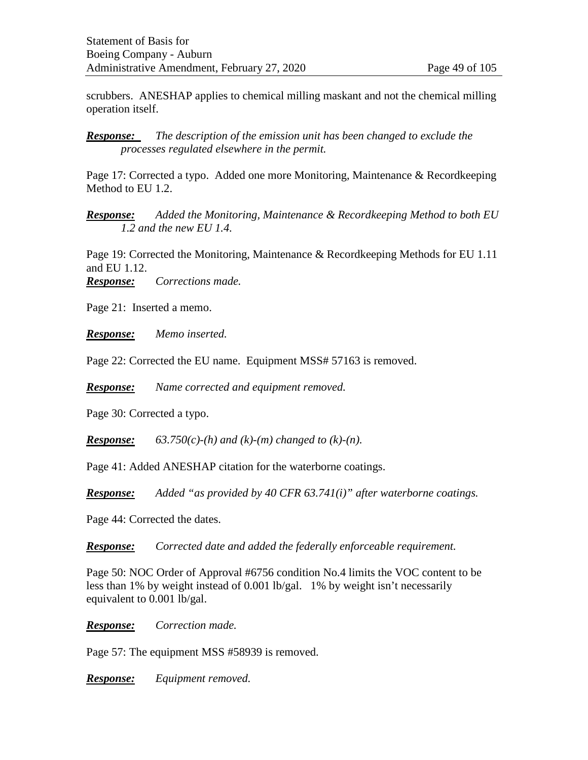scrubbers. ANESHAP applies to chemical milling maskant and not the chemical milling operation itself.

*Response: The description of the emission unit has been changed to exclude the processes regulated elsewhere in the permit.*

Page 17: Corrected a typo. Added one more Monitoring, Maintenance & Recordkeeping Method to EU 1.2.

*Response: Added the Monitoring, Maintenance & Recordkeeping Method to both EU 1.2 and the new EU 1.4.*

Page 19: Corrected the Monitoring, Maintenance & Recordkeeping Methods for EU 1.11 and EU 1.12.

*Response: Corrections made.* 

Page 21: Inserted a memo.

*Response: Memo inserted.*

Page 22: Corrected the EU name. Equipment MSS# 57163 is removed.

*Response: Name corrected and equipment removed.* 

Page 30: Corrected a typo.

**Response:** 63.750(c)-(h) and (k)-(m) changed to (k)-(n).

Page 41: Added ANESHAP citation for the waterborne coatings.

*Response: Added "as provided by 40 CFR 63.741(i)" after waterborne coatings.*

Page 44: Corrected the dates.

*Response: Corrected date and added the federally enforceable requirement.* 

Page 50: NOC Order of Approval #6756 condition No.4 limits the VOC content to be less than 1% by weight instead of 0.001 lb/gal. 1% by weight isn't necessarily equivalent to 0.001 lb/gal.

*Response: Correction made.*

Page 57: The equipment MSS #58939 is removed.

*Response: Equipment removed.*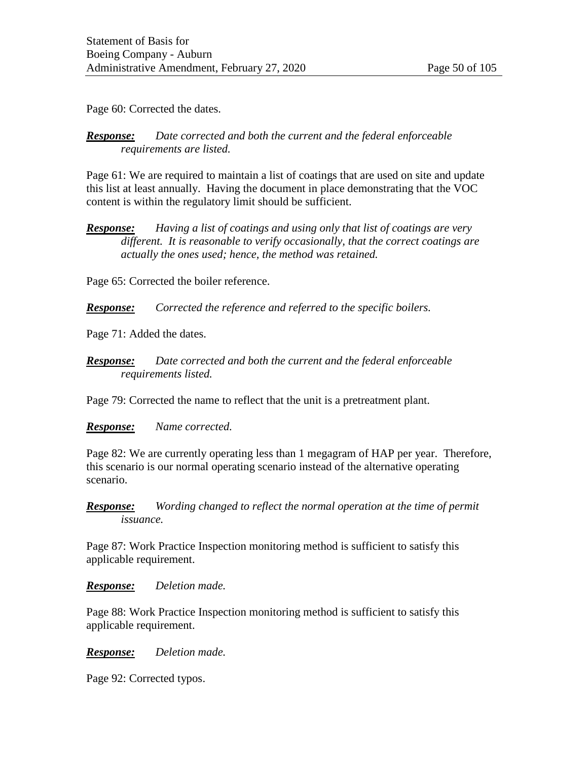Page 60: Corrected the dates.

### *Response: Date corrected and both the current and the federal enforceable requirements are listed.*

Page 61: We are required to maintain a list of coatings that are used on site and update this list at least annually. Having the document in place demonstrating that the VOC content is within the regulatory limit should be sufficient.

*Response: Having a list of coatings and using only that list of coatings are very different. It is reasonable to verify occasionally, that the correct coatings are actually the ones used; hence, the method was retained.* 

Page 65: Corrected the boiler reference.

*Response: Corrected the reference and referred to the specific boilers.* 

Page 71: Added the dates.

*Response: Date corrected and both the current and the federal enforceable requirements listed.*

Page 79: Corrected the name to reflect that the unit is a pretreatment plant.

*Response: Name corrected.* 

Page 82: We are currently operating less than 1 megagram of HAP per year. Therefore, this scenario is our normal operating scenario instead of the alternative operating scenario.

*Response: Wording changed to reflect the normal operation at the time of permit issuance.* 

Page 87: Work Practice Inspection monitoring method is sufficient to satisfy this applicable requirement.

*Response: Deletion made.* 

Page 88: Work Practice Inspection monitoring method is sufficient to satisfy this applicable requirement.

*Response: Deletion made.*

Page 92: Corrected typos.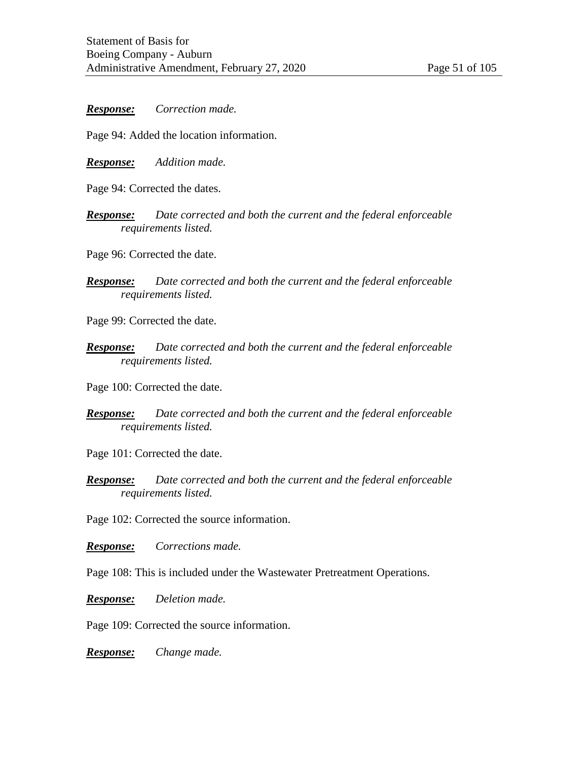*Response: Correction made.*

Page 94: Added the location information.

*Response: Addition made.* 

Page 94: Corrected the dates.

*Response: Date corrected and both the current and the federal enforceable requirements listed.*

Page 96: Corrected the date.

*Response: Date corrected and both the current and the federal enforceable requirements listed.*

Page 99: Corrected the date.

*Response: Date corrected and both the current and the federal enforceable requirements listed.*

Page 100: Corrected the date.

*Response: Date corrected and both the current and the federal enforceable requirements listed.*

Page 101: Corrected the date.

*Response: Date corrected and both the current and the federal enforceable requirements listed.*

Page 102: Corrected the source information.

*Response: Corrections made.* 

Page 108: This is included under the Wastewater Pretreatment Operations.

*Response: Deletion made.*

Page 109: Corrected the source information.

*Response: Change made.*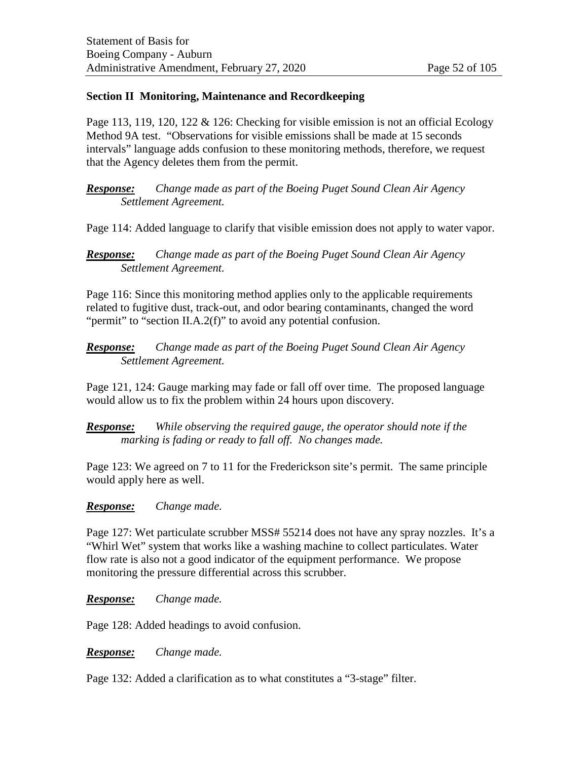### **Section II Monitoring, Maintenance and Recordkeeping**

Page 113, 119, 120, 122  $\&$  126: Checking for visible emission is not an official Ecology Method 9A test. "Observations for visible emissions shall be made at 15 seconds intervals" language adds confusion to these monitoring methods, therefore, we request that the Agency deletes them from the permit.

*Response: Change made as part of the Boeing Puget Sound Clean Air Agency Settlement Agreement.* 

Page 114: Added language to clarify that visible emission does not apply to water vapor.

### *Response: Change made as part of the Boeing Puget Sound Clean Air Agency Settlement Agreement.*

Page 116: Since this monitoring method applies only to the applicable requirements related to fugitive dust, track-out, and odor bearing contaminants, changed the word "permit" to "section II.A.2(f)" to avoid any potential confusion.

*Response: Change made as part of the Boeing Puget Sound Clean Air Agency Settlement Agreement.* 

Page 121, 124: Gauge marking may fade or fall off over time. The proposed language would allow us to fix the problem within 24 hours upon discovery.

*Response: While observing the required gauge, the operator should note if the marking is fading or ready to fall off. No changes made.* 

Page 123: We agreed on 7 to 11 for the Frederickson site's permit. The same principle would apply here as well.

#### *Response: Change made.*

Page 127: Wet particulate scrubber MSS# 55214 does not have any spray nozzles. It's a "Whirl Wet" system that works like a washing machine to collect particulates. Water flow rate is also not a good indicator of the equipment performance. We propose monitoring the pressure differential across this scrubber.

### *Response: Change made.*

Page 128: Added headings to avoid confusion.

*Response: Change made.* 

Page 132: Added a clarification as to what constitutes a "3-stage" filter.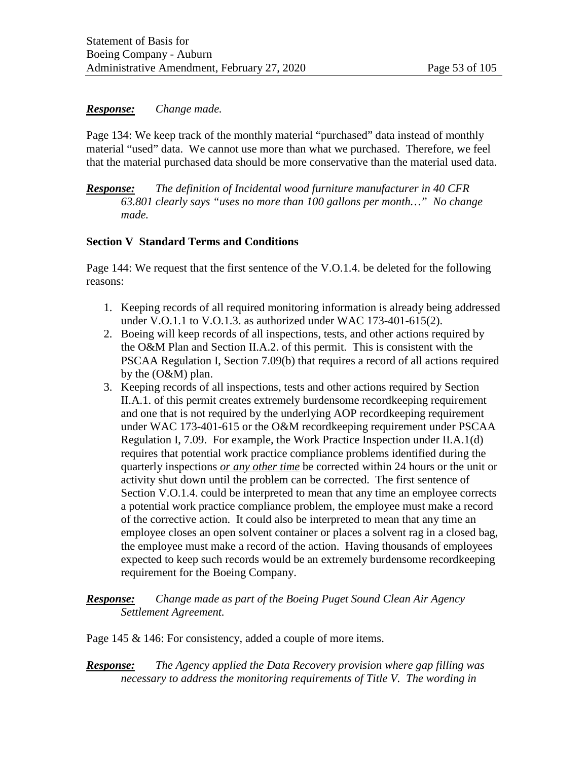### *Response: Change made.*

Page 134: We keep track of the monthly material "purchased" data instead of monthly material "used" data. We cannot use more than what we purchased. Therefore, we feel that the material purchased data should be more conservative than the material used data.

*Response: The definition of Incidental wood furniture manufacturer in 40 CFR 63.801 clearly says "uses no more than 100 gallons per month…" No change made.*

### **Section V Standard Terms and Conditions**

Page 144: We request that the first sentence of the V.O.1.4. be deleted for the following reasons:

- 1. Keeping records of all required monitoring information is already being addressed under V.O.1.1 to V.O.1.3. as authorized under WAC 173-401-615(2).
- 2. Boeing will keep records of all inspections, tests, and other actions required by the O&M Plan and Section II.A.2. of this permit. This is consistent with the PSCAA Regulation I, Section 7.09(b) that requires a record of all actions required by the (O&M) plan.
- 3. Keeping records of all inspections, tests and other actions required by Section II.A.1. of this permit creates extremely burdensome recordkeeping requirement and one that is not required by the underlying AOP recordkeeping requirement under WAC 173-401-615 or the O&M recordkeeping requirement under PSCAA Regulation I, 7.09. For example, the Work Practice Inspection under II.A.1(d) requires that potential work practice compliance problems identified during the quarterly inspections *or any other time* be corrected within 24 hours or the unit or activity shut down until the problem can be corrected. The first sentence of Section V.O.1.4. could be interpreted to mean that any time an employee corrects a potential work practice compliance problem, the employee must make a record of the corrective action. It could also be interpreted to mean that any time an employee closes an open solvent container or places a solvent rag in a closed bag, the employee must make a record of the action. Having thousands of employees expected to keep such records would be an extremely burdensome recordkeeping requirement for the Boeing Company.

### *Response: Change made as part of the Boeing Puget Sound Clean Air Agency Settlement Agreement.*

Page 145 & 146: For consistency, added a couple of more items.

*Response: The Agency applied the Data Recovery provision where gap filling was necessary to address the monitoring requirements of Title V. The wording in*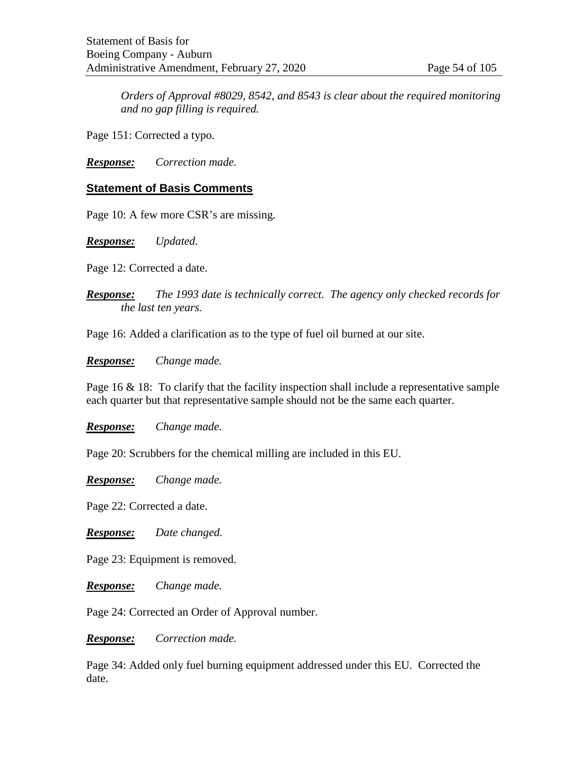*Orders of Approval #8029, 8542, and 8543 is clear about the required monitoring and no gap filling is required.* 

Page 151: Corrected a typo.

*Response: Correction made.*

### **Statement of Basis Comments**

Page 10: A few more CSR's are missing.

*Response: Updated.* 

Page 12: Corrected a date.

*Response: The 1993 date is technically correct. The agency only checked records for the last ten years.* 

Page 16: Added a clarification as to the type of fuel oil burned at our site.

*Response: Change made.* 

Page 16  $\&$  18: To clarify that the facility inspection shall include a representative sample each quarter but that representative sample should not be the same each quarter.

*Response: Change made.*

Page 20: Scrubbers for the chemical milling are included in this EU.

*Response: Change made.*

Page 22: Corrected a date.

*Response: Date changed.*

Page 23: Equipment is removed.

*Response: Change made.* 

Page 24: Corrected an Order of Approval number.

*Response: Correction made.* 

Page 34: Added only fuel burning equipment addressed under this EU. Corrected the date.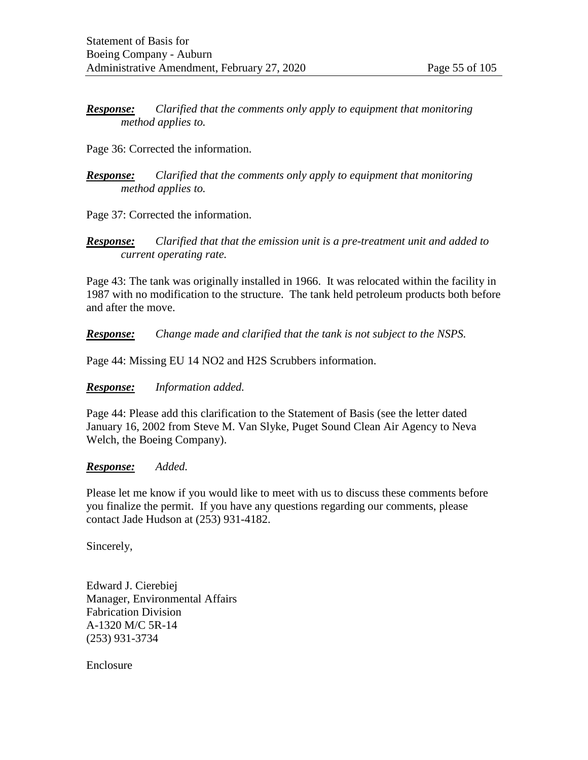*Response: Clarified that the comments only apply to equipment that monitoring method applies to.* 

Page 36: Corrected the information.

*Response: Clarified that the comments only apply to equipment that monitoring method applies to.*

Page 37: Corrected the information.

*Response: Clarified that that the emission unit is a pre-treatment unit and added to current operating rate.* 

Page 43: The tank was originally installed in 1966. It was relocated within the facility in 1987 with no modification to the structure. The tank held petroleum products both before and after the move.

*Response: Change made and clarified that the tank is not subject to the NSPS.*

Page 44: Missing EU 14 NO2 and H2S Scrubbers information.

*Response: Information added.*

Page 44: Please add this clarification to the Statement of Basis (see the letter dated January 16, 2002 from Steve M. Van Slyke, Puget Sound Clean Air Agency to Neva Welch, the Boeing Company).

#### *Response: Added.*

Please let me know if you would like to meet with us to discuss these comments before you finalize the permit. If you have any questions regarding our comments, please contact Jade Hudson at (253) 931-4182.

Sincerely,

Edward J. Cierebiej Manager, Environmental Affairs Fabrication Division A-1320 M/C 5R-14 (253) 931-3734

Enclosure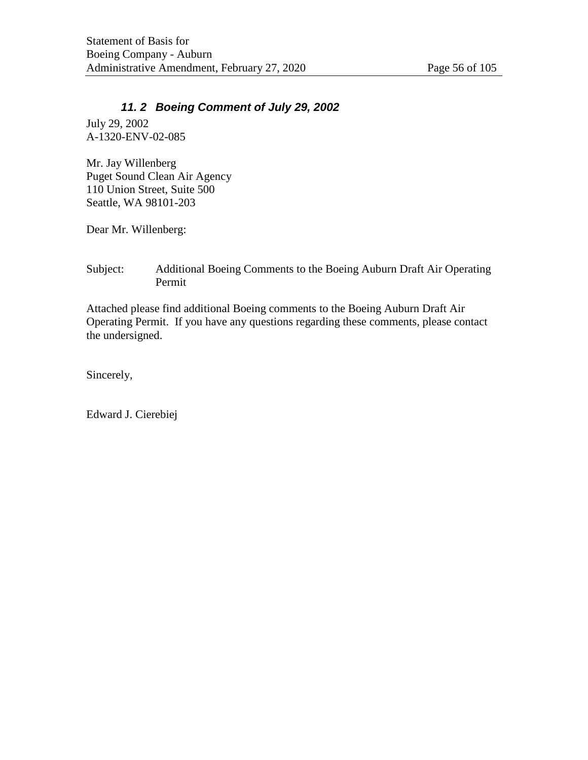# *11. 2 Boeing Comment of July 29, 2002*

July 29, 2002 A-1320-ENV-02-085

Mr. Jay Willenberg Puget Sound Clean Air Agency 110 Union Street, Suite 500 Seattle, WA 98101-203

Dear Mr. Willenberg:

### Subject: Additional Boeing Comments to the Boeing Auburn Draft Air Operating Permit

Attached please find additional Boeing comments to the Boeing Auburn Draft Air Operating Permit. If you have any questions regarding these comments, please contact the undersigned.

Sincerely,

Edward J. Cierebiej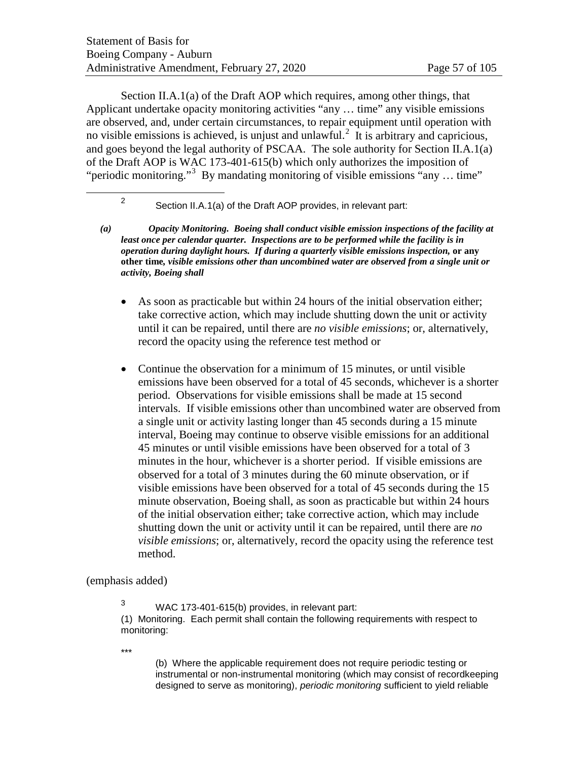Section II.A.1(a) of the Draft AOP which requires, among other things, that Applicant undertake opacity monitoring activities "any … time" any visible emissions are observed, and, under certain circumstances, to repair equipment until operation with no visible emissions is achieved, is unjust and unlawful.<sup>[2](#page-56-0)</sup> It is arbitrary and capricious, and goes beyond the legal authority of PSCAA. The sole authority for Section II.A.1(a) of the Draft AOP is WAC 173-401-615(b) which only authorizes the imposition of "periodic monitoring."<sup>[3](#page-56-1)</sup> By mandating monitoring of visible emissions "any ... time"

<sup>2</sup> Section II.A.1(a) of the Draft AOP provides, in relevant part:

- <span id="page-56-0"></span>*(a) Opacity Monitoring. Boeing shall conduct visible emission inspections of the facility at least once per calendar quarter. Inspections are to be performed while the facility is in operation during daylight hours. If during a quarterly visible emissions inspection,* **or any other time***, visible emissions other than uncombined water are observed from a single unit or activity, Boeing shall*
	- As soon as practicable but within 24 hours of the initial observation either; take corrective action, which may include shutting down the unit or activity until it can be repaired, until there are *no visible emissions*; or, alternatively, record the opacity using the reference test method or
	- Continue the observation for a minimum of 15 minutes, or until visible emissions have been observed for a total of 45 seconds, whichever is a shorter period. Observations for visible emissions shall be made at 15 second intervals. If visible emissions other than uncombined water are observed from a single unit or activity lasting longer than 45 seconds during a 15 minute interval, Boeing may continue to observe visible emissions for an additional 45 minutes or until visible emissions have been observed for a total of 3 minutes in the hour, whichever is a shorter period. If visible emissions are observed for a total of 3 minutes during the 60 minute observation, or if visible emissions have been observed for a total of 45 seconds during the 15 minute observation, Boeing shall, as soon as practicable but within 24 hours of the initial observation either; take corrective action, which may include shutting down the unit or activity until it can be repaired, until there are *no visible emissions*; or, alternatively, record the opacity using the reference test method.

#### <span id="page-56-1"></span>(emphasis added)

<sup>3</sup> WAC 173-401-615(b) provides, in relevant part: (1) Monitoring. Each permit shall contain the following requirements with respect to monitoring:

\*\*\*

(b) Where the applicable requirement does not require periodic testing or instrumental or non-instrumental monitoring (which may consist of recordkeeping designed to serve as monitoring), *periodic monitoring* sufficient to yield reliable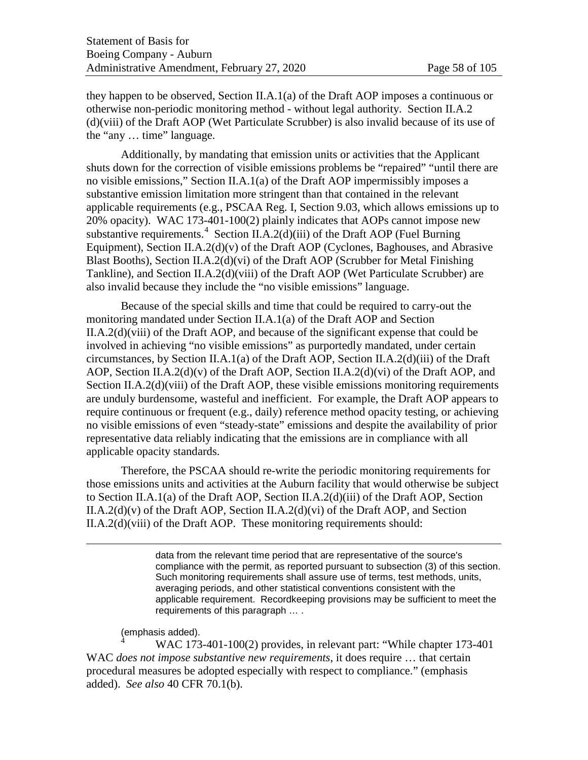they happen to be observed, Section II.A.1(a) of the Draft AOP imposes a continuous or otherwise non-periodic monitoring method - without legal authority. Section II.A.2 (d)(viii) of the Draft AOP (Wet Particulate Scrubber) is also invalid because of its use of the "any … time" language.

Additionally, by mandating that emission units or activities that the Applicant shuts down for the correction of visible emissions problems be "repaired" "until there are no visible emissions," Section II.A.1(a) of the Draft AOP impermissibly imposes a substantive emission limitation more stringent than that contained in the relevant applicable requirements (e.g., PSCAA Reg. I, Section 9.03, which allows emissions up to 20% opacity). WAC 173-401-100(2) plainly indicates that AOPs cannot impose new substantive requirements.<sup>[4](#page-57-0)</sup> Section II.A.2(d)(iii) of the Draft AOP (Fuel Burning Equipment), Section II.A.2(d)(v) of the Draft AOP (Cyclones, Baghouses, and Abrasive Blast Booths), Section II.A.2(d)(vi) of the Draft AOP (Scrubber for Metal Finishing Tankline), and Section II.A.2(d)(viii) of the Draft AOP (Wet Particulate Scrubber) are also invalid because they include the "no visible emissions" language.

Because of the special skills and time that could be required to carry-out the monitoring mandated under Section II.A.1(a) of the Draft AOP and Section II.A.2(d)(viii) of the Draft AOP, and because of the significant expense that could be involved in achieving "no visible emissions" as purportedly mandated, under certain circumstances, by Section II.A.1(a) of the Draft AOP, Section II.A.2(d)(iii) of the Draft AOP, Section II.A.2(d)(v) of the Draft AOP, Section II.A.2(d)(vi) of the Draft AOP, and Section II.A.2(d)(viii) of the Draft AOP, these visible emissions monitoring requirements are unduly burdensome, wasteful and inefficient. For example, the Draft AOP appears to require continuous or frequent (e.g., daily) reference method opacity testing, or achieving no visible emissions of even "steady-state" emissions and despite the availability of prior representative data reliably indicating that the emissions are in compliance with all applicable opacity standards.

Therefore, the PSCAA should re-write the periodic monitoring requirements for those emissions units and activities at the Auburn facility that would otherwise be subject to Section II.A.1(a) of the Draft AOP, Section II.A.2(d)(iii) of the Draft AOP, Section II.A.2(d)(v) of the Draft AOP, Section II.A.2(d)(vi) of the Draft AOP, and Section II.A.2(d)(viii) of the Draft AOP. These monitoring requirements should:

> data from the relevant time period that are representative of the source's compliance with the permit, as reported pursuant to subsection (3) of this section. Such monitoring requirements shall assure use of terms, test methods, units, averaging periods, and other statistical conventions consistent with the applicable requirement. Recordkeeping provisions may be sufficient to meet the requirements of this paragraph … .

# (emphasis added).

 $\overline{a}$ 

<span id="page-57-0"></span><sup>4</sup> WAC 173-401-100(2) provides, in relevant part: "While chapter 173-401 WAC *does not impose substantive new requirements*, it does require … that certain procedural measures be adopted especially with respect to compliance." (emphasis added). *See also* 40 CFR 70.1(b).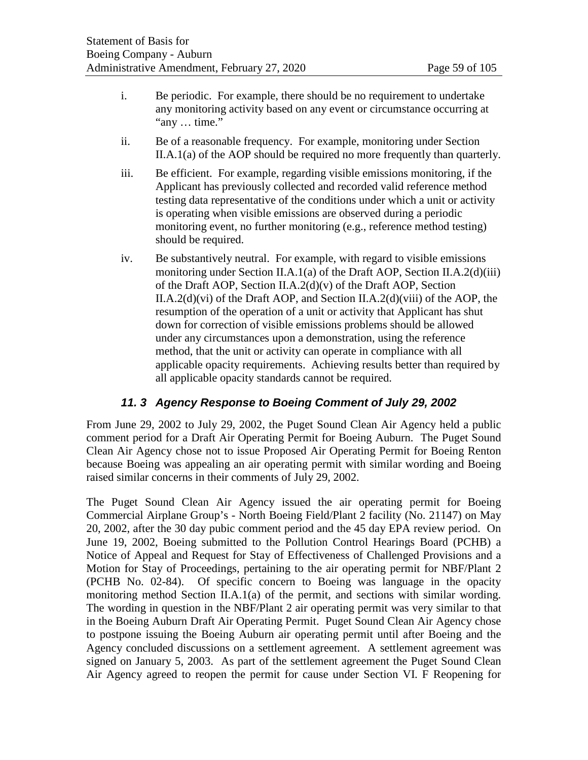- i. Be periodic. For example, there should be no requirement to undertake any monitoring activity based on any event or circumstance occurring at "any … time."
- ii. Be of a reasonable frequency. For example, monitoring under Section II.A.1(a) of the AOP should be required no more frequently than quarterly.
- iii. Be efficient. For example, regarding visible emissions monitoring, if the Applicant has previously collected and recorded valid reference method testing data representative of the conditions under which a unit or activity is operating when visible emissions are observed during a periodic monitoring event, no further monitoring (e.g., reference method testing) should be required.
- iv. Be substantively neutral. For example, with regard to visible emissions monitoring under Section II.A.1(a) of the Draft AOP, Section II.A.2(d)(iii) of the Draft AOP, Section II.A.2(d)(v) of the Draft AOP, Section II.A.2(d)(vi) of the Draft AOP, and Section II.A.2(d)(viii) of the AOP, the resumption of the operation of a unit or activity that Applicant has shut down for correction of visible emissions problems should be allowed under any circumstances upon a demonstration, using the reference method, that the unit or activity can operate in compliance with all applicable opacity requirements. Achieving results better than required by all applicable opacity standards cannot be required.

# *11. 3 Agency Response to Boeing Comment of July 29, 2002*

From June 29, 2002 to July 29, 2002, the Puget Sound Clean Air Agency held a public comment period for a Draft Air Operating Permit for Boeing Auburn. The Puget Sound Clean Air Agency chose not to issue Proposed Air Operating Permit for Boeing Renton because Boeing was appealing an air operating permit with similar wording and Boeing raised similar concerns in their comments of July 29, 2002.

The Puget Sound Clean Air Agency issued the air operating permit for Boeing Commercial Airplane Group's - North Boeing Field/Plant 2 facility (No. 21147) on May 20, 2002, after the 30 day pubic comment period and the 45 day EPA review period. On June 19, 2002, Boeing submitted to the Pollution Control Hearings Board (PCHB) a Notice of Appeal and Request for Stay of Effectiveness of Challenged Provisions and a Motion for Stay of Proceedings, pertaining to the air operating permit for NBF/Plant 2 (PCHB No. 02-84). Of specific concern to Boeing was language in the opacity monitoring method Section II.A.1(a) of the permit, and sections with similar wording. The wording in question in the NBF/Plant 2 air operating permit was very similar to that in the Boeing Auburn Draft Air Operating Permit. Puget Sound Clean Air Agency chose to postpone issuing the Boeing Auburn air operating permit until after Boeing and the Agency concluded discussions on a settlement agreement. A settlement agreement was signed on January 5, 2003. As part of the settlement agreement the Puget Sound Clean Air Agency agreed to reopen the permit for cause under Section VI. F Reopening for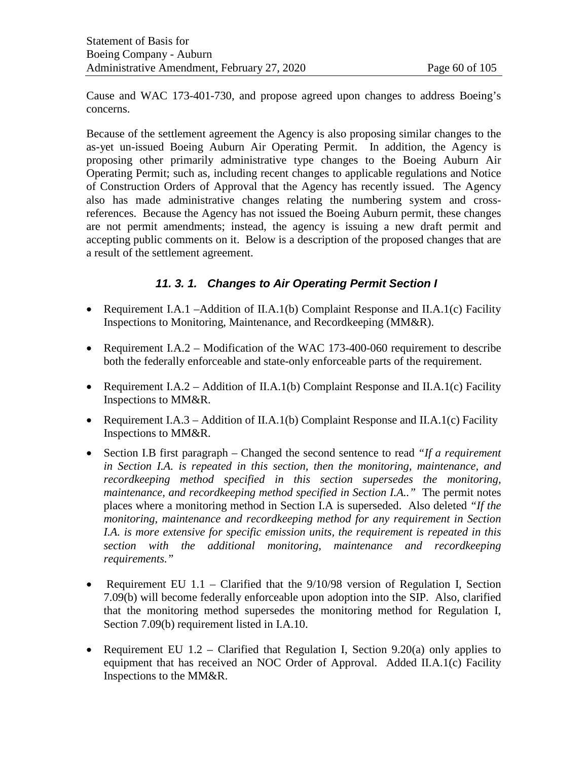Cause and WAC 173-401-730, and propose agreed upon changes to address Boeing's concerns.

Because of the settlement agreement the Agency is also proposing similar changes to the as-yet un-issued Boeing Auburn Air Operating Permit. In addition, the Agency is proposing other primarily administrative type changes to the Boeing Auburn Air Operating Permit; such as, including recent changes to applicable regulations and Notice of Construction Orders of Approval that the Agency has recently issued. The Agency also has made administrative changes relating the numbering system and crossreferences. Because the Agency has not issued the Boeing Auburn permit, these changes are not permit amendments; instead, the agency is issuing a new draft permit and accepting public comments on it. Below is a description of the proposed changes that are a result of the settlement agreement.

# *11. 3. 1. Changes to Air Operating Permit Section I*

- Requirement I.A.1 –Addition of II.A.1(b) Complaint Response and II.A.1(c) Facility Inspections to Monitoring, Maintenance, and Recordkeeping (MM&R).
- Requirement I.A.2 Modification of the WAC 173-400-060 requirement to describe both the federally enforceable and state-only enforceable parts of the requirement.
- Requirement I.A.2 Addition of II.A.1(b) Complaint Response and II.A.1(c) Facility Inspections to MM&R.
- Requirement I.A.3 Addition of II.A.1(b) Complaint Response and II.A.1(c) Facility Inspections to MM&R.
- Section I.B first paragraph Changed the second sentence to read *"If a requirement in Section I.A. is repeated in this section, then the monitoring, maintenance, and recordkeeping method specified in this section supersedes the monitoring, maintenance, and recordkeeping method specified in Section I.A.."* The permit notes places where a monitoring method in Section I.A is superseded. Also deleted *"If the monitoring, maintenance and recordkeeping method for any requirement in Section I.A. is more extensive for specific emission units, the requirement is repeated in this section with the additional monitoring, maintenance and recordkeeping requirements."*
- Requirement EU 1.1 Clarified that the 9/10/98 version of Regulation I, Section 7.09(b) will become federally enforceable upon adoption into the SIP. Also, clarified that the monitoring method supersedes the monitoring method for Regulation I, Section 7.09(b) requirement listed in I.A.10.
- Requirement EU  $1.2$  Clarified that Regulation I, Section 9.20(a) only applies to equipment that has received an NOC Order of Approval. Added II.A.1(c) Facility Inspections to the MM&R.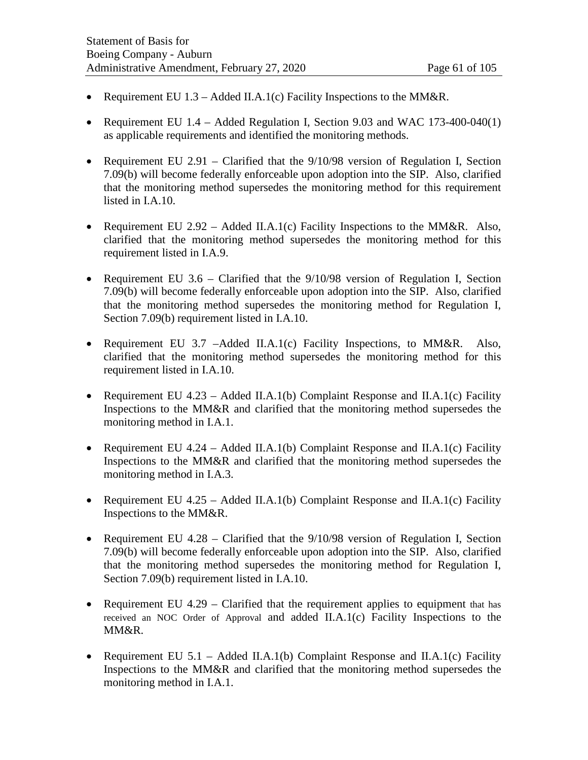- Requirement EU  $1.3$  Added II.A.1(c) Facility Inspections to the MM&R.
- Requirement EU 1.4 Added Regulation I, Section 9.03 and WAC 173-400-040(1) as applicable requirements and identified the monitoring methods.
- Requirement EU 2.91 Clarified that the  $9/10/98$  version of Regulation I, Section 7.09(b) will become federally enforceable upon adoption into the SIP. Also, clarified that the monitoring method supersedes the monitoring method for this requirement listed in I.A.10.
- Requirement EU 2.92 Added II.A.1(c) Facility Inspections to the MM&R. Also, clarified that the monitoring method supersedes the monitoring method for this requirement listed in I.A.9.
- Requirement EU  $3.6$  Clarified that the  $9/10/98$  version of Regulation I, Section 7.09(b) will become federally enforceable upon adoption into the SIP. Also, clarified that the monitoring method supersedes the monitoring method for Regulation I, Section 7.09(b) requirement listed in I.A.10.
- Requirement EU 3.7 –Added II.A.1(c) Facility Inspections, to MM&R. Also, clarified that the monitoring method supersedes the monitoring method for this requirement listed in I.A.10.
- Requirement EU 4.23 Added II.A.1(b) Complaint Response and II.A.1(c) Facility Inspections to the MM&R and clarified that the monitoring method supersedes the monitoring method in I.A.1.
- Requirement EU 4.24 Added II.A.1(b) Complaint Response and II.A.1(c) Facility Inspections to the MM&R and clarified that the monitoring method supersedes the monitoring method in I.A.3.
- Requirement EU 4.25 Added II.A.1(b) Complaint Response and II.A.1(c) Facility Inspections to the MM&R.
- Requirement EU 4.28 Clarified that the 9/10/98 version of Regulation I, Section 7.09(b) will become federally enforceable upon adoption into the SIP. Also, clarified that the monitoring method supersedes the monitoring method for Regulation I, Section 7.09(b) requirement listed in I.A.10.
- Requirement EU 4.29 Clarified that the requirement applies to equipment that has received an NOC Order of Approval and added II.A.1(c) Facility Inspections to the MM&R.
- Requirement EU 5.1 Added II.A.1(b) Complaint Response and II.A.1(c) Facility Inspections to the MM&R and clarified that the monitoring method supersedes the monitoring method in I.A.1.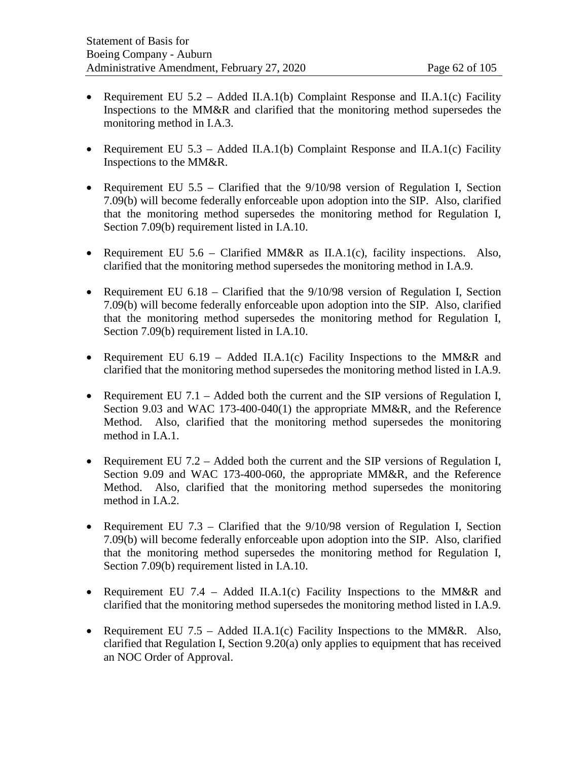- Requirement EU  $5.2$  Added II.A.1(b) Complaint Response and II.A.1(c) Facility Inspections to the MM&R and clarified that the monitoring method supersedes the monitoring method in I.A.3.
- Requirement EU 5.3 Added II.A.1(b) Complaint Response and II.A.1(c) Facility Inspections to the MM&R.
- Requirement EU  $5.5$  Clarified that the  $9/10/98$  version of Regulation I, Section 7.09(b) will become federally enforceable upon adoption into the SIP. Also, clarified that the monitoring method supersedes the monitoring method for Regulation I, Section 7.09(b) requirement listed in I.A.10.
- Requirement EU  $5.6$  Clarified MM&R as II.A.1(c), facility inspections. Also, clarified that the monitoring method supersedes the monitoring method in I.A.9.
- Requirement EU 6.18 Clarified that the 9/10/98 version of Regulation I, Section 7.09(b) will become federally enforceable upon adoption into the SIP. Also, clarified that the monitoring method supersedes the monitoring method for Regulation I, Section 7.09(b) requirement listed in I.A.10.
- Requirement EU 6.19 Added II.A.1(c) Facility Inspections to the MM&R and clarified that the monitoring method supersedes the monitoring method listed in I.A.9.
- Requirement EU 7.1 Added both the current and the SIP versions of Regulation I, Section 9.03 and WAC 173-400-040(1) the appropriate MM&R, and the Reference Method. Also, clarified that the monitoring method supersedes the monitoring method in I.A.1.
- Requirement EU 7.2 Added both the current and the SIP versions of Regulation I, Section 9.09 and WAC 173-400-060, the appropriate MM&R, and the Reference Method. Also, clarified that the monitoring method supersedes the monitoring method in I.A.2.
- Requirement EU 7.3 Clarified that the 9/10/98 version of Regulation I, Section 7.09(b) will become federally enforceable upon adoption into the SIP. Also, clarified that the monitoring method supersedes the monitoring method for Regulation I, Section 7.09(b) requirement listed in I.A.10.
- Requirement EU 7.4 Added II.A.1(c) Facility Inspections to the MM&R and clarified that the monitoring method supersedes the monitoring method listed in I.A.9.
- Requirement EU 7.5 Added II.A.1(c) Facility Inspections to the MM&R. Also, clarified that Regulation I, Section 9.20(a) only applies to equipment that has received an NOC Order of Approval.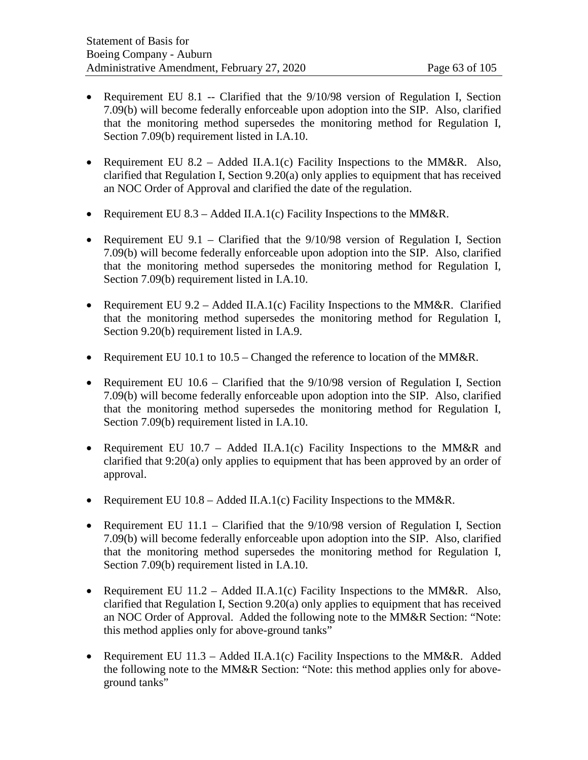- Requirement EU 8.1 -- Clarified that the 9/10/98 version of Regulation I, Section 7.09(b) will become federally enforceable upon adoption into the SIP. Also, clarified that the monitoring method supersedes the monitoring method for Regulation I, Section 7.09(b) requirement listed in I.A.10.
- Requirement EU 8.2 Added II.A.1(c) Facility Inspections to the MM&R. Also, clarified that Regulation I, Section 9.20(a) only applies to equipment that has received an NOC Order of Approval and clarified the date of the regulation.
- Requirement EU 8.3 Added II.A.1(c) Facility Inspections to the MM&R.
- Requirement EU 9.1 Clarified that the 9/10/98 version of Regulation I, Section 7.09(b) will become federally enforceable upon adoption into the SIP. Also, clarified that the monitoring method supersedes the monitoring method for Regulation I, Section 7.09(b) requirement listed in I.A.10.
- Requirement EU  $9.2 -$  Added II.A.1(c) Facility Inspections to the MM&R. Clarified that the monitoring method supersedes the monitoring method for Regulation I, Section 9.20(b) requirement listed in I.A.9.
- Requirement EU 10.1 to  $10.5$  Changed the reference to location of the MM&R.
- Requirement EU  $10.6$  Clarified that the  $9/10/98$  version of Regulation I, Section 7.09(b) will become federally enforceable upon adoption into the SIP. Also, clarified that the monitoring method supersedes the monitoring method for Regulation I, Section 7.09(b) requirement listed in I.A.10.
- Requirement EU 10.7 Added II.A.1(c) Facility Inspections to the MM&R and clarified that 9:20(a) only applies to equipment that has been approved by an order of approval.
- Requirement EU  $10.8 -$  Added II.A.1(c) Facility Inspections to the MM&R.
- Requirement EU 11.1 Clarified that the 9/10/98 version of Regulation I, Section 7.09(b) will become federally enforceable upon adoption into the SIP. Also, clarified that the monitoring method supersedes the monitoring method for Regulation I, Section 7.09(b) requirement listed in I.A.10.
- Requirement EU  $11.2 \text{Added II.A.1(c)}$  Facility Inspections to the MM&R. Also, clarified that Regulation I, Section 9.20(a) only applies to equipment that has received an NOC Order of Approval. Added the following note to the MM&R Section: "Note: this method applies only for above-ground tanks"
- Requirement EU 11.3 Added II.A.1(c) Facility Inspections to the MM&R. Added the following note to the MM&R Section: "Note: this method applies only for aboveground tanks"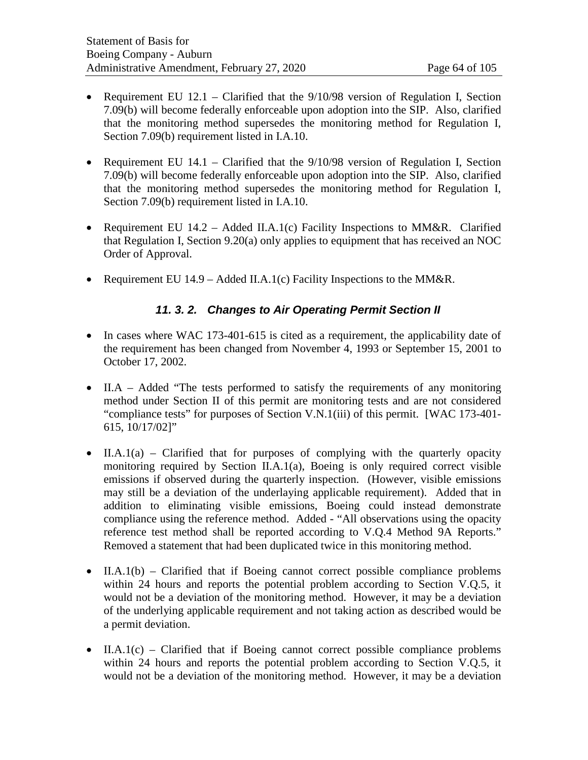- Requirement EU 12.1 Clarified that the 9/10/98 version of Regulation I, Section 7.09(b) will become federally enforceable upon adoption into the SIP. Also, clarified that the monitoring method supersedes the monitoring method for Regulation I, Section 7.09(b) requirement listed in I.A.10.
- Requirement EU 14.1 Clarified that the 9/10/98 version of Regulation I, Section 7.09(b) will become federally enforceable upon adoption into the SIP. Also, clarified that the monitoring method supersedes the monitoring method for Regulation I, Section 7.09(b) requirement listed in I.A.10.
- Requirement EU 14.2 Added II.A.1(c) Facility Inspections to MM&R. Clarified that Regulation I, Section 9.20(a) only applies to equipment that has received an NOC Order of Approval.
- Requirement EU 14.9 Added II.A.1(c) Facility Inspections to the MM&R.

# *11. 3. 2. Changes to Air Operating Permit Section II*

- In cases where WAC 173-401-615 is cited as a requirement, the applicability date of the requirement has been changed from November 4, 1993 or September 15, 2001 to October 17, 2002.
- II.A Added "The tests performed to satisfy the requirements of any monitoring method under Section II of this permit are monitoring tests and are not considered "compliance tests" for purposes of Section V.N.1(iii) of this permit. [WAC 173-401- 615, 10/17/02]"
- II.A.1(a) Clarified that for purposes of complying with the quarterly opacity monitoring required by Section II.A.1(a), Boeing is only required correct visible emissions if observed during the quarterly inspection. (However, visible emissions may still be a deviation of the underlaying applicable requirement). Added that in addition to eliminating visible emissions, Boeing could instead demonstrate compliance using the reference method. Added - "All observations using the opacity reference test method shall be reported according to V.Q.4 Method 9A Reports." Removed a statement that had been duplicated twice in this monitoring method.
- II.A.1(b) Clarified that if Boeing cannot correct possible compliance problems within 24 hours and reports the potential problem according to Section V.Q.5, it would not be a deviation of the monitoring method. However, it may be a deviation of the underlying applicable requirement and not taking action as described would be a permit deviation.
- II.A.1(c) Clarified that if Boeing cannot correct possible compliance problems within 24 hours and reports the potential problem according to Section V.Q.5, it would not be a deviation of the monitoring method. However, it may be a deviation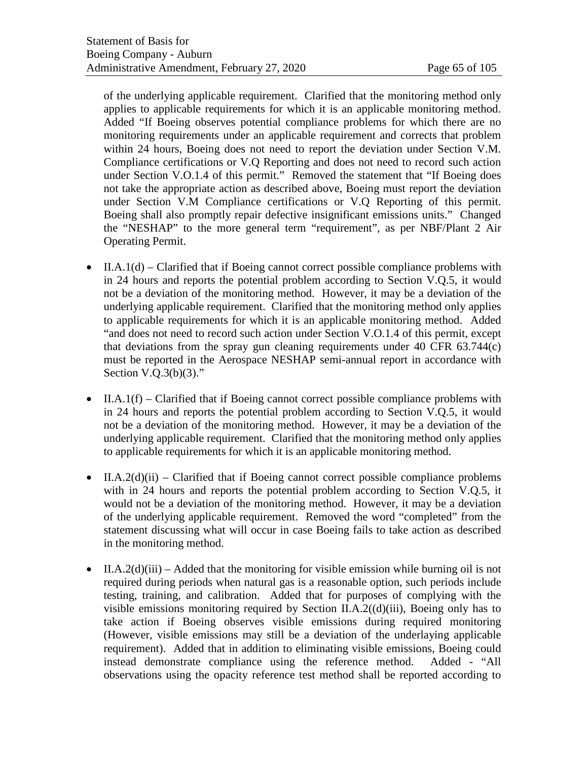of the underlying applicable requirement. Clarified that the monitoring method only applies to applicable requirements for which it is an applicable monitoring method. Added "If Boeing observes potential compliance problems for which there are no monitoring requirements under an applicable requirement and corrects that problem within 24 hours, Boeing does not need to report the deviation under Section V.M. Compliance certifications or V.Q Reporting and does not need to record such action under Section V.O.1.4 of this permit." Removed the statement that "If Boeing does not take the appropriate action as described above, Boeing must report the deviation under Section V.M Compliance certifications or V.Q Reporting of this permit. Boeing shall also promptly repair defective insignificant emissions units." Changed the "NESHAP" to the more general term "requirement", as per NBF/Plant 2 Air Operating Permit.

- $II.A.1(d)$  Clarified that if Boeing cannot correct possible compliance problems with in 24 hours and reports the potential problem according to Section V.Q.5, it would not be a deviation of the monitoring method. However, it may be a deviation of the underlying applicable requirement. Clarified that the monitoring method only applies to applicable requirements for which it is an applicable monitoring method. Added "and does not need to record such action under Section V.O.1.4 of this permit, except that deviations from the spray gun cleaning requirements under 40 CFR 63.744(c) must be reported in the Aerospace NESHAP semi-annual report in accordance with Section  $V.Q.3(b)(3)$ ."
- II.A.1(f) Clarified that if Boeing cannot correct possible compliance problems with in 24 hours and reports the potential problem according to Section V.Q.5, it would not be a deviation of the monitoring method. However, it may be a deviation of the underlying applicable requirement. Clarified that the monitoring method only applies to applicable requirements for which it is an applicable monitoring method.
- II.A.2(d)(ii) Clarified that if Boeing cannot correct possible compliance problems with in 24 hours and reports the potential problem according to Section V.Q.5, it would not be a deviation of the monitoring method. However, it may be a deviation of the underlying applicable requirement. Removed the word "completed" from the statement discussing what will occur in case Boeing fails to take action as described in the monitoring method.
- II.A.2(d)(iii) Added that the monitoring for visible emission while burning oil is not required during periods when natural gas is a reasonable option, such periods include testing, training, and calibration. Added that for purposes of complying with the visible emissions monitoring required by Section II.A.2((d)(iii), Boeing only has to take action if Boeing observes visible emissions during required monitoring (However, visible emissions may still be a deviation of the underlaying applicable requirement). Added that in addition to eliminating visible emissions, Boeing could instead demonstrate compliance using the reference method. Added - "All observations using the opacity reference test method shall be reported according to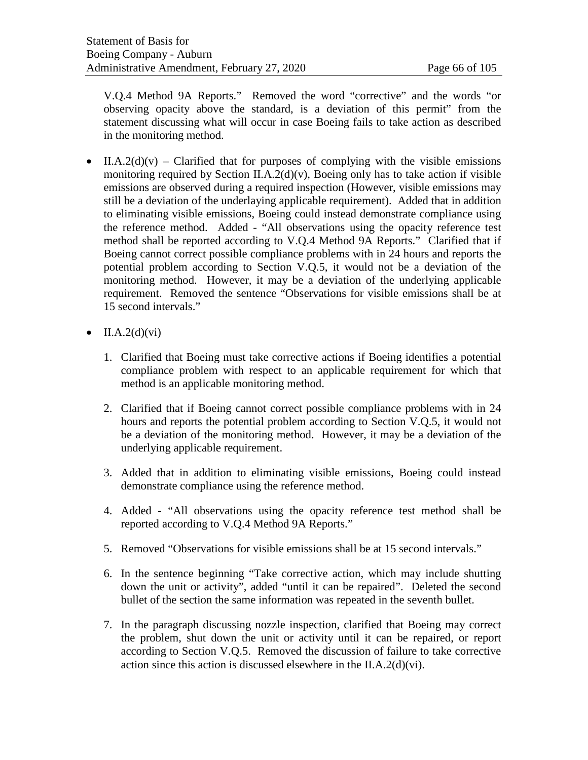V.Q.4 Method 9A Reports." Removed the word "corrective" and the words "or observing opacity above the standard, is a deviation of this permit" from the statement discussing what will occur in case Boeing fails to take action as described in the monitoring method.

- II.A.2(d)(v) Clarified that for purposes of complying with the visible emissions monitoring required by Section II.A.2(d)(v), Boeing only has to take action if visible emissions are observed during a required inspection (However, visible emissions may still be a deviation of the underlaying applicable requirement). Added that in addition to eliminating visible emissions, Boeing could instead demonstrate compliance using the reference method. Added - "All observations using the opacity reference test method shall be reported according to V.Q.4 Method 9A Reports." Clarified that if Boeing cannot correct possible compliance problems with in 24 hours and reports the potential problem according to Section V.Q.5, it would not be a deviation of the monitoring method. However, it may be a deviation of the underlying applicable requirement. Removed the sentence "Observations for visible emissions shall be at 15 second intervals."
- $\bullet$  II.A.2(d)(vi)
	- 1. Clarified that Boeing must take corrective actions if Boeing identifies a potential compliance problem with respect to an applicable requirement for which that method is an applicable monitoring method.
	- 2. Clarified that if Boeing cannot correct possible compliance problems with in 24 hours and reports the potential problem according to Section V.Q.5, it would not be a deviation of the monitoring method. However, it may be a deviation of the underlying applicable requirement.
	- 3. Added that in addition to eliminating visible emissions, Boeing could instead demonstrate compliance using the reference method.
	- 4. Added "All observations using the opacity reference test method shall be reported according to V.Q.4 Method 9A Reports."
	- 5. Removed "Observations for visible emissions shall be at 15 second intervals."
	- 6. In the sentence beginning "Take corrective action, which may include shutting down the unit or activity", added "until it can be repaired". Deleted the second bullet of the section the same information was repeated in the seventh bullet.
	- 7. In the paragraph discussing nozzle inspection, clarified that Boeing may correct the problem, shut down the unit or activity until it can be repaired, or report according to Section V.Q.5. Removed the discussion of failure to take corrective action since this action is discussed elsewhere in the II.A.2(d)(vi).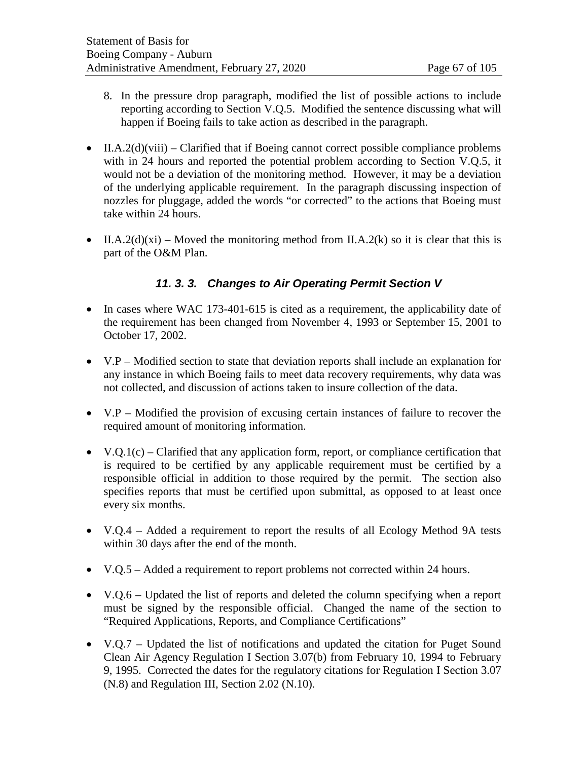- 8. In the pressure drop paragraph, modified the list of possible actions to include reporting according to Section V.Q.5. Modified the sentence discussing what will happen if Boeing fails to take action as described in the paragraph.
- II.A.2(d)(viii) Clarified that if Boeing cannot correct possible compliance problems with in 24 hours and reported the potential problem according to Section V.Q.5, it would not be a deviation of the monitoring method. However, it may be a deviation of the underlying applicable requirement. In the paragraph discussing inspection of nozzles for pluggage, added the words "or corrected" to the actions that Boeing must take within 24 hours.
- II.A.2(d)(xi) Moved the monitoring method from II.A.2(k) so it is clear that this is part of the O&M Plan.

# *11. 3. 3. Changes to Air Operating Permit Section V*

- In cases where WAC 173-401-615 is cited as a requirement, the applicability date of the requirement has been changed from November 4, 1993 or September 15, 2001 to October 17, 2002.
- V.P Modified section to state that deviation reports shall include an explanation for any instance in which Boeing fails to meet data recovery requirements, why data was not collected, and discussion of actions taken to insure collection of the data.
- V.P Modified the provision of excusing certain instances of failure to recover the required amount of monitoring information.
- V.Q.1(c) Clarified that any application form, report, or compliance certification that is required to be certified by any applicable requirement must be certified by a responsible official in addition to those required by the permit. The section also specifies reports that must be certified upon submittal, as opposed to at least once every six months.
- V.O.4 Added a requirement to report the results of all Ecology Method 9A tests within 30 days after the end of the month.
- V.Q.5 Added a requirement to report problems not corrected within 24 hours.
- V.Q.6 Updated the list of reports and deleted the column specifying when a report must be signed by the responsible official. Changed the name of the section to "Required Applications, Reports, and Compliance Certifications"
- V.Q.7 Updated the list of notifications and updated the citation for Puget Sound Clean Air Agency Regulation I Section 3.07(b) from February 10, 1994 to February 9, 1995. Corrected the dates for the regulatory citations for Regulation I Section 3.07 (N.8) and Regulation III, Section 2.02 (N.10).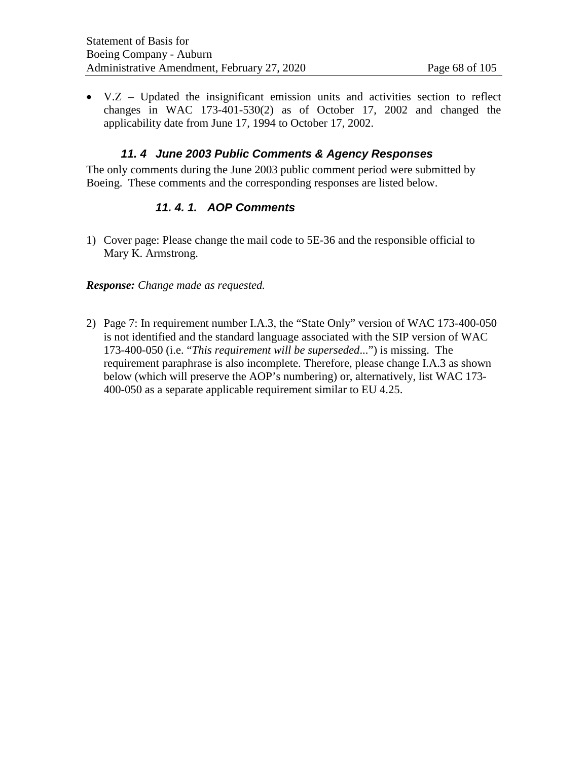• V.Z – Updated the insignificant emission units and activities section to reflect changes in WAC 173-401-530(2) as of October 17, 2002 and changed the applicability date from June 17, 1994 to October 17, 2002.

### *11. 4 June 2003 Public Comments & Agency Responses*

The only comments during the June 2003 public comment period were submitted by Boeing. These comments and the corresponding responses are listed below.

### *11. 4. 1. AOP Comments*

1) Cover page: Please change the mail code to 5E-36 and the responsible official to Mary K. Armstrong.

### *Response: Change made as requested.*

2) Page 7: In requirement number I.A.3, the "State Only" version of WAC 173-400-050 is not identified and the standard language associated with the SIP version of WAC 173-400-050 (i.e. "*This requirement will be superseded*...") is missing. The requirement paraphrase is also incomplete. Therefore, please change I.A.3 as shown below (which will preserve the AOP's numbering) or, alternatively, list WAC 173- 400-050 as a separate applicable requirement similar to EU 4.25.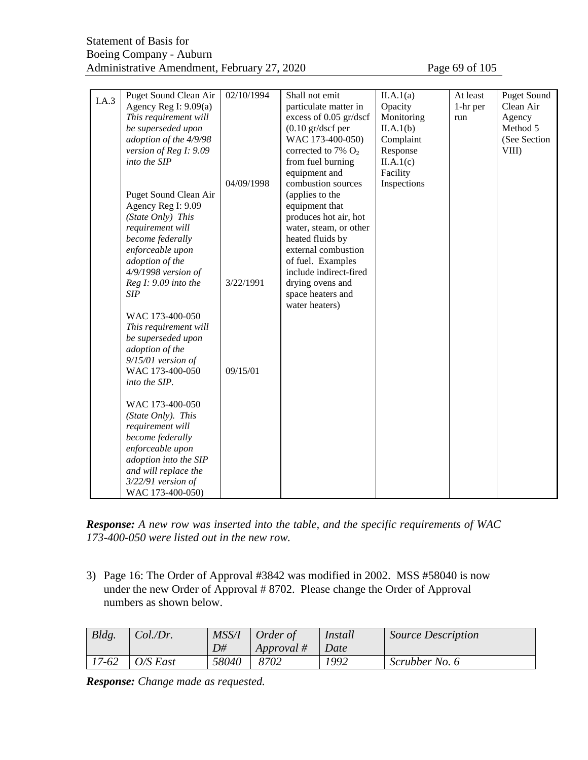| I.A.3 | Puget Sound Clean Air   | 02/10/1994 | Shall not emit               | II.A.1(a)   | At least | <b>Puget Sound</b> |
|-------|-------------------------|------------|------------------------------|-------------|----------|--------------------|
|       | Agency Reg I: $9.09(a)$ |            | particulate matter in        | Opacity     | 1-hr per | Clean Air          |
|       | This requirement will   |            | excess of 0.05 gr/dscf       | Monitoring  | run      | Agency             |
|       | be superseded upon      |            | $(0.10 \text{ gr/dscf per})$ | II.A.1(b)   |          | Method 5           |
|       | adoption of the 4/9/98  |            | WAC 173-400-050)             | Complaint   |          | (See Section       |
|       | version of Reg I: 9.09  |            | corrected to 7% $O_2$        | Response    |          | VIII)              |
|       | into the SIP            |            | from fuel burning            | II.A.1(c)   |          |                    |
|       |                         |            | equipment and                | Facility    |          |                    |
|       |                         | 04/09/1998 | combustion sources           | Inspections |          |                    |
|       | Puget Sound Clean Air   |            | (applies to the              |             |          |                    |
|       | Agency Reg I: 9.09      |            | equipment that               |             |          |                    |
|       | (State Only) This       |            | produces hot air, hot        |             |          |                    |
|       | requirement will        |            | water, steam, or other       |             |          |                    |
|       | become federally        |            | heated fluids by             |             |          |                    |
|       | enforceable upon        |            | external combustion          |             |          |                    |
|       | adoption of the         |            | of fuel. Examples            |             |          |                    |
|       | 4/9/1998 version of     |            | include indirect-fired       |             |          |                    |
|       | Reg I: 9.09 into the    | 3/22/1991  | drying ovens and             |             |          |                    |
|       | <b>SIP</b>              |            | space heaters and            |             |          |                    |
|       |                         |            | water heaters)               |             |          |                    |
|       | WAC 173-400-050         |            |                              |             |          |                    |
|       | This requirement will   |            |                              |             |          |                    |
|       | be superseded upon      |            |                              |             |          |                    |
|       | adoption of the         |            |                              |             |          |                    |
|       | $9/15/01$ version of    |            |                              |             |          |                    |
|       | WAC 173-400-050         | 09/15/01   |                              |             |          |                    |
|       | into the SIP.           |            |                              |             |          |                    |
|       |                         |            |                              |             |          |                    |
|       | WAC 173-400-050         |            |                              |             |          |                    |
|       | (State Only). This      |            |                              |             |          |                    |
|       | requirement will        |            |                              |             |          |                    |
|       | become federally        |            |                              |             |          |                    |
|       | enforceable upon        |            |                              |             |          |                    |
|       | adoption into the SIP   |            |                              |             |          |                    |
|       | and will replace the    |            |                              |             |          |                    |
|       | 3/22/91 version of      |            |                              |             |          |                    |
|       | WAC 173-400-050)        |            |                              |             |          |                    |

*Response: A new row was inserted into the table, and the specific requirements of WAC 173-400-050 were listed out in the new row.*

3) Page 16: The Order of Approval #3842 was modified in 2002. MSS #58040 is now under the new Order of Approval # 8702. Please change the Order of Approval numbers as shown below.

| Bldg. | Col.Dr.  | MSS/I | Order of   | <i>Install</i> | <i>Source Description</i> |
|-------|----------|-------|------------|----------------|---------------------------|
|       |          | D#    | Approval # | Date           |                           |
| 17-62 | O/S East | 58040 | 8702       | 1992           | Scrubber No. 6            |

*Response: Change made as requested.*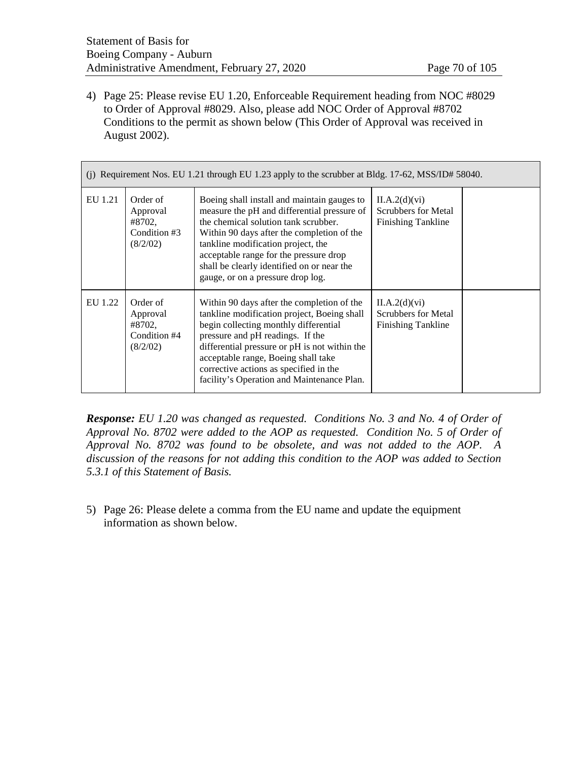4) Page 25: Please revise EU 1.20, Enforceable Requirement heading from NOC #8029 to Order of Approval #8029. Also, please add NOC Order of Approval #8702 Conditions to the permit as shown below (This Order of Approval was received in August 2002).

| (j) Requirement Nos. EU 1.21 through EU 1.23 apply to the scrubber at Bldg. 17-62, MSS/ID# 58040. |                                                            |                                                                                                                                                                                                                                                                                                                                                        |                                                            |  |  |  |  |  |
|---------------------------------------------------------------------------------------------------|------------------------------------------------------------|--------------------------------------------------------------------------------------------------------------------------------------------------------------------------------------------------------------------------------------------------------------------------------------------------------------------------------------------------------|------------------------------------------------------------|--|--|--|--|--|
| EU 1.21                                                                                           | Order of<br>Approval<br>#8702,<br>Condition #3<br>(8/2/02) | Boeing shall install and maintain gauges to<br>measure the pH and differential pressure of<br>the chemical solution tank scrubber.<br>Within 90 days after the completion of the<br>tankline modification project, the<br>acceptable range for the pressure drop<br>shall be clearly identified on or near the<br>gauge, or on a pressure drop log.    | II.A.2(d)(vi)<br>Scrubbers for Metal<br>Finishing Tankline |  |  |  |  |  |
| EU 1.22                                                                                           | Order of<br>Approval<br>#8702.<br>Condition #4<br>(8/2/02) | Within 90 days after the completion of the<br>tankline modification project, Boeing shall<br>begin collecting monthly differential<br>pressure and pH readings. If the<br>differential pressure or pH is not within the<br>acceptable range, Boeing shall take<br>corrective actions as specified in the<br>facility's Operation and Maintenance Plan. | II.A.2(d)(vi)<br>Scrubbers for Metal<br>Finishing Tankline |  |  |  |  |  |

*Response: EU 1.20 was changed as requested. Conditions No. 3 and No. 4 of Order of Approval No. 8702 were added to the AOP as requested. Condition No. 5 of Order of Approval No. 8702 was found to be obsolete, and was not added to the AOP. A discussion of the reasons for not adding this condition to the AOP was added to Section 5.3.1 of this Statement of Basis.* 

5) Page 26: Please delete a comma from the EU name and update the equipment information as shown below.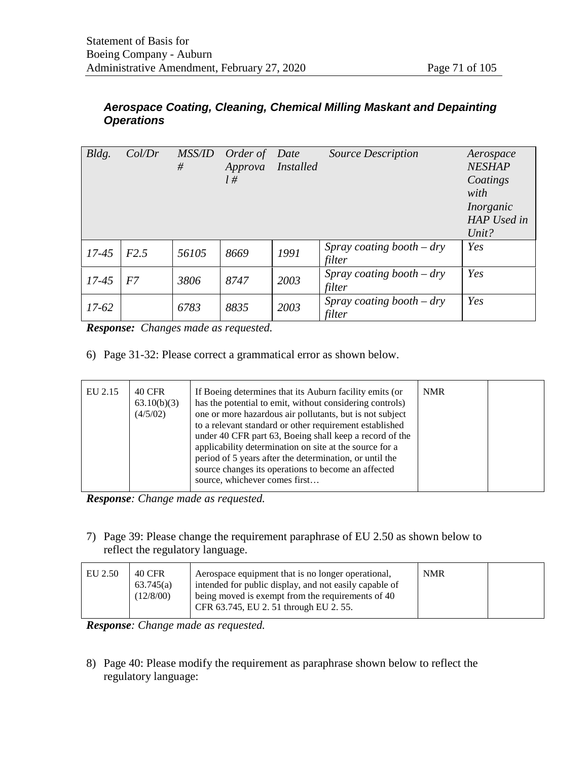# *Aerospace Coating, Cleaning, Chemical Milling Maskant and Depainting Operations*

| Bldg.     | Col/Dr | <i>MSS/ID</i><br># | Order of Date<br>Approva | <i>Installed</i> | <b>Source Description</b>             | Aerospace<br><b>NESHAP</b> |
|-----------|--------|--------------------|--------------------------|------------------|---------------------------------------|----------------------------|
|           |        |                    | $l \#$                   |                  |                                       | Coatings<br>with           |
|           |        |                    |                          |                  |                                       | Inorganic                  |
|           |        |                    |                          |                  |                                       | HAP Used in                |
|           |        |                    |                          |                  |                                       | Unit?                      |
| $17 - 45$ | F2.5   | 56105              | 8669                     | 1991             | Spray coating booth $-$ dry<br>filter | Yes                        |
| $17 - 45$ | F7     | 3806               | 8747                     | 2003             | Spray coating booth $-$ dry<br>filter | Yes                        |
| $17-62$   |        | 6783               | 8835                     | 2003             | Spray coating booth $-$ dry<br>filter | Yes                        |

*Response: Changes made as requested.* 

6) Page 31-32: Please correct a grammatical error as shown below.

| EU 2.15 | <b>40 CFR</b><br>63.10(b)(3)<br>(4/5/02) | If Boeing determines that its Auburn facility emits (or<br>has the potential to emit, without considering controls)<br>one or more hazardous air pollutants, but is not subject<br>to a relevant standard or other requirement established<br>under 40 CFR part 63, Boeing shall keep a record of the<br>applicability determination on site at the source for a<br>period of 5 years after the determination, or until the<br>source changes its operations to become an affected<br>source, whichever comes first | <b>NMR</b> |  |
|---------|------------------------------------------|---------------------------------------------------------------------------------------------------------------------------------------------------------------------------------------------------------------------------------------------------------------------------------------------------------------------------------------------------------------------------------------------------------------------------------------------------------------------------------------------------------------------|------------|--|
|---------|------------------------------------------|---------------------------------------------------------------------------------------------------------------------------------------------------------------------------------------------------------------------------------------------------------------------------------------------------------------------------------------------------------------------------------------------------------------------------------------------------------------------------------------------------------------------|------------|--|

*Response: Change made as requested.*

7) Page 39: Please change the requirement paraphrase of EU 2.50 as shown below to reflect the regulatory language.

| EU 2.50 | 40 CFR<br>63.745(a) | Aerospace equipment that is no longer operational,<br>intended for public display, and not easily capable of | <b>NMR</b> |  |
|---------|---------------------|--------------------------------------------------------------------------------------------------------------|------------|--|
|         | (12/8/00)           | being moved is exempt from the requirements of 40<br>CFR 63.745, EU 2.51 through EU 2.55.                    |            |  |

*Response: Change made as requested.*

8) Page 40: Please modify the requirement as paraphrase shown below to reflect the regulatory language: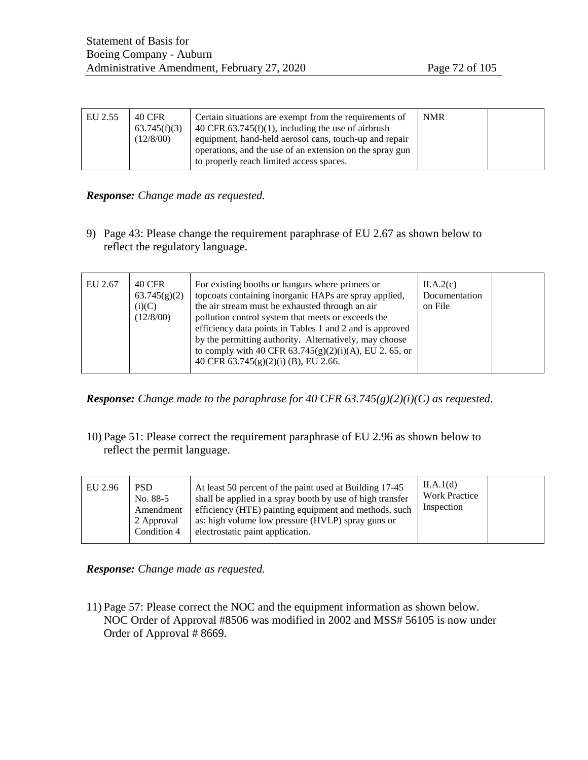| EU 2.55 | 40 CFR<br>63.745(f)(3)<br>(12/8/00) | Certain situations are exempt from the requirements of<br>40 CFR $63.745(f)(1)$ , including the use of airbrush<br>equipment, hand-held aerosol cans, touch-up and repair<br>operations, and the use of an extension on the spray gun<br>to properly reach limited access spaces. | <b>NMR</b> |  |
|---------|-------------------------------------|-----------------------------------------------------------------------------------------------------------------------------------------------------------------------------------------------------------------------------------------------------------------------------------|------------|--|
|---------|-------------------------------------|-----------------------------------------------------------------------------------------------------------------------------------------------------------------------------------------------------------------------------------------------------------------------------------|------------|--|

#### *Response: Change made as requested.*

9) Page 43: Please change the requirement paraphrase of EU 2.67 as shown below to reflect the regulatory language.

| EU 2.67 | <b>40 CFR</b><br>63.745(g)(2)<br>(i)(C)<br>(12/8/00) | For existing booths or hangars where primers or<br>topcoats containing inorganic HAPs are spray applied,<br>the air stream must be exhausted through an air<br>pollution control system that meets or exceeds the<br>efficiency data points in Tables 1 and 2 and is approved<br>by the permitting authority. Alternatively, may choose<br>to comply with 40 CFR $63.745(g)(2)(i)(A)$ , EU 2. 65, or<br>40 CFR 63.745(g)(2)(i) (B), EU 2.66. | II.A.2(c)<br>Documentation<br>on File |  |
|---------|------------------------------------------------------|----------------------------------------------------------------------------------------------------------------------------------------------------------------------------------------------------------------------------------------------------------------------------------------------------------------------------------------------------------------------------------------------------------------------------------------------|---------------------------------------|--|
|---------|------------------------------------------------------|----------------------------------------------------------------------------------------------------------------------------------------------------------------------------------------------------------------------------------------------------------------------------------------------------------------------------------------------------------------------------------------------------------------------------------------------|---------------------------------------|--|

*Response: Change made to the paraphrase for 40 CFR 63.745(g)(2)(i)(C) as requested.*

10) Page 51: Please correct the requirement paraphrase of EU 2.96 as shown below to reflect the permit language.

| EU 2.96 | <b>PSD</b><br>No. 88-5<br>Amendment<br>2 Approval<br>Condition 4 | At least 50 percent of the paint used at Building 17-45<br>shall be applied in a spray booth by use of high transfer<br>efficiency (HTE) painting equipment and methods, such<br>as: high volume low pressure (HVLP) spray guns or<br>electrostatic paint application. | II.A.1(d)<br><b>Work Practice</b><br>Inspection |  |
|---------|------------------------------------------------------------------|------------------------------------------------------------------------------------------------------------------------------------------------------------------------------------------------------------------------------------------------------------------------|-------------------------------------------------|--|
|---------|------------------------------------------------------------------|------------------------------------------------------------------------------------------------------------------------------------------------------------------------------------------------------------------------------------------------------------------------|-------------------------------------------------|--|

*Response: Change made as requested.*

11) Page 57: Please correct the NOC and the equipment information as shown below. NOC Order of Approval #8506 was modified in 2002 and MSS# 56105 is now under Order of Approval # 8669.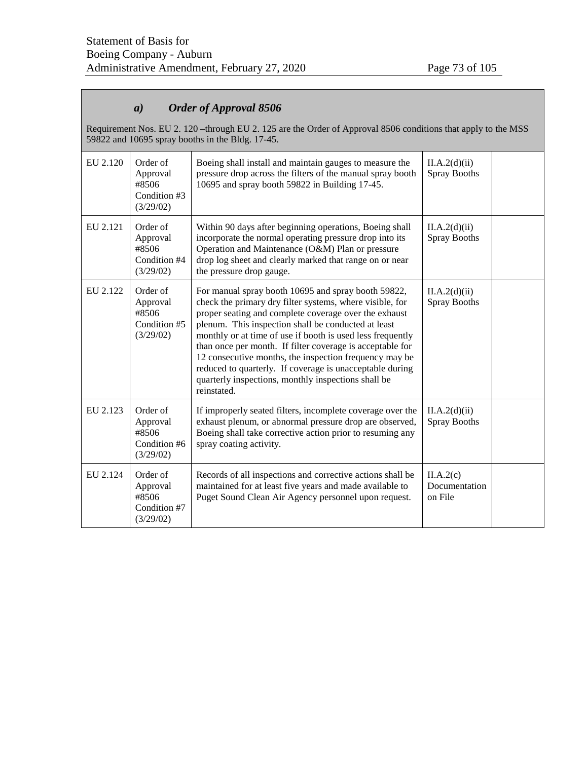# *a) Order of Approval 8506*

Requirement Nos. EU 2. 120 –through EU 2. 125 are the Order of Approval 8506 conditions that apply to the MSS 59822 and 10695 spray booths in the Bldg. 17-45.

| EU 2.120 | Order of<br>Approval<br>#8506<br>Condition #3<br>(3/29/02)                                                                                                                                                                                   | Boeing shall install and maintain gauges to measure the<br>pressure drop across the filters of the manual spray booth<br>10695 and spray booth 59822 in Building 17-45.                                                                                                                                                                                                                                                                                                                                                                                | II.A.2(d)(ii)<br><b>Spray Booths</b>  |  |
|----------|----------------------------------------------------------------------------------------------------------------------------------------------------------------------------------------------------------------------------------------------|--------------------------------------------------------------------------------------------------------------------------------------------------------------------------------------------------------------------------------------------------------------------------------------------------------------------------------------------------------------------------------------------------------------------------------------------------------------------------------------------------------------------------------------------------------|---------------------------------------|--|
| EU 2.121 | Order of<br>Approval<br>#8506<br>Condition #4<br>(3/29/02)                                                                                                                                                                                   | Within 90 days after beginning operations, Boeing shall<br>incorporate the normal operating pressure drop into its<br>Operation and Maintenance (O&M) Plan or pressure<br>drop log sheet and clearly marked that range on or near<br>the pressure drop gauge.                                                                                                                                                                                                                                                                                          | II.A.2(d)(ii)<br><b>Spray Booths</b>  |  |
| EU 2.122 | Order of<br>Approval<br>#8506<br>Condition #5<br>(3/29/02)                                                                                                                                                                                   | For manual spray booth 10695 and spray booth 59822,<br>check the primary dry filter systems, where visible, for<br>proper seating and complete coverage over the exhaust<br>plenum. This inspection shall be conducted at least<br>monthly or at time of use if booth is used less frequently<br>than once per month. If filter coverage is acceptable for<br>12 consecutive months, the inspection frequency may be<br>reduced to quarterly. If coverage is unacceptable during<br>quarterly inspections, monthly inspections shall be<br>reinstated. | II.A.2(d)(ii)<br><b>Spray Booths</b>  |  |
| EU 2.123 | Order of<br>Approval<br>#8506<br>Condition #6<br>(3/29/02)                                                                                                                                                                                   | If improperly seated filters, incomplete coverage over the<br>exhaust plenum, or abnormal pressure drop are observed,<br>Boeing shall take corrective action prior to resuming any<br>spray coating activity.                                                                                                                                                                                                                                                                                                                                          | II.A.2(d)(ii)<br><b>Spray Booths</b>  |  |
| EU 2.124 | Order of<br>Records of all inspections and corrective actions shall be<br>maintained for at least five years and made available to<br>Approval<br>#8506<br>Puget Sound Clean Air Agency personnel upon request.<br>Condition #7<br>(3/29/02) |                                                                                                                                                                                                                                                                                                                                                                                                                                                                                                                                                        | II.A.2(c)<br>Documentation<br>on File |  |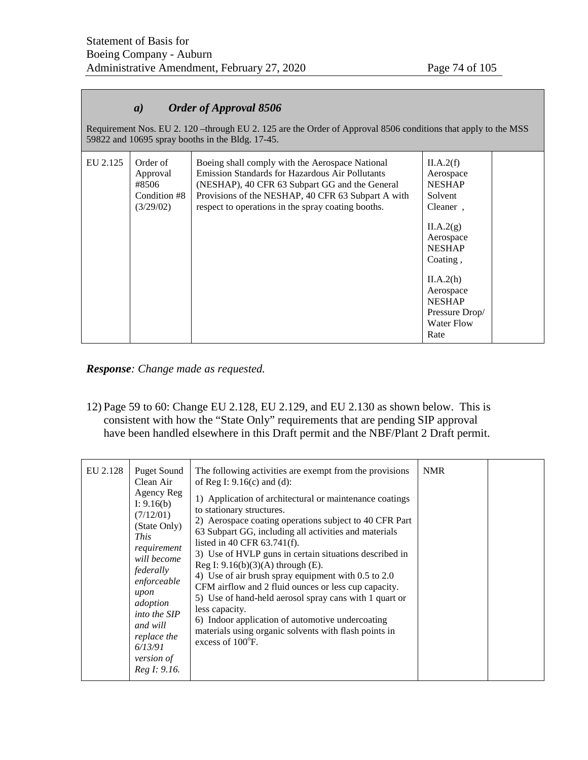# *a) Order of Approval 8506*

Requirement Nos. EU 2. 120 –through EU 2. 125 are the Order of Approval 8506 conditions that apply to the MSS 59822 and 10695 spray booths in the Bldg. 17-45.

| EU 2.125 | Order of<br>Approval<br>#8506<br>Condition #8<br>(3/29/02) | Boeing shall comply with the Aerospace National<br><b>Emission Standards for Hazardous Air Pollutants</b><br>(NESHAP), 40 CFR 63 Subpart GG and the General<br>Provisions of the NESHAP, 40 CFR 63 Subpart A with<br>respect to operations in the spray coating booths. | II.A.2(f)<br>Aerospace<br><b>NESHAP</b><br>Solvent<br>Cleaner,                  |  |
|----------|------------------------------------------------------------|-------------------------------------------------------------------------------------------------------------------------------------------------------------------------------------------------------------------------------------------------------------------------|---------------------------------------------------------------------------------|--|
|          |                                                            |                                                                                                                                                                                                                                                                         | II.A.2(g)<br>Aerospace<br><b>NESHAP</b><br>Coating.                             |  |
|          |                                                            |                                                                                                                                                                                                                                                                         | II.A.2(h)<br>Aerospace<br><b>NESHAP</b><br>Pressure Drop/<br>Water Flow<br>Rate |  |

*Response: Change made as requested.*

12) Page 59 to 60: Change EU 2.128, EU 2.129, and EU 2.130 as shown below. This is consistent with how the "State Only" requirements that are pending SIP approval have been handled elsewhere in this Draft permit and the NBF/Plant 2 Draft permit.

| EU 2.128 | <b>Puget Sound</b><br>Clean Air<br>Agency Reg<br>I: $9.16(b)$<br>(7/12/01)<br>(State Only)<br><i>This</i><br>requirement<br>will become<br>federally<br>enforceable<br>upon<br>adoption<br>into the SIP<br>and will<br>replace the<br>6/13/91<br>version of<br>Reg I: 9.16. | The following activities are exempt from the provisions<br>of Reg I: $9.16(c)$ and (d):<br>1) Application of architectural or maintenance coatings<br>to stationary structures.<br>2) Aerospace coating operations subject to 40 CFR Part<br>63 Subpart GG, including all activities and materials<br>listed in 40 CFR $63.741(f)$ .<br>3) Use of HVLP guns in certain situations described in<br>Reg I: $9.16(b)(3)(A)$ through (E).<br>4) Use of air brush spray equipment with 0.5 to 2.0<br>CFM airflow and 2 fluid ounces or less cup capacity.<br>5) Use of hand-held aerosol spray cans with 1 quart or<br>less capacity.<br>6) Indoor application of automotive undercoating<br>materials using organic solvents with flash points in<br>excess of 100°F. | <b>NMR</b> |  |
|----------|-----------------------------------------------------------------------------------------------------------------------------------------------------------------------------------------------------------------------------------------------------------------------------|-------------------------------------------------------------------------------------------------------------------------------------------------------------------------------------------------------------------------------------------------------------------------------------------------------------------------------------------------------------------------------------------------------------------------------------------------------------------------------------------------------------------------------------------------------------------------------------------------------------------------------------------------------------------------------------------------------------------------------------------------------------------|------------|--|
|----------|-----------------------------------------------------------------------------------------------------------------------------------------------------------------------------------------------------------------------------------------------------------------------------|-------------------------------------------------------------------------------------------------------------------------------------------------------------------------------------------------------------------------------------------------------------------------------------------------------------------------------------------------------------------------------------------------------------------------------------------------------------------------------------------------------------------------------------------------------------------------------------------------------------------------------------------------------------------------------------------------------------------------------------------------------------------|------------|--|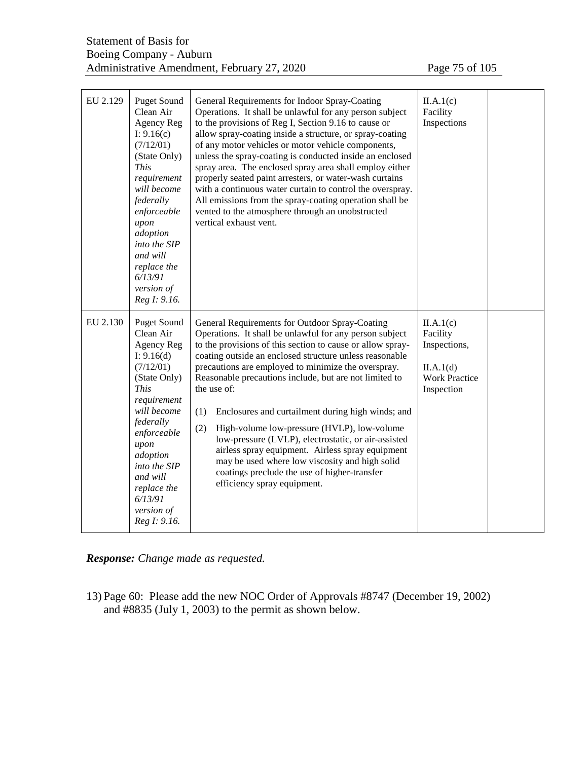| EU 2.129 | <b>Puget Sound</b><br>Clean Air<br>Agency Reg<br>I: $9.16(c)$<br>(7/12/01)<br>(State Only)<br><b>This</b><br>requirement<br>will become<br>federally<br>enforceable<br>upon<br>adoption<br>into the SIP<br>and will<br>replace the<br>6/13/91<br>version of<br>Reg I: 9.16. | General Requirements for Indoor Spray-Coating<br>Operations. It shall be unlawful for any person subject<br>to the provisions of Reg I, Section 9.16 to cause or<br>allow spray-coating inside a structure, or spray-coating<br>of any motor vehicles or motor vehicle components,<br>unless the spray-coating is conducted inside an enclosed<br>spray area. The enclosed spray area shall employ either<br>properly seated paint arresters, or water-wash curtains<br>with a continuous water curtain to control the overspray.<br>All emissions from the spray-coating operation shall be<br>vented to the atmosphere through an unobstructed<br>vertical exhaust vent.                                                       | II.A.1(c)<br>Facility<br>Inspections                                                     |  |
|----------|-----------------------------------------------------------------------------------------------------------------------------------------------------------------------------------------------------------------------------------------------------------------------------|----------------------------------------------------------------------------------------------------------------------------------------------------------------------------------------------------------------------------------------------------------------------------------------------------------------------------------------------------------------------------------------------------------------------------------------------------------------------------------------------------------------------------------------------------------------------------------------------------------------------------------------------------------------------------------------------------------------------------------|------------------------------------------------------------------------------------------|--|
| EU 2.130 | <b>Puget Sound</b><br>Clean Air<br>Agency Reg<br>I: $9.16(d)$<br>(7/12/01)<br>(State Only)<br><b>This</b><br>requirement<br>will become<br>federally<br>enforceable<br>upon<br>adoption<br>into the SIP<br>and will<br>replace the<br>6/13/91<br>version of<br>Reg I: 9.16. | General Requirements for Outdoor Spray-Coating<br>Operations. It shall be unlawful for any person subject<br>to the provisions of this section to cause or allow spray-<br>coating outside an enclosed structure unless reasonable<br>precautions are employed to minimize the overspray.<br>Reasonable precautions include, but are not limited to<br>the use of:<br>(1)<br>Enclosures and curtailment during high winds; and<br>(2)<br>High-volume low-pressure (HVLP), low-volume<br>low-pressure (LVLP), electrostatic, or air-assisted<br>airless spray equipment. Airless spray equipment<br>may be used where low viscosity and high solid<br>coatings preclude the use of higher-transfer<br>efficiency spray equipment. | II.A.1(c)<br>Facility<br>Inspections,<br>II.A.1(d)<br><b>Work Practice</b><br>Inspection |  |

*Response: Change made as requested.*

13) Page 60: Please add the new NOC Order of Approvals #8747 (December 19, 2002) and #8835 (July 1, 2003) to the permit as shown below.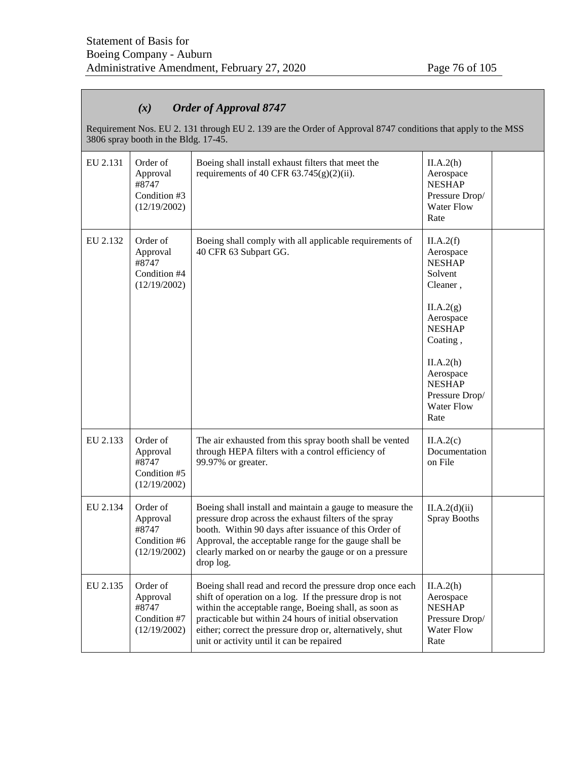# *(x) Order of Approval 8747*

Requirement Nos. EU 2. 131 through EU 2. 139 are the Order of Approval 8747 conditions that apply to the MSS 3806 spray booth in the Bldg. 17-45.

| EU 2.131 | Order of<br>Approval<br>#8747<br>Condition #3<br>(12/19/2002) | Boeing shall install exhaust filters that meet the<br>requirements of 40 CFR $63.745(g)(2)(ii)$ .                                                                                                                                                                                                                                                 | II.A.2(h)<br>Aerospace<br><b>NESHAP</b><br>Pressure Drop/<br><b>Water Flow</b><br>Rate                                |  |
|----------|---------------------------------------------------------------|---------------------------------------------------------------------------------------------------------------------------------------------------------------------------------------------------------------------------------------------------------------------------------------------------------------------------------------------------|-----------------------------------------------------------------------------------------------------------------------|--|
| EU 2.132 | Order of<br>Approval<br>#8747<br>Condition #4<br>(12/19/2002) | Boeing shall comply with all applicable requirements of<br>40 CFR 63 Subpart GG.                                                                                                                                                                                                                                                                  | II.A.2(f)<br>Aerospace<br><b>NESHAP</b><br>Solvent<br>Cleaner,<br>II.A.2(g)<br>Aerospace<br><b>NESHAP</b><br>Coating, |  |
|          |                                                               |                                                                                                                                                                                                                                                                                                                                                   | II.A.2(h)<br>Aerospace<br><b>NESHAP</b><br>Pressure Drop/<br><b>Water Flow</b><br>Rate                                |  |
| EU 2.133 | Order of<br>Approval<br>#8747<br>Condition #5<br>(12/19/2002) | The air exhausted from this spray booth shall be vented<br>through HEPA filters with a control efficiency of<br>99.97% or greater.                                                                                                                                                                                                                | II.A.2(c)<br>Documentation<br>on File                                                                                 |  |
| EU 2.134 | Order of<br>Approval<br>#8747<br>Condition #6<br>(12/19/2002) | Boeing shall install and maintain a gauge to measure the<br>pressure drop across the exhaust filters of the spray<br>booth. Within 90 days after issuance of this Order of<br>Approval, the acceptable range for the gauge shall be<br>clearly marked on or nearby the gauge or on a pressure<br>drop log.                                        | II.A.2(d)(ii)<br><b>Spray Booths</b>                                                                                  |  |
| EU 2.135 | Order of<br>Approval<br>#8747<br>Condition #7<br>(12/19/2002) | Boeing shall read and record the pressure drop once each<br>shift of operation on a log. If the pressure drop is not<br>within the acceptable range, Boeing shall, as soon as<br>practicable but within 24 hours of initial observation<br>either; correct the pressure drop or, alternatively, shut<br>unit or activity until it can be repaired | II.A.2(h)<br>Aerospace<br><b>NESHAP</b><br>Pressure Drop/<br><b>Water Flow</b><br>Rate                                |  |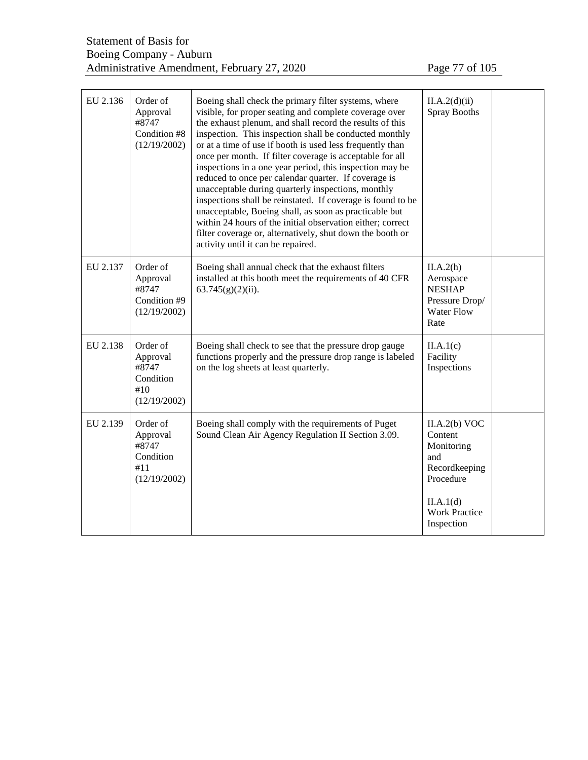| EU 2.136 | Order of<br>Approval<br>#8747<br>Condition #8<br>(12/19/2002)                                                                                                                 | Boeing shall check the primary filter systems, where<br>visible, for proper seating and complete coverage over<br>the exhaust plenum, and shall record the results of this<br>inspection. This inspection shall be conducted monthly<br>or at a time of use if booth is used less frequently than<br>once per month. If filter coverage is acceptable for all<br>inspections in a one year period, this inspection may be<br>reduced to once per calendar quarter. If coverage is<br>unacceptable during quarterly inspections, monthly<br>inspections shall be reinstated. If coverage is found to be<br>unacceptable, Boeing shall, as soon as practicable but<br>within 24 hours of the initial observation either; correct<br>filter coverage or, alternatively, shut down the booth or<br>activity until it can be repaired. | II.A.2(d)(ii)<br><b>Spray Booths</b>                                                                                           |  |
|----------|-------------------------------------------------------------------------------------------------------------------------------------------------------------------------------|-----------------------------------------------------------------------------------------------------------------------------------------------------------------------------------------------------------------------------------------------------------------------------------------------------------------------------------------------------------------------------------------------------------------------------------------------------------------------------------------------------------------------------------------------------------------------------------------------------------------------------------------------------------------------------------------------------------------------------------------------------------------------------------------------------------------------------------|--------------------------------------------------------------------------------------------------------------------------------|--|
| EU 2.137 | Order of<br>Approval<br>#8747<br>Condition #9<br>(12/19/2002)                                                                                                                 | Boeing shall annual check that the exhaust filters<br>installed at this booth meet the requirements of 40 CFR<br>$63.745(g)(2)(ii)$ .                                                                                                                                                                                                                                                                                                                                                                                                                                                                                                                                                                                                                                                                                             | II.A.2(h)<br>Aerospace<br><b>NESHAP</b><br>Pressure Drop/<br><b>Water Flow</b><br>Rate                                         |  |
| EU 2.138 | Order of<br>Approval<br>#8747<br>Condition<br>#10<br>(12/19/2002)                                                                                                             | Boeing shall check to see that the pressure drop gauge<br>functions properly and the pressure drop range is labeled<br>on the log sheets at least quarterly.                                                                                                                                                                                                                                                                                                                                                                                                                                                                                                                                                                                                                                                                      | II.A.1(c)<br>Facility<br>Inspections                                                                                           |  |
| EU 2.139 | Order of<br>Boeing shall comply with the requirements of Puget<br>Sound Clean Air Agency Regulation II Section 3.09.<br>Approval<br>#8747<br>Condition<br>#11<br>(12/19/2002) |                                                                                                                                                                                                                                                                                                                                                                                                                                                                                                                                                                                                                                                                                                                                                                                                                                   | II.A.2(b) VOC<br>Content<br>Monitoring<br>and<br>Recordkeeping<br>Procedure<br>II.A.1(d)<br><b>Work Practice</b><br>Inspection |  |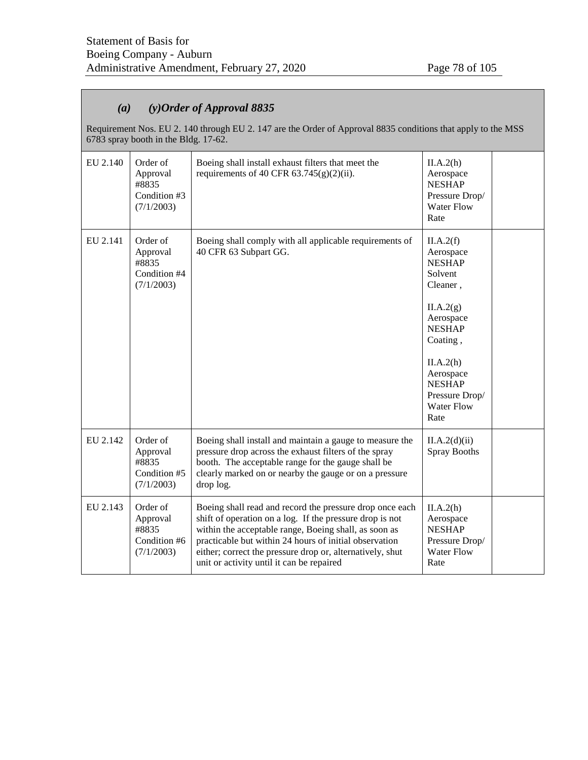# *(a) (y)Order of Approval 8835*

Requirement Nos. EU 2. 140 through EU 2. 147 are the Order of Approval 8835 conditions that apply to the MSS 6783 spray booth in the Bldg. 17-62.

| EU 2.140 | Order of<br>Approval<br>#8835<br>Condition #3<br>(7/1/2003) | Boeing shall install exhaust filters that meet the<br>requirements of 40 CFR $63.745(g)(2)(ii)$ .                                                                                                                                                                                                                                                 | II.A.2(h)<br>Aerospace<br><b>NESHAP</b><br>Pressure Drop/<br><b>Water Flow</b><br>Rate                                                                                                                          |  |
|----------|-------------------------------------------------------------|---------------------------------------------------------------------------------------------------------------------------------------------------------------------------------------------------------------------------------------------------------------------------------------------------------------------------------------------------|-----------------------------------------------------------------------------------------------------------------------------------------------------------------------------------------------------------------|--|
| EU 2.141 | Order of<br>Approval<br>#8835<br>Condition #4<br>(7/1/2003) | Boeing shall comply with all applicable requirements of<br>40 CFR 63 Subpart GG.                                                                                                                                                                                                                                                                  | II.A.2(f)<br>Aerospace<br><b>NESHAP</b><br>Solvent<br>Cleaner,<br>II.A.2(g)<br>Aerospace<br><b>NESHAP</b><br>Coating,<br>II.A.2(h)<br>Aerospace<br><b>NESHAP</b><br>Pressure Drop/<br><b>Water Flow</b><br>Rate |  |
| EU 2.142 | Order of<br>Approval<br>#8835<br>Condition #5<br>(7/1/2003) | Boeing shall install and maintain a gauge to measure the<br>pressure drop across the exhaust filters of the spray<br>booth. The acceptable range for the gauge shall be<br>clearly marked on or nearby the gauge or on a pressure<br>drop log.                                                                                                    | II.A.2(d)(ii)<br><b>Spray Booths</b>                                                                                                                                                                            |  |
| EU 2.143 | Order of<br>Approval<br>#8835<br>Condition #6<br>(7/1/2003) | Boeing shall read and record the pressure drop once each<br>shift of operation on a log. If the pressure drop is not<br>within the acceptable range, Boeing shall, as soon as<br>practicable but within 24 hours of initial observation<br>either; correct the pressure drop or, alternatively, shut<br>unit or activity until it can be repaired | II.A.2(h)<br>Aerospace<br><b>NESHAP</b><br>Pressure Drop/<br><b>Water Flow</b><br>Rate                                                                                                                          |  |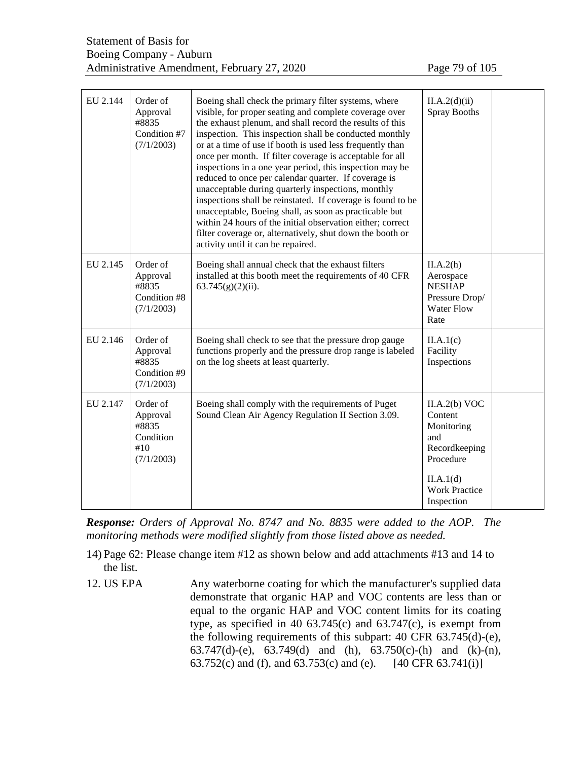| EU 2.144 | Order of<br>Approval<br>#8835<br>Condition #7<br>(7/1/2003)     | Boeing shall check the primary filter systems, where<br>visible, for proper seating and complete coverage over<br>the exhaust plenum, and shall record the results of this<br>inspection. This inspection shall be conducted monthly<br>or at a time of use if booth is used less frequently than<br>once per month. If filter coverage is acceptable for all<br>inspections in a one year period, this inspection may be<br>reduced to once per calendar quarter. If coverage is<br>unacceptable during quarterly inspections, monthly<br>inspections shall be reinstated. If coverage is found to be<br>unacceptable, Boeing shall, as soon as practicable but<br>within 24 hours of the initial observation either; correct<br>filter coverage or, alternatively, shut down the booth or<br>activity until it can be repaired. | II.A.2(d)(ii)<br><b>Spray Booths</b>                                                                                           |
|----------|-----------------------------------------------------------------|-----------------------------------------------------------------------------------------------------------------------------------------------------------------------------------------------------------------------------------------------------------------------------------------------------------------------------------------------------------------------------------------------------------------------------------------------------------------------------------------------------------------------------------------------------------------------------------------------------------------------------------------------------------------------------------------------------------------------------------------------------------------------------------------------------------------------------------|--------------------------------------------------------------------------------------------------------------------------------|
| EU 2.145 | Order of<br>Approval<br>#8835<br>Condition #8<br>(7/1/2003)     | Boeing shall annual check that the exhaust filters<br>installed at this booth meet the requirements of 40 CFR<br>$63.745(g)(2)(ii)$ .                                                                                                                                                                                                                                                                                                                                                                                                                                                                                                                                                                                                                                                                                             | II.A.2(h)<br>Aerospace<br><b>NESHAP</b><br>Pressure Drop/<br><b>Water Flow</b><br>Rate                                         |
| EU 2.146 | Order of<br>Approval<br>#8835<br>Condition #9<br>(7/1/2003)     | Boeing shall check to see that the pressure drop gauge<br>functions properly and the pressure drop range is labeled<br>on the log sheets at least quarterly.                                                                                                                                                                                                                                                                                                                                                                                                                                                                                                                                                                                                                                                                      | II.A.1(c)<br>Facility<br>Inspections                                                                                           |
| EU 2.147 | Order of<br>Approval<br>#8835<br>Condition<br>#10<br>(7/1/2003) | Boeing shall comply with the requirements of Puget<br>Sound Clean Air Agency Regulation II Section 3.09.                                                                                                                                                                                                                                                                                                                                                                                                                                                                                                                                                                                                                                                                                                                          | II.A.2(b) VOC<br>Content<br>Monitoring<br>and<br>Recordkeeping<br>Procedure<br>II.A.1(d)<br><b>Work Practice</b><br>Inspection |

*Response: Orders of Approval No. 8747 and No. 8835 were added to the AOP. The monitoring methods were modified slightly from those listed above as needed.*

- 14) Page 62: Please change item #12 as shown below and add attachments #13 and 14 to the list.
- 12. US EPA Any waterborne coating for which the manufacturer's supplied data demonstrate that organic HAP and VOC contents are less than or equal to the organic HAP and VOC content limits for its coating type, as specified in 40  $63.745(c)$  and  $63.747(c)$ , is exempt from the following requirements of this subpart: 40 CFR 63.745(d)-(e), 63.747(d)-(e), 63.749(d) and (h), 63.750(c)-(h) and (k)-(n), 63.752(c) and (f), and 63.753(c) and (e).  $[40 \text{ CFR } 63.741(i)]$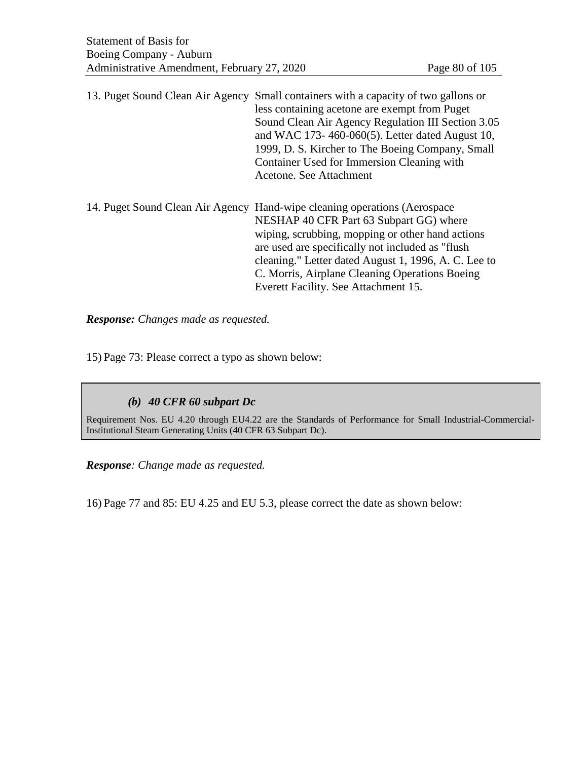13. Puget Sound Clean Air Agency Small containers with a capacity of two gallons or less containing acetone are exempt from Puget Sound Clean Air Agency Regulation III Section 3.05 and WAC 173- 460-060(5). Letter dated August 10, 1999, D. S. Kircher to The Boeing Company, Small Container Used for Immersion Cleaning with Acetone. See Attachment

14. Puget Sound Clean Air Agency Hand-wipe cleaning operations (Aerospace NESHAP 40 CFR Part 63 Subpart GG) where wiping, scrubbing, mopping or other hand actions are used are specifically not included as "flush cleaning." Letter dated August 1, 1996, A. C. Lee to C. Morris, Airplane Cleaning Operations Boeing Everett Facility. See Attachment 15.

*Response: Changes made as requested.*

15) Page 73: Please correct a typo as shown below:

## *(b) 40 CFR 60 subpart Dc*

Requirement Nos. EU 4.20 through EU4.22 are the Standards of Performance for Small Industrial-Commercial-Institutional Steam Generating Units (40 CFR 63 Subpart Dc).

*Response: Change made as requested.*

16) Page 77 and 85: EU 4.25 and EU 5.3, please correct the date as shown below: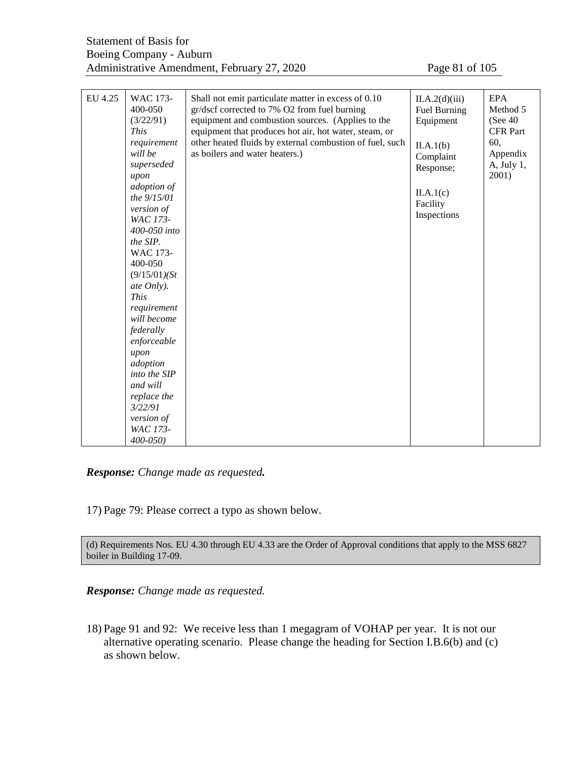| EU 4.25 | WAC 173-<br>400-050<br>(3/22/91)<br><b>This</b><br>requirement<br>will be<br>superseded<br>upon<br>adoption of<br>the 9/15/01<br>version of<br>WAC 173-<br>400-050 into<br>the SIP.<br>WAC 173-<br>400-050<br>(9/15/01)(St)<br>ate Only).<br><b>This</b><br>requirement<br>will become<br>federally<br>enforceable<br>upon<br>adoption<br>into the SIP<br>and will<br>replace the<br>3/22/91<br>version of<br>WAC 173-<br>$400 - 050$ | Shall not emit particulate matter in excess of 0.10<br>gr/dscf corrected to 7% O2 from fuel burning<br>equipment and combustion sources. (Applies to the<br>equipment that produces hot air, hot water, steam, or<br>other heated fluids by external combustion of fuel, such<br>as boilers and water heaters.) | II.A.2(d)(iii)<br>Fuel Burning<br>Equipment<br>II.A.1(b)<br>Complaint<br>Response;<br>II.A.1(c)<br>Facility<br>Inspections | <b>EPA</b><br>Method 5<br>(See 40)<br><b>CFR Part</b><br>60,<br>Appendix<br>A, July 1,<br>2001) |
|---------|---------------------------------------------------------------------------------------------------------------------------------------------------------------------------------------------------------------------------------------------------------------------------------------------------------------------------------------------------------------------------------------------------------------------------------------|-----------------------------------------------------------------------------------------------------------------------------------------------------------------------------------------------------------------------------------------------------------------------------------------------------------------|----------------------------------------------------------------------------------------------------------------------------|-------------------------------------------------------------------------------------------------|
|---------|---------------------------------------------------------------------------------------------------------------------------------------------------------------------------------------------------------------------------------------------------------------------------------------------------------------------------------------------------------------------------------------------------------------------------------------|-----------------------------------------------------------------------------------------------------------------------------------------------------------------------------------------------------------------------------------------------------------------------------------------------------------------|----------------------------------------------------------------------------------------------------------------------------|-------------------------------------------------------------------------------------------------|

*Response: Change made as requested.*

17) Page 79: Please correct a typo as shown below.

(d) Requirements Nos. EU 4.30 through EU 4.33 are the Order of Approval conditions that apply to the MSS 6827 boiler in Building 17-09.

*Response: Change made as requested.*

18) Page 91 and 92: We receive less than 1 megagram of VOHAP per year. It is not our alternative operating scenario. Please change the heading for Section I.B.6(b) and (c) as shown below.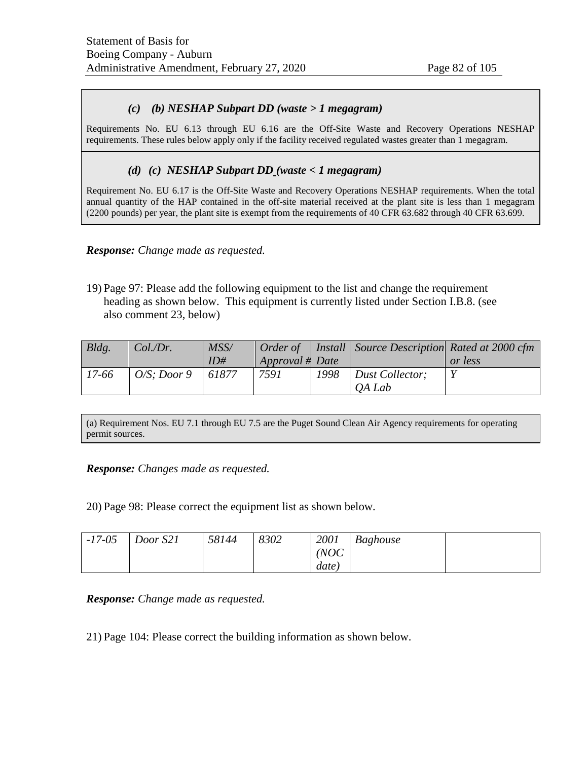## *(c) (b) NESHAP Subpart DD (waste > 1 megagram)*

Requirements No. EU 6.13 through EU 6.16 are the Off-Site Waste and Recovery Operations NESHAP requirements. These rules below apply only if the facility received regulated wastes greater than 1 megagram.

## *(d) (c) NESHAP Subpart DD (waste < 1 megagram)*

Requirement No. EU 6.17 is the Off-Site Waste and Recovery Operations NESHAP requirements. When the total annual quantity of the HAP contained in the off-site material received at the plant site is less than 1 megagram (2200 pounds) per year, the plant site is exempt from the requirements of 40 CFR 63.682 through 40 CFR 63.699.

#### *Response: Change made as requested.*

19) Page 97: Please add the following equipment to the list and change the requirement heading as shown below. This equipment is currently listed under Section I.B.8. (see also comment 23, below)

| Bldg. | Col.Dr.                   | MSS/  |                 |      | Order of   Install   Source Description Rated at 2000 cfm |         |
|-------|---------------------------|-------|-----------------|------|-----------------------------------------------------------|---------|
|       |                           | ID#   | Approval # Date |      |                                                           | or less |
| 17-66 | $\overline{O/S}$ : Door 9 | 61877 | 7591            | 1998 | Dust Collector;                                           |         |
|       |                           |       |                 |      | <i><b>OA Lab</b></i>                                      |         |

(a) Requirement Nos. EU 7.1 through EU 7.5 are the Puget Sound Clean Air Agency requirements for operating permit sources.

#### *Response: Changes made as requested.*

20) Page 98: Please correct the equipment list as shown below.

| $-17-05$ | Door S21 | 58144 | 8302 | 2001  | <b>Baghouse</b> |  |
|----------|----------|-------|------|-------|-----------------|--|
|          |          |       |      | (NOC) |                 |  |
|          |          |       |      | date) |                 |  |

*Response: Change made as requested.*

21) Page 104: Please correct the building information as shown below.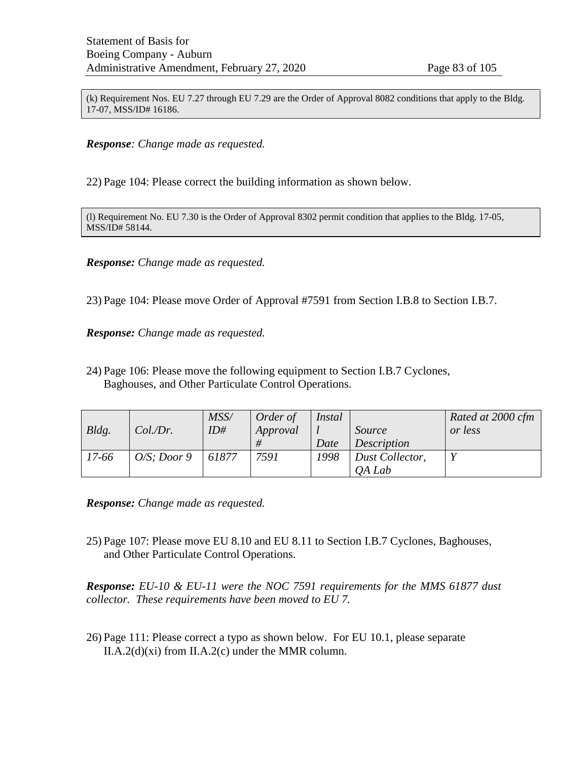(k) Requirement Nos. EU 7.27 through EU 7.29 are the Order of Approval 8082 conditions that apply to the Bldg. 17-07, MSS/ID# 16186.

*Response: Change made as requested.*

22) Page 104: Please correct the building information as shown below.

(l) Requirement No. EU 7.30 is the Order of Approval 8302 permit condition that applies to the Bldg. 17-05, MSS/ID# 58144.

*Response: Change made as requested.*

23) Page 104: Please move Order of Approval #7591 from Section I.B.8 to Section I.B.7.

*Response: Change made as requested.*

24) Page 106: Please move the following equipment to Section I.B.7 Cyclones, Baghouses, and Other Particulate Control Operations.

| Bldg. | Col.Dr.        | MSS/<br>ID# | Order of<br>Approval | Instal<br>Date | Source<br>Description     | Rated at 2000 cfm<br>or less |
|-------|----------------|-------------|----------------------|----------------|---------------------------|------------------------------|
| 17-66 | $O/S$ ; Door 9 | 61877       | 7591                 | 1998           | Dust Collector,<br>OA Lab | V                            |

*Response: Change made as requested.*

25) Page 107: Please move EU 8.10 and EU 8.11 to Section I.B.7 Cyclones, Baghouses, and Other Particulate Control Operations.

*Response: EU-10 & EU-11 were the NOC 7591 requirements for the MMS 61877 dust collector. These requirements have been moved to EU 7.*

26) Page 111: Please correct a typo as shown below. For EU 10.1, please separate II.A.2(d)(xi) from II.A.2(c) under the MMR column.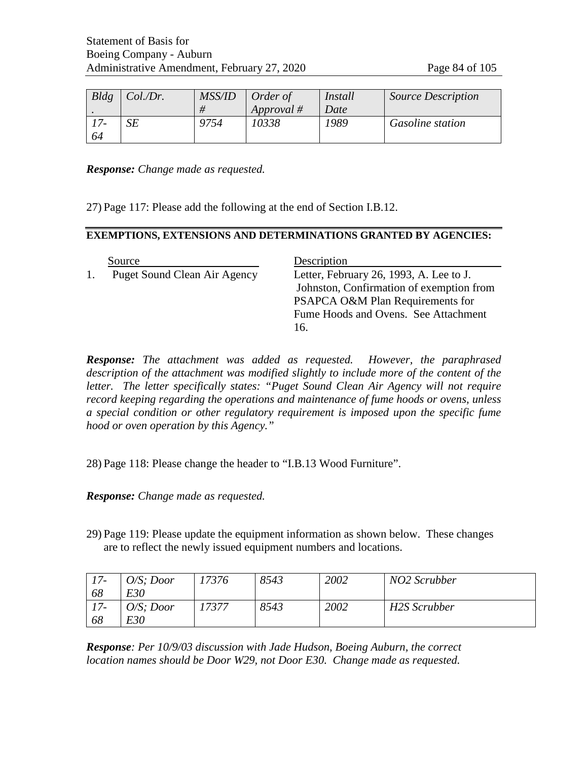| Bldg | Col.Dr. | MSS/ID | Order of   | Install | <b>Source Description</b> |
|------|---------|--------|------------|---------|---------------------------|
|      |         |        | Approval # | Date    |                           |
|      | SΕ      | 9754   | 10338      | 1989    | <b>Gasoline station</b>   |
| 64   |         |        |            |         |                           |

*Response: Change made as requested.*

27) Page 117: Please add the following at the end of Section I.B.12.

#### **EXEMPTIONS, EXTENSIONS AND DETERMINATIONS GRANTED BY AGENCIES:**

| Source                       | Description                              |
|------------------------------|------------------------------------------|
| Puget Sound Clean Air Agency | Letter, February 26, 1993, A. Lee to J.  |
|                              | Johnston, Confirmation of exemption from |
|                              | PSAPCA O&M Plan Requirements for         |
|                              | Fume Hoods and Ovens. See Attachment     |
|                              | 16.                                      |

*Response: The attachment was added as requested. However, the paraphrased*  description of the attachment was modified slightly to include more of the content of the *letter. The letter specifically states: "Puget Sound Clean Air Agency will not require record keeping regarding the operations and maintenance of fume hoods or ovens, unless a special condition or other regulatory requirement is imposed upon the specific fume hood or oven operation by this Agency."* 

28) Page 118: Please change the header to "I.B.13 Wood Furniture".

*Response: Change made as requested.*

29) Page 119: Please update the equipment information as shown below. These changes are to reflect the newly issued equipment numbers and locations.

| $17-$ | $O/S$ ; Door | '7376 | 8543 | 2002 | NO <sub>2</sub> Scrubber |
|-------|--------------|-------|------|------|--------------------------|
| 68    | E30          |       |      |      |                          |
| $17-$ | $O/S$ ; Door | '7377 | 8543 | 2002 | H2S Scrubber             |
| 68    | E30          |       |      |      |                          |

*Response: Per 10/9/03 discussion with Jade Hudson, Boeing Auburn, the correct location names should be Door W29, not Door E30. Change made as requested.*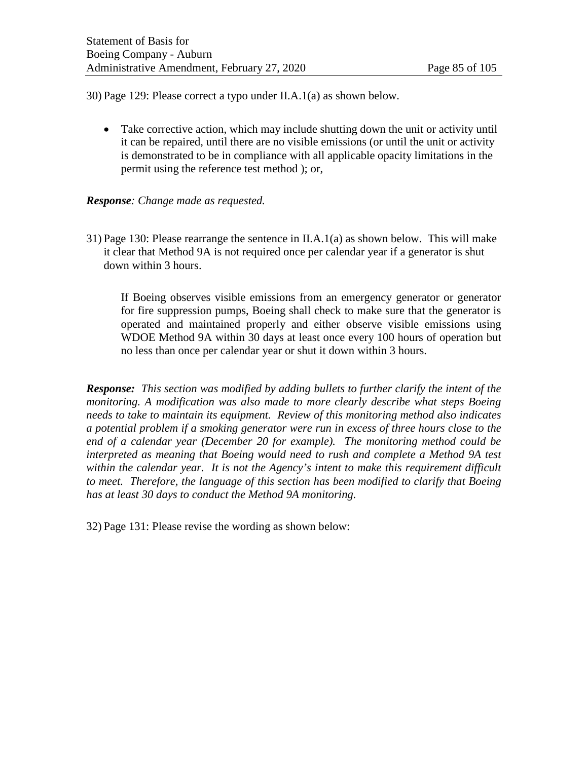30) Page 129: Please correct a typo under II.A.1(a) as shown below.

• Take corrective action, which may include shutting down the unit or activity until it can be repaired, until there are no visible emissions (or until the unit or activity is demonstrated to be in compliance with all applicable opacity limitations in the permit using the reference test method ); or,

## *Response: Change made as requested.*

31) Page 130: Please rearrange the sentence in II.A.1(a) as shown below. This will make it clear that Method 9A is not required once per calendar year if a generator is shut down within 3 hours.

If Boeing observes visible emissions from an emergency generator or generator for fire suppression pumps, Boeing shall check to make sure that the generator is operated and maintained properly and either observe visible emissions using WDOE Method 9A within 30 days at least once every 100 hours of operation but no less than once per calendar year or shut it down within 3 hours.

*Response: This section was modified by adding bullets to further clarify the intent of the monitoring. A modification was also made to more clearly describe what steps Boeing needs to take to maintain its equipment. Review of this monitoring method also indicates a potential problem if a smoking generator were run in excess of three hours close to the end of a calendar year (December 20 for example). The monitoring method could be interpreted as meaning that Boeing would need to rush and complete a Method 9A test within the calendar year. It is not the Agency's intent to make this requirement difficult to meet. Therefore, the language of this section has been modified to clarify that Boeing has at least 30 days to conduct the Method 9A monitoring.* 

32) Page 131: Please revise the wording as shown below: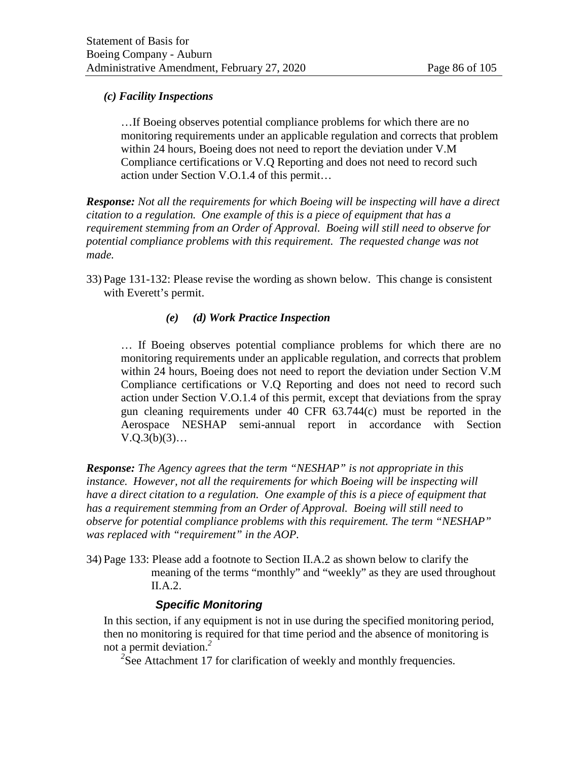## *(c) Facility Inspections*

…If Boeing observes potential compliance problems for which there are no monitoring requirements under an applicable regulation and corrects that problem within 24 hours, Boeing does not need to report the deviation under V.M Compliance certifications or V.Q Reporting and does not need to record such action under Section V.O.1.4 of this permit…

*Response: Not all the requirements for which Boeing will be inspecting will have a direct citation to a regulation. One example of this is a piece of equipment that has a requirement stemming from an Order of Approval. Boeing will still need to observe for potential compliance problems with this requirement. The requested change was not made.* 

33) Page 131-132: Please revise the wording as shown below. This change is consistent with Everett's permit.

## *(e) (d) Work Practice Inspection*

… If Boeing observes potential compliance problems for which there are no monitoring requirements under an applicable regulation, and corrects that problem within 24 hours, Boeing does not need to report the deviation under Section V.M Compliance certifications or V.Q Reporting and does not need to record such action under Section V.O.1.4 of this permit, except that deviations from the spray gun cleaning requirements under 40 CFR 63.744(c) must be reported in the Aerospace NESHAP semi-annual report in accordance with Section  $V.Q.3(b)(3)...$ 

*Response: The Agency agrees that the term "NESHAP" is not appropriate in this instance. However, not all the requirements for which Boeing will be inspecting will have a direct citation to a regulation. One example of this is a piece of equipment that has a requirement stemming from an Order of Approval. Boeing will still need to observe for potential compliance problems with this requirement. The term "NESHAP" was replaced with "requirement" in the AOP.*

34) Page 133: Please add a footnote to Section II.A.2 as shown below to clarify the meaning of the terms "monthly" and "weekly" as they are used throughout II.A.2.

## *Specific Monitoring*

In this section, if any equipment is not in use during the specified monitoring period, then no monitoring is required for that time period and the absence of monitoring is not a permit deviation.*<sup>2</sup>*

<sup>2</sup>See Attachment 17 for clarification of weekly and monthly frequencies.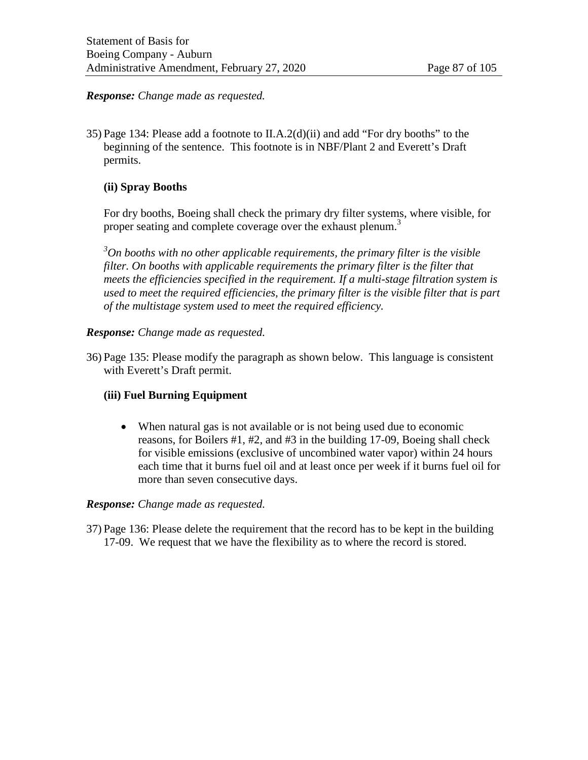## *Response: Change made as requested.*

35) Page 134: Please add a footnote to II.A.2(d)(ii) and add "For dry booths" to the beginning of the sentence. This footnote is in NBF/Plant 2 and Everett's Draft permits.

## **(ii) Spray Booths**

For dry booths, Boeing shall check the primary dry filter systems, where visible, for proper seating and complete coverage over the exhaust plenum.<sup>3</sup>

*3 On booths with no other applicable requirements, the primary filter is the visible filter. On booths with applicable requirements the primary filter is the filter that meets the efficiencies specified in the requirement. If a multi-stage filtration system is used to meet the required efficiencies, the primary filter is the visible filter that is part of the multistage system used to meet the required efficiency.*

## *Response: Change made as requested.*

36) Page 135: Please modify the paragraph as shown below. This language is consistent with Everett's Draft permit.

## **(iii) Fuel Burning Equipment**

• When natural gas is not available or is not being used due to economic reasons, for Boilers #1, #2, and #3 in the building 17-09, Boeing shall check for visible emissions (exclusive of uncombined water vapor) within 24 hours each time that it burns fuel oil and at least once per week if it burns fuel oil for more than seven consecutive days.

#### *Response: Change made as requested.*

37) Page 136: Please delete the requirement that the record has to be kept in the building 17-09. We request that we have the flexibility as to where the record is stored.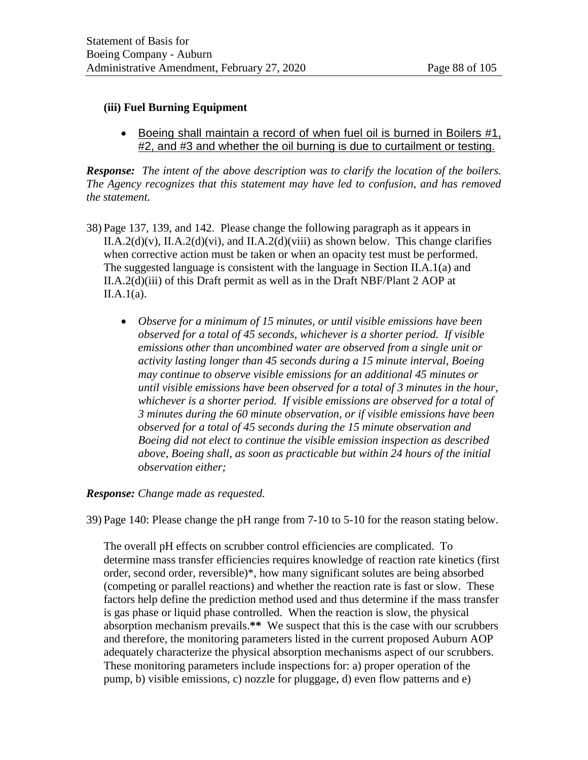## **(iii) Fuel Burning Equipment**

• Boeing shall maintain a record of when fuel oil is burned in Boilers #1, #2, and #3 and whether the oil burning is due to curtailment or testing.

*Response: The intent of the above description was to clarify the location of the boilers. The Agency recognizes that this statement may have led to confusion, and has removed the statement.* 

- 38) Page 137, 139, and 142. Please change the following paragraph as it appears in II.A.2(d)(v), II.A.2(d)(vi), and II.A.2(d)(viii) as shown below. This change clarifies when corrective action must be taken or when an opacity test must be performed. The suggested language is consistent with the language in Section II.A.1(a) and II.A.2(d)(iii) of this Draft permit as well as in the Draft NBF/Plant 2 AOP at  $II.A.1(a)$ .
	- *Observe for a minimum of 15 minutes, or until visible emissions have been observed for a total of 45 seconds, whichever is a shorter period. If visible emissions other than uncombined water are observed from a single unit or activity lasting longer than 45 seconds during a 15 minute interval, Boeing may continue to observe visible emissions for an additional 45 minutes or until visible emissions have been observed for a total of 3 minutes in the hour, whichever is a shorter period. If visible emissions are observed for a total of 3 minutes during the 60 minute observation, or if visible emissions have been observed for a total of 45 seconds during the 15 minute observation and Boeing did not elect to continue the visible emission inspection as described above, Boeing shall, as soon as practicable but within 24 hours of the initial observation either;*

## *Response: Change made as requested.*

39) Page 140: Please change the pH range from 7-10 to 5-10 for the reason stating below.

The overall pH effects on scrubber control efficiencies are complicated. To determine mass transfer efficiencies requires knowledge of reaction rate kinetics (first order, second order, reversible)\*, how many significant solutes are being absorbed (competing or parallel reactions) and whether the reaction rate is fast or slow. These factors help define the prediction method used and thus determine if the mass transfer is gas phase or liquid phase controlled. When the reaction is slow, the physical absorption mechanism prevails.**\*\*** We suspect that this is the case with our scrubbers and therefore, the monitoring parameters listed in the current proposed Auburn AOP adequately characterize the physical absorption mechanisms aspect of our scrubbers. These monitoring parameters include inspections for: a) proper operation of the pump, b) visible emissions, c) nozzle for pluggage, d) even flow patterns and e)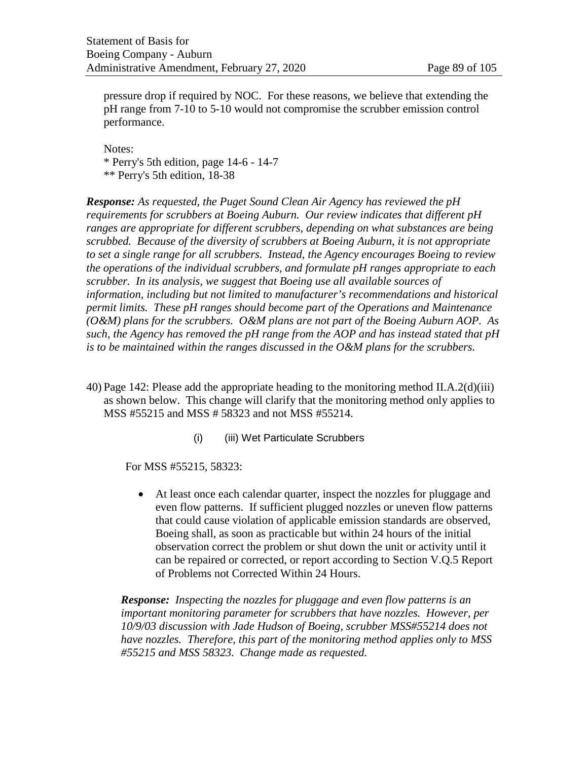pressure drop if required by NOC. For these reasons, we believe that extending the pH range from 7-10 to 5-10 would not compromise the scrubber emission control performance.

Notes: \* Perry's 5th edition, page 14-6 - 14-7 \*\* Perry's 5th edition, 18-38

*Response: As requested, the Puget Sound Clean Air Agency has reviewed the pH requirements for scrubbers at Boeing Auburn. Our review indicates that different pH ranges are appropriate for different scrubbers, depending on what substances are being scrubbed. Because of the diversity of scrubbers at Boeing Auburn, it is not appropriate to set a single range for all scrubbers. Instead, the Agency encourages Boeing to review the operations of the individual scrubbers, and formulate pH ranges appropriate to each scrubber. In its analysis, we suggest that Boeing use all available sources of information, including but not limited to manufacturer's recommendations and historical permit limits. These pH ranges should become part of the Operations and Maintenance (O&M) plans for the scrubbers. O&M plans are not part of the Boeing Auburn AOP. As such, the Agency has removed the pH range from the AOP and has instead stated that pH is to be maintained within the ranges discussed in the O&M plans for the scrubbers.* 

- 40) Page 142: Please add the appropriate heading to the monitoring method II.A.2(d)(iii) as shown below. This change will clarify that the monitoring method only applies to MSS #55215 and MSS # 58323 and not MSS #55214.
	- (i) (iii) Wet Particulate Scrubbers

For MSS #55215, 58323:

• At least once each calendar quarter, inspect the nozzles for pluggage and even flow patterns. If sufficient plugged nozzles or uneven flow patterns that could cause violation of applicable emission standards are observed, Boeing shall, as soon as practicable but within 24 hours of the initial observation correct the problem or shut down the unit or activity until it can be repaired or corrected, or report according to Section V.Q.5 Report of Problems not Corrected Within 24 Hours.

*Response: Inspecting the nozzles for pluggage and even flow patterns is an important monitoring parameter for scrubbers that have nozzles. However, per 10/9/03 discussion with Jade Hudson of Boeing, scrubber MSS#55214 does not have nozzles. Therefore, this part of the monitoring method applies only to MSS #55215 and MSS 58323. Change made as requested.*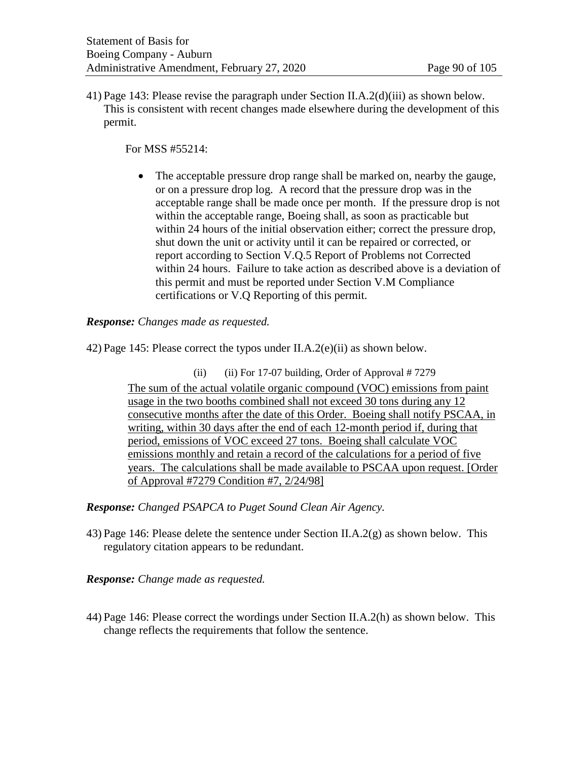41) Page 143: Please revise the paragraph under Section II.A.2(d)(iii) as shown below. This is consistent with recent changes made elsewhere during the development of this permit.

For MSS #55214:

• The acceptable pressure drop range shall be marked on, nearby the gauge, or on a pressure drop log. A record that the pressure drop was in the acceptable range shall be made once per month. If the pressure drop is not within the acceptable range, Boeing shall, as soon as practicable but within 24 hours of the initial observation either; correct the pressure drop, shut down the unit or activity until it can be repaired or corrected, or report according to Section V.Q.5 Report of Problems not Corrected within 24 hours. Failure to take action as described above is a deviation of this permit and must be reported under Section V.M Compliance certifications or V.Q Reporting of this permit.

*Response: Changes made as requested.*

42) Page 145: Please correct the typos under II.A.2(e)(ii) as shown below.

(ii) (iii) For 17-07 building, Order of Approval  $# 7279$ The sum of the actual volatile organic compound (VOC) emissions from paint usage in the two booths combined shall not exceed 30 tons during any 12 consecutive months after the date of this Order. Boeing shall notify PSCAA, in writing, within 30 days after the end of each 12-month period if, during that period, emissions of VOC exceed 27 tons. Boeing shall calculate VOC emissions monthly and retain a record of the calculations for a period of five years. The calculations shall be made available to PSCAA upon request. [Order of Approval #7279 Condition #7, 2/24/98]

*Response: Changed PSAPCA to Puget Sound Clean Air Agency.*

43) Page 146: Please delete the sentence under Section II.A.2(g) as shown below. This regulatory citation appears to be redundant.

*Response: Change made as requested.*

44) Page 146: Please correct the wordings under Section II.A.2(h) as shown below. This change reflects the requirements that follow the sentence.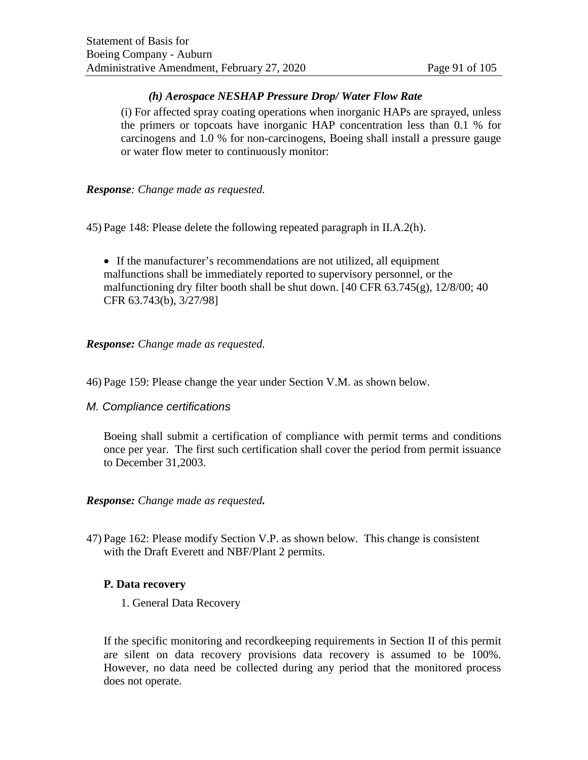## *(h) Aerospace NESHAP Pressure Drop/ Water Flow Rate*

(i) For affected spray coating operations when inorganic HAPs are sprayed, unless the primers or topcoats have inorganic HAP concentration less than 0.1 % for carcinogens and 1.0 % for non-carcinogens, Boeing shall install a pressure gauge or water flow meter to continuously monitor:

## *Response: Change made as requested.*

45) Page 148: Please delete the following repeated paragraph in II.A.2(h).

• If the manufacturer's recommendations are not utilized, all equipment malfunctions shall be immediately reported to supervisory personnel, or the malfunctioning dry filter booth shall be shut down. [40 CFR 63.745(g), 12/8/00; 40 CFR 63.743(b), 3/27/98]

## *Response: Change made as requested.*

- 46) Page 159: Please change the year under Section V.M. as shown below.
- *M. Compliance certifications*

Boeing shall submit a certification of compliance with permit terms and conditions once per year. The first such certification shall cover the period from permit issuance to December 31,2003.

#### *Response: Change made as requested.*

47) Page 162: Please modify Section V.P. as shown below. This change is consistent with the Draft Everett and NBF/Plant 2 permits.

#### **P. Data recovery**

1. General Data Recovery

If the specific monitoring and recordkeeping requirements in Section II of this permit are silent on data recovery provisions data recovery is assumed to be 100%. However, no data need be collected during any period that the monitored process does not operate.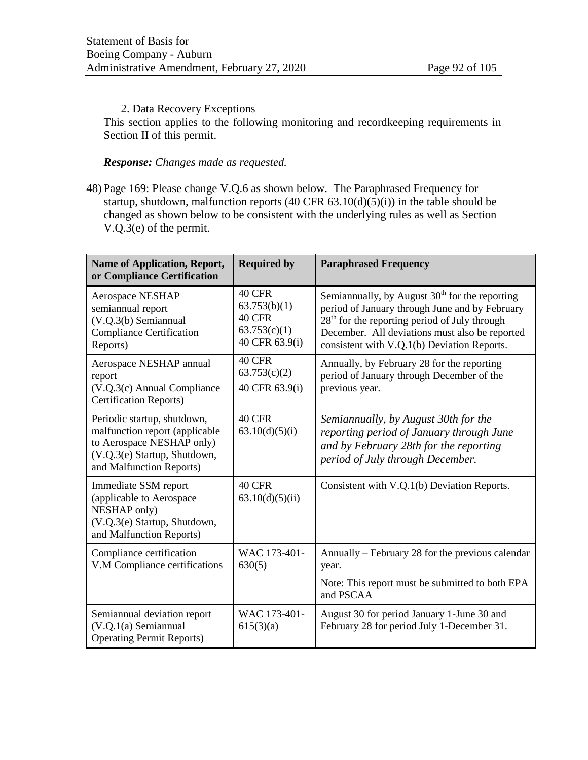#### 2. Data Recovery Exceptions

This section applies to the following monitoring and recordkeeping requirements in Section II of this permit.

# *Response: Changes made as requested.*

48) Page 169: Please change V.Q.6 as shown below. The Paraphrased Frequency for startup, shutdown, malfunction reports  $(40 \text{ CFR } 63.10(d)(5)(i))$  in the table should be changed as shown below to be consistent with the underlying rules as well as Section V.Q.3(e) of the permit.

| <b>Name of Application, Report,</b><br>or Compliance Certification                                                                                     | <b>Required by</b>                                                        | <b>Paraphrased Frequency</b>                                                                                                                                                                                                                           |
|--------------------------------------------------------------------------------------------------------------------------------------------------------|---------------------------------------------------------------------------|--------------------------------------------------------------------------------------------------------------------------------------------------------------------------------------------------------------------------------------------------------|
| Aerospace NESHAP<br>semiannual report<br>(V.Q.3(b) Semiannual<br><b>Compliance Certification</b><br>Reports)                                           | 40 CFR<br>63.753(b)(1)<br><b>40 CFR</b><br>63.753(c)(1)<br>40 CFR 63.9(i) | Semiannually, by August $30th$ for the reporting<br>period of January through June and by February<br>$28th$ for the reporting period of July through<br>December. All deviations must also be reported<br>consistent with V.Q.1(b) Deviation Reports. |
| Aerospace NESHAP annual<br>report<br>(V.Q.3(c) Annual Compliance<br><b>Certification Reports)</b>                                                      | 40 CFR<br>63.753(c)(2)<br>40 CFR 63.9(i)                                  | Annually, by February 28 for the reporting<br>period of January through December of the<br>previous year.                                                                                                                                              |
| Periodic startup, shutdown,<br>malfunction report (applicable<br>to Aerospace NESHAP only)<br>(V.Q.3(e) Startup, Shutdown,<br>and Malfunction Reports) | <b>40 CFR</b><br>63.10(d)(5)(i)                                           | Semiannually, by August 30th for the<br>reporting period of January through June<br>and by February 28th for the reporting<br>period of July through December.                                                                                         |
| Immediate SSM report<br>(applicable to Aerospace<br>NESHAP only)<br>(V.Q.3(e) Startup, Shutdown,<br>and Malfunction Reports)                           | <b>40 CFR</b><br>63.10(d)(5)(ii)                                          | Consistent with V.Q.1(b) Deviation Reports.                                                                                                                                                                                                            |
| Compliance certification<br>V.M Compliance certifications                                                                                              | WAC 173-401-<br>630(5)                                                    | Annually – February 28 for the previous calendar<br>year.                                                                                                                                                                                              |
|                                                                                                                                                        |                                                                           | Note: This report must be submitted to both EPA<br>and PSCAA                                                                                                                                                                                           |
| Semiannual deviation report<br>$(V.Q.1(a)$ Semiannual<br><b>Operating Permit Reports)</b>                                                              | WAC 173-401-<br>615(3)(a)                                                 | August 30 for period January 1-June 30 and<br>February 28 for period July 1-December 31.                                                                                                                                                               |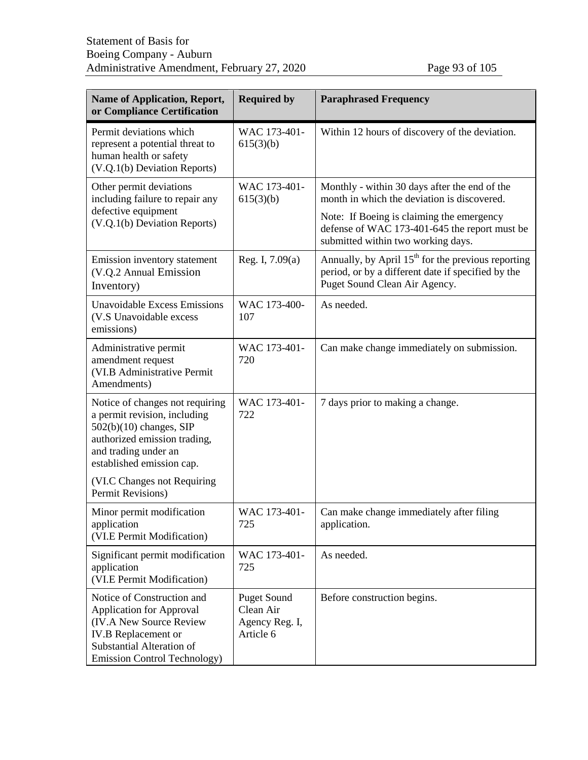| <b>Name of Application, Report,</b><br>or Compliance Certification                                                                                                                                 | <b>Required by</b>                                             | <b>Paraphrased Frequency</b>                                                                                                                |
|----------------------------------------------------------------------------------------------------------------------------------------------------------------------------------------------------|----------------------------------------------------------------|---------------------------------------------------------------------------------------------------------------------------------------------|
| Permit deviations which<br>represent a potential threat to<br>human health or safety<br>(V.Q.1(b) Deviation Reports)                                                                               | WAC 173-401-<br>615(3)(b)                                      | Within 12 hours of discovery of the deviation.                                                                                              |
| Other permit deviations<br>including failure to repair any                                                                                                                                         | WAC 173-401-<br>615(3)(b)                                      | Monthly - within 30 days after the end of the<br>month in which the deviation is discovered.                                                |
| defective equipment<br>(V.Q.1(b) Deviation Reports)                                                                                                                                                |                                                                | Note: If Boeing is claiming the emergency<br>defense of WAC 173-401-645 the report must be<br>submitted within two working days.            |
| Emission inventory statement<br>(V.Q.2 Annual Emission<br>Inventory)                                                                                                                               | Reg. I, $7.09(a)$                                              | Annually, by April $15th$ for the previous reporting<br>period, or by a different date if specified by the<br>Puget Sound Clean Air Agency. |
| <b>Unavoidable Excess Emissions</b><br>(V.S Unavoidable excess<br>emissions)                                                                                                                       | WAC 173-400-<br>107                                            | As needed.                                                                                                                                  |
| Administrative permit<br>amendment request<br>(VI.B Administrative Permit<br>Amendments)                                                                                                           | WAC 173-401-<br>720                                            | Can make change immediately on submission.                                                                                                  |
| Notice of changes not requiring<br>a permit revision, including<br>$502(b)(10)$ changes, SIP<br>authorized emission trading,<br>and trading under an<br>established emission cap.                  | WAC 173-401-<br>722                                            | 7 days prior to making a change.                                                                                                            |
| (VI.C Changes not Requiring<br>Permit Revisions)                                                                                                                                                   |                                                                |                                                                                                                                             |
| Minor permit modification<br>application<br>(VI.E Permit Modification)                                                                                                                             | WAC 173-401-<br>725                                            | Can make change immediately after filing<br>application.                                                                                    |
| Significant permit modification<br>application<br>(VI.E Permit Modification)                                                                                                                       | WAC 173-401-<br>725                                            | As needed.                                                                                                                                  |
| Notice of Construction and<br><b>Application for Approval</b><br><b>(IV.A New Source Review)</b><br><b>IV.B</b> Replacement or<br>Substantial Alteration of<br><b>Emission Control Technology)</b> | <b>Puget Sound</b><br>Clean Air<br>Agency Reg. I,<br>Article 6 | Before construction begins.                                                                                                                 |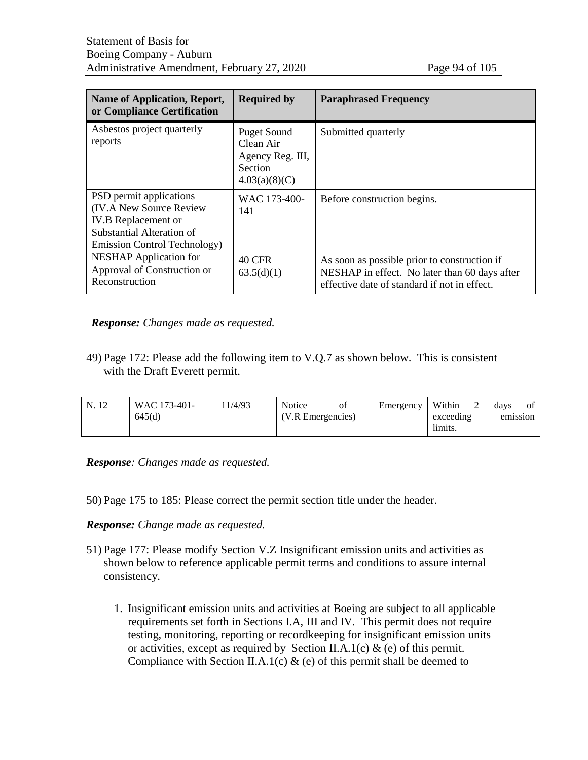| Name of Application, Report,<br>or Compliance Certification                                                                                                   | <b>Required by</b>                                                                     | <b>Paraphrased Frequency</b>                                                                                                                  |
|---------------------------------------------------------------------------------------------------------------------------------------------------------------|----------------------------------------------------------------------------------------|-----------------------------------------------------------------------------------------------------------------------------------------------|
| Asbestos project quarterly<br>reports                                                                                                                         | <b>Puget Sound</b><br>Clean Air<br>Agency Reg. III,<br><b>Section</b><br>4.03(a)(8)(C) | Submitted quarterly                                                                                                                           |
| PSD permit applications<br><b>(IV.A New Source Review)</b><br><b>IV.B</b> Replacement or<br>Substantial Alteration of<br><b>Emission Control Technology</b> ) | WAC 173-400-<br>141                                                                    | Before construction begins.                                                                                                                   |
| <b>NESHAP</b> Application for<br>Approval of Construction or<br>Reconstruction                                                                                | 40 CFR<br>63.5(d)(1)                                                                   | As soon as possible prior to construction if<br>NESHAP in effect. No later than 60 days after<br>effective date of standard if not in effect. |

#### *Response: Changes made as requested.*

49) Page 172: Please add the following item to V.Q.7 as shown below. This is consistent with the Draft Everett permit.

| N. 12 | WAC 173-401- | 1/4/93 | Notice            | 0Ì | Emergency            | Within   | davs | ΟĪ |
|-------|--------------|--------|-------------------|----|----------------------|----------|------|----|
|       | 645(d)       |        | (V.R Emergencies) |    | exceeding<br>limits. | emission |      |    |

*Response: Changes made as requested.*

50) Page 175 to 185: Please correct the permit section title under the header.

#### *Response: Change made as requested.*

- 51) Page 177: Please modify Section V.Z Insignificant emission units and activities as shown below to reference applicable permit terms and conditions to assure internal consistency.
	- 1. Insignificant emission units and activities at Boeing are subject to all applicable requirements set forth in Sections I.A, III and IV. This permit does not require testing, monitoring, reporting or recordkeeping for insignificant emission units or activities, except as required by Section II.A.1(c)  $\&$  (e) of this permit. Compliance with Section II.A.1(c)  $\&$  (e) of this permit shall be deemed to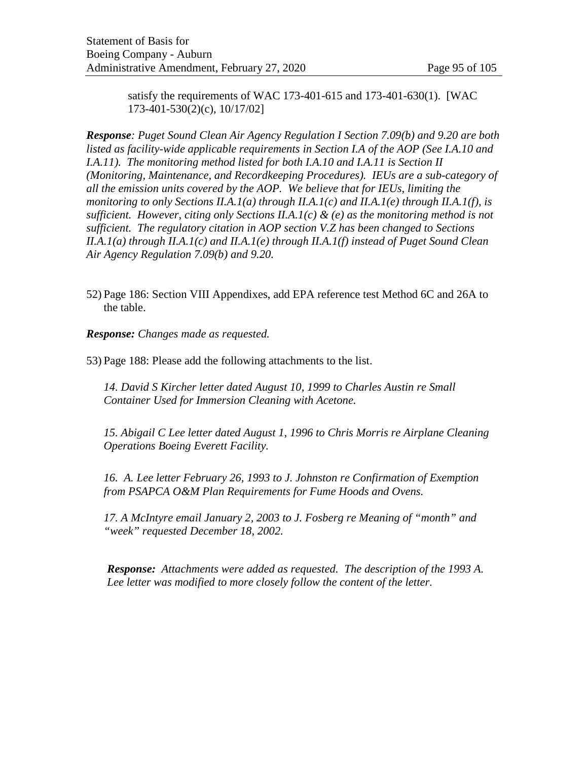satisfy the requirements of WAC 173-401-615 and 173-401-630(1). [WAC 173-401-530(2)(c), 10/17/02]

*Response: Puget Sound Clean Air Agency Regulation I Section 7.09(b) and 9.20 are both listed as facility-wide applicable requirements in Section I.A of the AOP (See I.A.10 and I.A.11*). The monitoring method listed for both *I.A.10 and I.A.11 is Section II (Monitoring, Maintenance, and Recordkeeping Procedures). IEUs are a sub-category of all the emission units covered by the AOP. We believe that for IEUs, limiting the monitoring to only Sections II.A.1(a) through II.A.1(c) and II.A.1(e) through II.A.1(f), is sufficient. However, citing only Sections II.A.1(c) & (e) as the monitoring method is not sufficient. The regulatory citation in AOP section V.Z has been changed to Sections II.A.1(a) through II.A.1(c) and II.A.1(e) through II.A.1(f) instead of Puget Sound Clean Air Agency Regulation 7.09(b) and 9.20.*

52) Page 186: Section VIII Appendixes, add EPA reference test Method 6C and 26A to the table.

*Response: Changes made as requested.*

53) Page 188: Please add the following attachments to the list.

*14. David S Kircher letter dated August 10, 1999 to Charles Austin re Small Container Used for Immersion Cleaning with Acetone.*

*15. Abigail C Lee letter dated August 1, 1996 to Chris Morris re Airplane Cleaning Operations Boeing Everett Facility.*

*16. A. Lee letter February 26, 1993 to J. Johnston re Confirmation of Exemption from PSAPCA O&M Plan Requirements for Fume Hoods and Ovens.*

*17. A McIntyre email January 2, 2003 to J. Fosberg re Meaning of "month" and "week" requested December 18, 2002.*

*Response: Attachments were added as requested. The description of the 1993 A. Lee letter was modified to more closely follow the content of the letter.*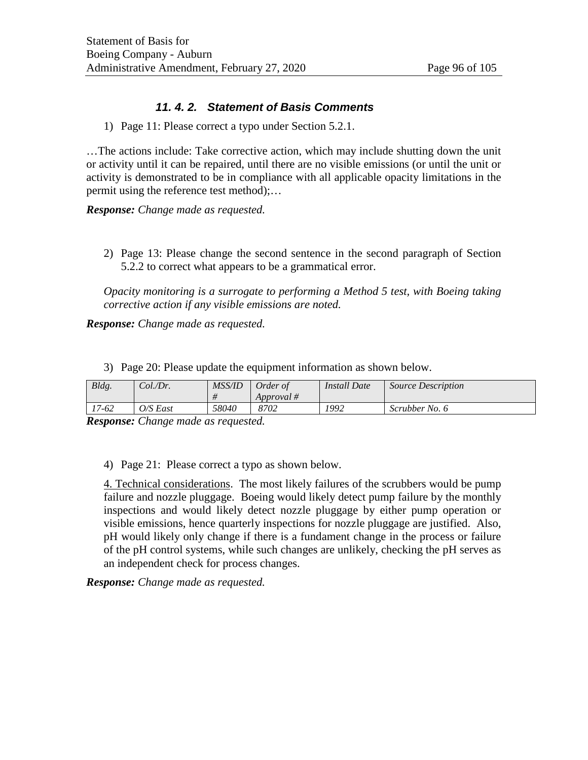## *11. 4. 2. Statement of Basis Comments*

1) Page 11: Please correct a typo under Section 5.2.1.

…The actions include: Take corrective action, which may include shutting down the unit or activity until it can be repaired, until there are no visible emissions (or until the unit or activity is demonstrated to be in compliance with all applicable opacity limitations in the permit using the reference test method);…

*Response: Change made as requested.*

2) Page 13: Please change the second sentence in the second paragraph of Section 5.2.2 to correct what appears to be a grammatical error.

*Opacity monitoring is a surrogate to performing a Method 5 test, with Boeing taking corrective action if any visible emissions are noted.*

*Response: Change made as requested.*

| 3) Page 20: Please update the equipment information as shown below. |  |
|---------------------------------------------------------------------|--|
|---------------------------------------------------------------------|--|

| Bldg. | Col./Dr. | <b>MSS/ID</b> | Order of<br>Approval # | <b>Install Date</b> | <b>Source Description</b> |
|-------|----------|---------------|------------------------|---------------------|---------------------------|
| !7-62 | O/S East | 58040         | 8702                   | 1992                | Scrubber No. 6            |

*Response: Change made as requested.*

4) Page 21: Please correct a typo as shown below.

4. Technical considerations. The most likely failures of the scrubbers would be pump failure and nozzle pluggage. Boeing would likely detect pump failure by the monthly inspections and would likely detect nozzle pluggage by either pump operation or visible emissions, hence quarterly inspections for nozzle pluggage are justified. Also, pH would likely only change if there is a fundament change in the process or failure of the pH control systems, while such changes are unlikely, checking the pH serves as an independent check for process changes.

*Response: Change made as requested.*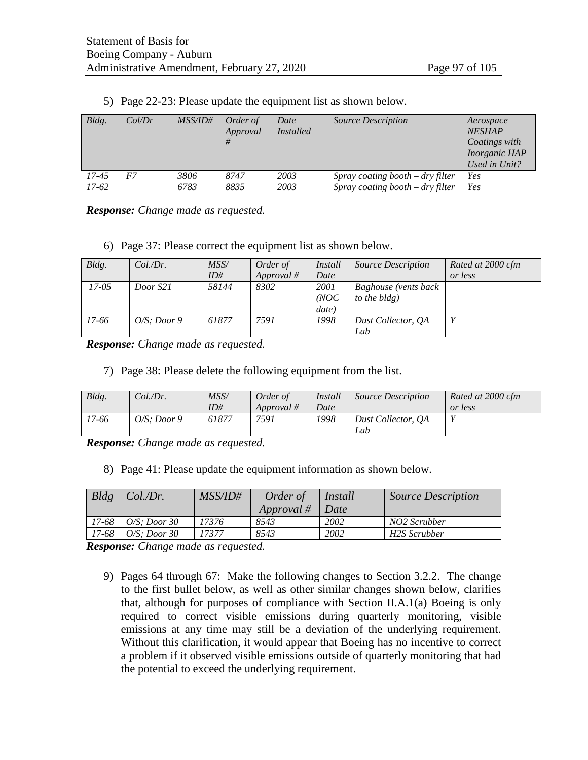| Bldg. | Col/Dr | <i>MSS/ID#</i> | Order of<br>Approval | Date<br><i>Installed</i> | <i>Source Description</i>          | Aerospace<br><b>NESHAP</b><br>Coatings with<br><i>Inorganic HAP</i><br>Used in Unit? |
|-------|--------|----------------|----------------------|--------------------------|------------------------------------|--------------------------------------------------------------------------------------|
| 17-45 | F7     | 3806           | 8747                 | 2003                     | Spray coating booth $-$ dry filter | Yes                                                                                  |
| 17-62 |        | 6783           | 8835                 | 2003                     | Spray coating booth $-$ dry filter | Yes                                                                                  |

5) Page 22-23: Please update the equipment list as shown below.

*Response: Change made as requested.*

6) Page 37: Please correct the equipment list as shown below.

| Bldg. | $Col\mathcal{D}r$ . | MSS/  | Order of   | Install | <i>Source Description</i> | Rated at 2000 cfm |
|-------|---------------------|-------|------------|---------|---------------------------|-------------------|
|       |                     | ID#   | Approval # | Date    |                           | or less           |
| 17-05 | Door S21            | 58144 | 8302       | 2001    | Baghouse (vents back      |                   |
|       |                     |       |            | (NOC)   | to the bldg)              |                   |
|       |                     |       |            | date)   |                           |                   |
| 17-66 | $O/S$ : Door 9      | 61877 | 7591       | 1998    | Dust Collector, OA        |                   |
|       |                     |       |            |         | Lab                       |                   |

*Response: Change made as requested.*

7) Page 38: Please delete the following equipment from the list.

| Bldg. | Col.Dr.     | MSS/<br>ID# | Order of<br>Approval # | Install<br>Date | <b>Source Description</b> | Rated at 2000 cfm<br>or less |
|-------|-------------|-------------|------------------------|-----------------|---------------------------|------------------------------|
| 17-66 | O/S: Door 9 | 61877       | 7591                   | 1998            | Dust Collector, OA<br>Lab | $\mathbf{v}$                 |

*Response: Change made as requested.*

8) Page 41: Please update the equipment information as shown below.

| Bldg  | Col.Dr.         | <i>MSS/ID#</i> | Order of   | <i>Install</i> | <b>Source Description</b> |
|-------|-----------------|----------------|------------|----------------|---------------------------|
|       |                 |                | Approval # | Date           |                           |
| 17-68 | $O/S$ : Door 30 | 17376          | 8543       | 2002           | NO2 Scrubber              |
| 17-68 | O/S: Door 30    | 17377          | 8543       | 2002           | H2S Scrubber              |

*Response: Change made as requested.*

9) Pages 64 through 67: Make the following changes to Section 3.2.2. The change to the first bullet below, as well as other similar changes shown below, clarifies that, although for purposes of compliance with Section II.A.1(a) Boeing is only required to correct visible emissions during quarterly monitoring, visible emissions at any time may still be a deviation of the underlying requirement. Without this clarification, it would appear that Boeing has no incentive to correct a problem if it observed visible emissions outside of quarterly monitoring that had the potential to exceed the underlying requirement.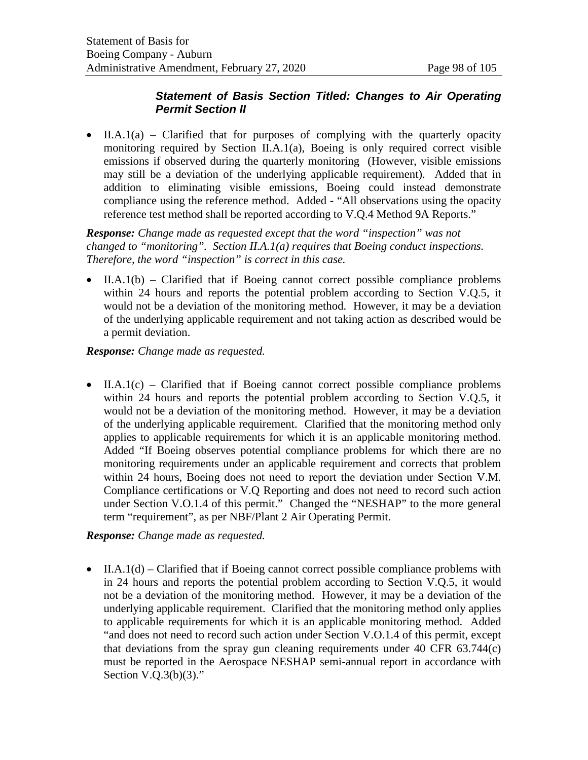## *Statement of Basis Section Titled: Changes to Air Operating Permit Section II*

• II.A.1(a) – Clarified that for purposes of complying with the quarterly opacity monitoring required by Section II.A.1(a), Boeing is only required correct visible emissions if observed during the quarterly monitoring (However, visible emissions may still be a deviation of the underlying applicable requirement). Added that in addition to eliminating visible emissions, Boeing could instead demonstrate compliance using the reference method. Added - "All observations using the opacity reference test method shall be reported according to V.Q.4 Method 9A Reports."

*Response: Change made as requested except that the word "inspection" was not changed to "monitoring". Section II.A.1(a) requires that Boeing conduct inspections. Therefore, the word "inspection" is correct in this case.*

• II.A.1(b) – Clarified that if Boeing cannot correct possible compliance problems within 24 hours and reports the potential problem according to Section V.Q.5, it would not be a deviation of the monitoring method. However, it may be a deviation of the underlying applicable requirement and not taking action as described would be a permit deviation.

*Response: Change made as requested.*

• II.A.1(c) – Clarified that if Boeing cannot correct possible compliance problems within 24 hours and reports the potential problem according to Section V.Q.5, it would not be a deviation of the monitoring method. However, it may be a deviation of the underlying applicable requirement. Clarified that the monitoring method only applies to applicable requirements for which it is an applicable monitoring method. Added "If Boeing observes potential compliance problems for which there are no monitoring requirements under an applicable requirement and corrects that problem within 24 hours, Boeing does not need to report the deviation under Section V.M. Compliance certifications or V.Q Reporting and does not need to record such action under Section V.O.1.4 of this permit." Changed the "NESHAP" to the more general term "requirement", as per NBF/Plant 2 Air Operating Permit.

*Response: Change made as requested.*

• II.A.1(d) – Clarified that if Boeing cannot correct possible compliance problems with in 24 hours and reports the potential problem according to Section V.Q.5, it would not be a deviation of the monitoring method. However, it may be a deviation of the underlying applicable requirement. Clarified that the monitoring method only applies to applicable requirements for which it is an applicable monitoring method. Added "and does not need to record such action under Section V.O.1.4 of this permit, except that deviations from the spray gun cleaning requirements under 40 CFR 63.744(c) must be reported in the Aerospace NESHAP semi-annual report in accordance with Section V.Q.3(b)(3)."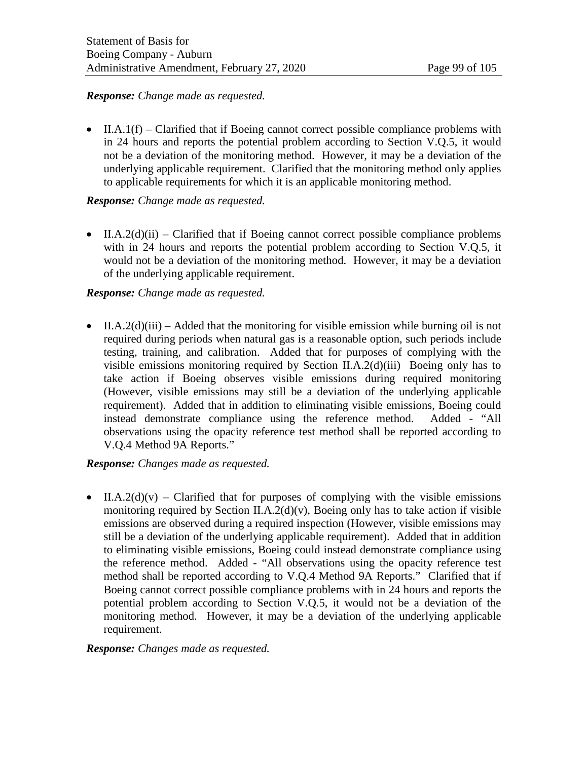#### *Response: Change made as requested.*

• II.A.1(f) – Clarified that if Boeing cannot correct possible compliance problems with in 24 hours and reports the potential problem according to Section V.Q.5, it would not be a deviation of the monitoring method. However, it may be a deviation of the underlying applicable requirement. Clarified that the monitoring method only applies to applicable requirements for which it is an applicable monitoring method.

## *Response: Change made as requested.*

• II.A.2(d)(ii) – Clarified that if Boeing cannot correct possible compliance problems with in 24 hours and reports the potential problem according to Section V.Q.5, it would not be a deviation of the monitoring method. However, it may be a deviation of the underlying applicable requirement.

## *Response: Change made as requested.*

• II.A.2(d)(iii) – Added that the monitoring for visible emission while burning oil is not required during periods when natural gas is a reasonable option, such periods include testing, training, and calibration. Added that for purposes of complying with the visible emissions monitoring required by Section II.A.2(d)(iii) Boeing only has to take action if Boeing observes visible emissions during required monitoring (However, visible emissions may still be a deviation of the underlying applicable requirement). Added that in addition to eliminating visible emissions, Boeing could instead demonstrate compliance using the reference method. Added - "All observations using the opacity reference test method shall be reported according to V.Q.4 Method 9A Reports."

## *Response: Changes made as requested.*

• II.A.2(d)(v) – Clarified that for purposes of complying with the visible emissions monitoring required by Section II.A.2(d)(v), Boeing only has to take action if visible emissions are observed during a required inspection (However, visible emissions may still be a deviation of the underlying applicable requirement). Added that in addition to eliminating visible emissions, Boeing could instead demonstrate compliance using the reference method. Added - "All observations using the opacity reference test method shall be reported according to V.Q.4 Method 9A Reports." Clarified that if Boeing cannot correct possible compliance problems with in 24 hours and reports the potential problem according to Section V.Q.5, it would not be a deviation of the monitoring method. However, it may be a deviation of the underlying applicable requirement.

#### *Response: Changes made as requested.*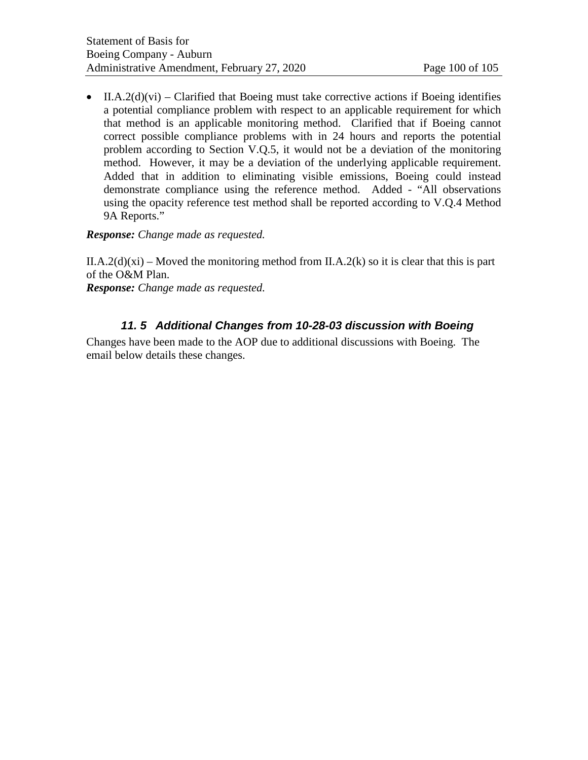• II.A.2(d)(vi) – Clarified that Boeing must take corrective actions if Boeing identifies a potential compliance problem with respect to an applicable requirement for which that method is an applicable monitoring method. Clarified that if Boeing cannot correct possible compliance problems with in 24 hours and reports the potential problem according to Section V.Q.5, it would not be a deviation of the monitoring method. However, it may be a deviation of the underlying applicable requirement. Added that in addition to eliminating visible emissions, Boeing could instead demonstrate compliance using the reference method. Added - "All observations using the opacity reference test method shall be reported according to V.Q.4 Method 9A Reports."

## *Response: Change made as requested.*

II.A.2(d)(xi) – Moved the monitoring method from II.A.2(k) so it is clear that this is part of the O&M Plan.

*Response: Change made as requested.*

# *11. 5 Additional Changes from 10-28-03 discussion with Boeing*

Changes have been made to the AOP due to additional discussions with Boeing. The email below details these changes.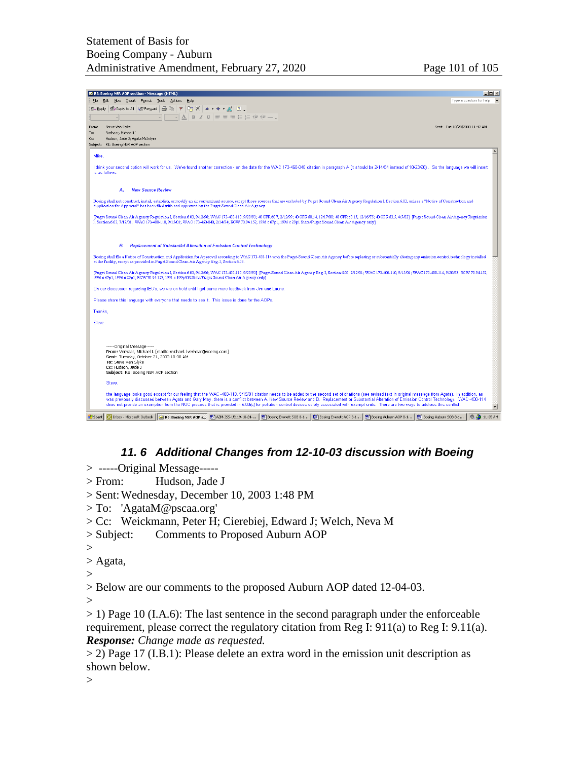|                | $ \Box$ $\times$<br>RE: Boeing NSR AOP section - Message (HTML)                                                                                                                                                                                                                                                                                                                                   |
|----------------|---------------------------------------------------------------------------------------------------------------------------------------------------------------------------------------------------------------------------------------------------------------------------------------------------------------------------------------------------------------------------------------------------|
| Fdit           | Type a question for help $\blacktriangleright$<br>Insert Format Tools<br>Actions<br>View<br>Help                                                                                                                                                                                                                                                                                                  |
| © Reply        | $\mathbb{P}  X $ $\rightarrow$ $\rightarrow$ $\mathbb{R}  Z$ .<br>■ Reply to All 4 PForward 图 ■ ▼                                                                                                                                                                                                                                                                                                 |
|                | $\overline{\mathbb{P}}\ \mathbb{A}\ $ by $I$ we set the set of $\mathbb{F}=\mathbb{R}$ is the set of $\mathbb{F}-1$                                                                                                                                                                                                                                                                               |
|                |                                                                                                                                                                                                                                                                                                                                                                                                   |
| From:<br>To:   | Steve Van Slyke<br>Sent: Tue 10/28/2003 11:42 AM<br>'Verhaar, Michael L'                                                                                                                                                                                                                                                                                                                          |
| Cc:            | Hudson, Jade J; Agata McIntyre                                                                                                                                                                                                                                                                                                                                                                    |
|                | Subject: RE: Boeing NSR AOP section                                                                                                                                                                                                                                                                                                                                                               |
|                |                                                                                                                                                                                                                                                                                                                                                                                                   |
| Mike,          |                                                                                                                                                                                                                                                                                                                                                                                                   |
|                | I think your second option will work for us. We've found another correction - on the date for the WAC 173-460-040 citation in paragraph A (it should be 2/14/94 instead of 10/23/98). So the language we will insert                                                                                                                                                                              |
| is as follows: |                                                                                                                                                                                                                                                                                                                                                                                                   |
|                |                                                                                                                                                                                                                                                                                                                                                                                                   |
|                | <b>New Source Review</b><br>А.                                                                                                                                                                                                                                                                                                                                                                    |
|                |                                                                                                                                                                                                                                                                                                                                                                                                   |
|                | Boeing shall not construct, install, establish, or modify an air contaminant source, except those sources that are excluded by Puget Sound Clean Air Agency Regulation I, Section 6.03, unless a "Notice of Construction and                                                                                                                                                                      |
|                | Application for Approval" has been filed with and approved by the Puget Sound Clean Air Agency.                                                                                                                                                                                                                                                                                                   |
|                | [Puget Sound Clean Air Agency Regulation I, Section 6.03, 9/12/96; WAC 173-400-110, 9/20/93; 40 CFR 60.7, 2/12/99; 40 CFR 60.14, 12/17/00; 40 CFR 60.15, 12/16/75; 40 CFR 60.3, 4/5/02] [Puget Sound Clean Air Agency Regulati                                                                                                                                                                    |
|                | I, Section 6.03, 7/12/01, WAC 173-400-110, 9/15/01; WAC 173-460-040, 2/14/94; RCW 70.94.152, 1996 c 67p1, 1996 c 29p1 State/Puget Sound Clean Air Agency only]                                                                                                                                                                                                                                    |
|                |                                                                                                                                                                                                                                                                                                                                                                                                   |
|                |                                                                                                                                                                                                                                                                                                                                                                                                   |
|                | В.<br><b>Replacement of Substantial Alteration of Emission Control Technology</b>                                                                                                                                                                                                                                                                                                                 |
|                |                                                                                                                                                                                                                                                                                                                                                                                                   |
|                | Boeing shall file a Notice of Construction and Application for Approval according to WAC 173-400-114 with the Puget Sound Clean Air Agency before replacing or substantially altering any emission control technology installe<br>at the facility, except as provided in Puget Sound Clean Air Agency Reg. I, Section 6.03                                                                        |
|                |                                                                                                                                                                                                                                                                                                                                                                                                   |
|                | [Puget Sound Clean Air Agency Regulation I, Section 6.03, 9/12/96; WAC 173-400-110, 9/20/93] [Puget Sound Clean Air Agency Reg. I, Section 6.03, 7/12/01; WAC 173-400-110, 9/15/01; WAC 173-400-114, 9/20/93; RCW 70.94.152,                                                                                                                                                                      |
|                | 1996 c 67p1, 1996 c 29p1; RCW 70.94.153, 1991 c 199p303 State/Puget Sound Clean Air Agency only]                                                                                                                                                                                                                                                                                                  |
|                | On our discussion regarding IEU's, we are on hold until I get some more feedback from Jim and Laurie.                                                                                                                                                                                                                                                                                             |
|                |                                                                                                                                                                                                                                                                                                                                                                                                   |
|                | Please share this language with everyone that needs to see it. This issue is done for the AOPs.                                                                                                                                                                                                                                                                                                   |
| Thanks,        |                                                                                                                                                                                                                                                                                                                                                                                                   |
|                |                                                                                                                                                                                                                                                                                                                                                                                                   |
| <b>Steve</b>   |                                                                                                                                                                                                                                                                                                                                                                                                   |
|                |                                                                                                                                                                                                                                                                                                                                                                                                   |
|                |                                                                                                                                                                                                                                                                                                                                                                                                   |
|                | ------Original Message-                                                                                                                                                                                                                                                                                                                                                                           |
|                | From: Verhaar, Michael L [mailto:michael.l.verhaar@boeing.com]                                                                                                                                                                                                                                                                                                                                    |
|                | Sent: Tuesday, October 21, 2003 10:38 AM                                                                                                                                                                                                                                                                                                                                                          |
|                | To: Steve Van Slyke<br>Cc: Hudson, Jade J                                                                                                                                                                                                                                                                                                                                                         |
|                | Subject: RE: Boeing NSR AOP section                                                                                                                                                                                                                                                                                                                                                               |
|                | Steve.                                                                                                                                                                                                                                                                                                                                                                                            |
|                |                                                                                                                                                                                                                                                                                                                                                                                                   |
|                | the language looks good except for our feeling that the WAC-400-110, 9/15/01 citation needs to be added to the second set of citations (see revised text in original message from Agata). In addition, as                                                                                                                                                                                         |
|                | was previously discussed between Agata and Gary May, there is a conflict between A. New Source Review and B. Replacement or Substantial Alteration of Emission Control Technology. WAC -400-114<br>does not provide an exemption from the NOC process that is provided in 6.03(c) for pollution control devices solely associated with exempt units. There are two ways to address this conflict. |
|                | ▼                                                                                                                                                                                                                                                                                                                                                                                                 |
| Start          | <b>D.C.</b> 11:05 AM<br>O Inbox - Microsoft Outlook   M RE: Boeing NSR AOP s   图 AZM-J55-15119-10-24-  <br>Boeing Everett SOB 8-1   88 Boeing Everett AOP 8-1   8 Boeing Auburn AOP 8-1<br>Boeing Auburn 50B 8-1                                                                                                                                                                                  |

## *11. 6 Additional Changes from 12-10-03 discussion with Boeing*

- > -----Original Message-----
- > From: Hudson, Jade J
- > Sent:Wednesday, December 10, 2003 1:48 PM
- > To: 'AgataM@pscaa.org'
- > Cc: Weickmann, Peter H; Cierebiej, Edward J; Welch, Neva M
- > Subject: Comments to Proposed Auburn AOP
- $>$

```
> Agata,
```
 $>$ 

> Below are our comments to the proposed Auburn AOP dated 12-04-03.

 $\geq$ 

> 1) Page 10 (I.A.6): The last sentence in the second paragraph under the enforceable requirement, please correct the regulatory citation from Reg I: 911(a) to Reg I: 9.11(a). *Response: Change made as requested.* 

> 2) Page 17 (I.B.1): Please delete an extra word in the emission unit description as shown below.

 $>$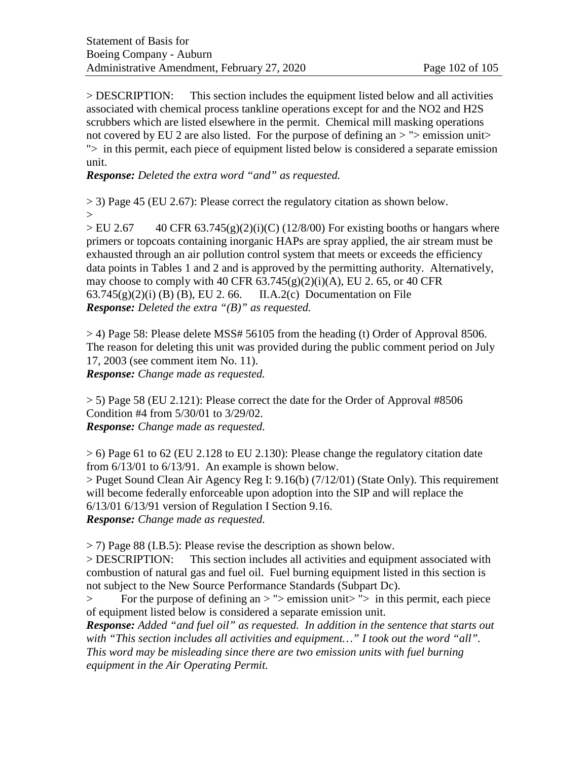> DESCRIPTION: This section includes the equipment listed below and all activities associated with chemical process tankline operations except for and the NO2 and H2S scrubbers which are listed elsewhere in the permit. Chemical mill masking operations not covered by EU 2 are also listed. For the purpose of defining an  $>$  " $>$  emission unit $>$ "> in this permit, each piece of equipment listed below is considered a separate emission unit.

*Response: Deleted the extra word "and" as requested.*

> 3) Page 45 (EU 2.67): Please correct the regulatory citation as shown below. >

 $>$  EU 2.67 40 CFR 63.745(g)(2)(i)(C) (12/8/00) For existing booths or hangars where primers or topcoats containing inorganic HAPs are spray applied, the air stream must be exhausted through an air pollution control system that meets or exceeds the efficiency data points in Tables 1 and 2 and is approved by the permitting authority. Alternatively, may choose to comply with 40 CFR  $63.745(g)(2)(i)(A)$ , EU 2.65, or 40 CFR  $63.745(g)(2)(i)$  (B) (B), EU 2.66. II.A.2(c) Documentation on File *Response: Deleted the extra "(B)" as requested.*

 $>$  4) Page 58: Please delete MSS# 56105 from the heading (t) Order of Approval 8506. The reason for deleting this unit was provided during the public comment period on July 17, 2003 (see comment item No. 11). *Response: Change made as requested.*

 $> 5$ ) Page 58 (EU 2.121): Please correct the date for the Order of Approval #8506 Condition #4 from 5/30/01 to 3/29/02. *Response: Change made as requested.*

 $> 6$ ) Page 61 to 62 (EU 2.128 to EU 2.130): Please change the regulatory citation date from 6/13/01 to 6/13/91. An example is shown below. > Puget Sound Clean Air Agency Reg I: 9.16(b) (7/12/01) (State Only). This requirement will become federally enforceable upon adoption into the SIP and will replace the

6/13/01 6/13/91 version of Regulation I Section 9.16.

*Response: Change made as requested.*

> 7) Page 88 (I.B.5): Please revise the description as shown below.

> DESCRIPTION: This section includes all activities and equipment associated with combustion of natural gas and fuel oil. Fuel burning equipment listed in this section is not subject to the New Source Performance Standards (Subpart Dc).

> For the purpose of defining an > "> emission unit> "> in this permit, each piece of equipment listed below is considered a separate emission unit.

*Response: Added "and fuel oil" as requested. In addition in the sentence that starts out with "This section includes all activities and equipment…" I took out the word "all". This word may be misleading since there are two emission units with fuel burning equipment in the Air Operating Permit.*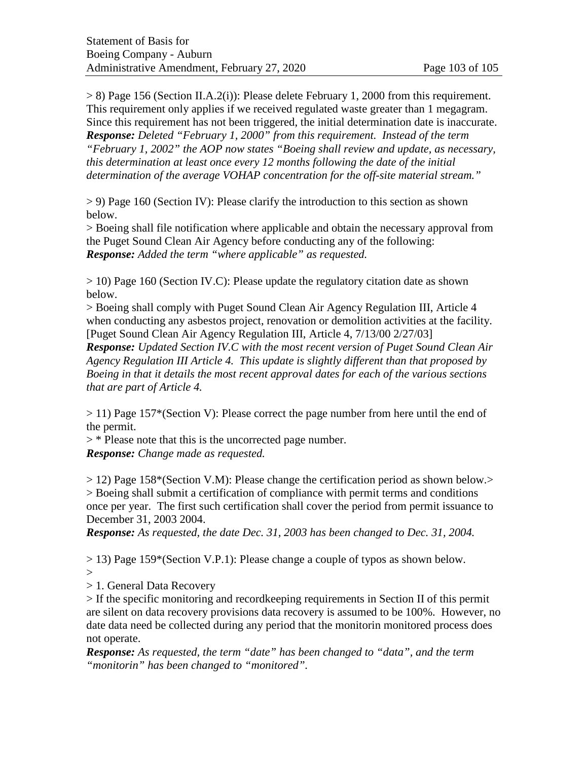$> 8$ ) Page 156 (Section II.A.2(i)): Please delete February 1, 2000 from this requirement. This requirement only applies if we received regulated waste greater than 1 megagram. Since this requirement has not been triggered, the initial determination date is inaccurate. *Response: Deleted "February 1, 2000" from this requirement. Instead of the term "February 1, 2002" the AOP now states "Boeing shall review and update, as necessary, this determination at least once every 12 months following the date of the initial determination of the average VOHAP concentration for the off-site material stream."* 

> 9) Page 160 (Section IV): Please clarify the introduction to this section as shown below.

> Boeing shall file notification where applicable and obtain the necessary approval from the Puget Sound Clean Air Agency before conducting any of the following: *Response: Added the term "where applicable" as requested.*

> 10) Page 160 (Section IV.C): Please update the regulatory citation date as shown below.

> Boeing shall comply with Puget Sound Clean Air Agency Regulation III, Article 4 when conducting any asbestos project, renovation or demolition activities at the facility. [Puget Sound Clean Air Agency Regulation III, Article 4, 7/13/00 2/27/03]

*Response: Updated Section IV.C with the most recent version of Puget Sound Clean Air Agency Regulation III Article 4. This update is slightly different than that proposed by Boeing in that it details the most recent approval dates for each of the various sections that are part of Article 4.* 

> 11) Page 157\*(Section V): Please correct the page number from here until the end of the permit.

> \* Please note that this is the uncorrected page number. *Response: Change made as requested.*

> 12) Page 158\*(Section V.M): Please change the certification period as shown below.> > Boeing shall submit a certification of compliance with permit terms and conditions once per year. The first such certification shall cover the period from permit issuance to December 31, 2003 2004.

*Response: As requested, the date Dec. 31, 2003 has been changed to Dec. 31, 2004.*

> 13) Page 159\*(Section V.P.1): Please change a couple of typos as shown below.

 $>$ 

> 1. General Data Recovery

> If the specific monitoring and recordkeeping requirements in Section II of this permit are silent on data recovery provisions data recovery is assumed to be 100%. However, no date data need be collected during any period that the monitorin monitored process does not operate.

*Response: As requested, the term "date" has been changed to "data", and the term "monitorin" has been changed to "monitored".*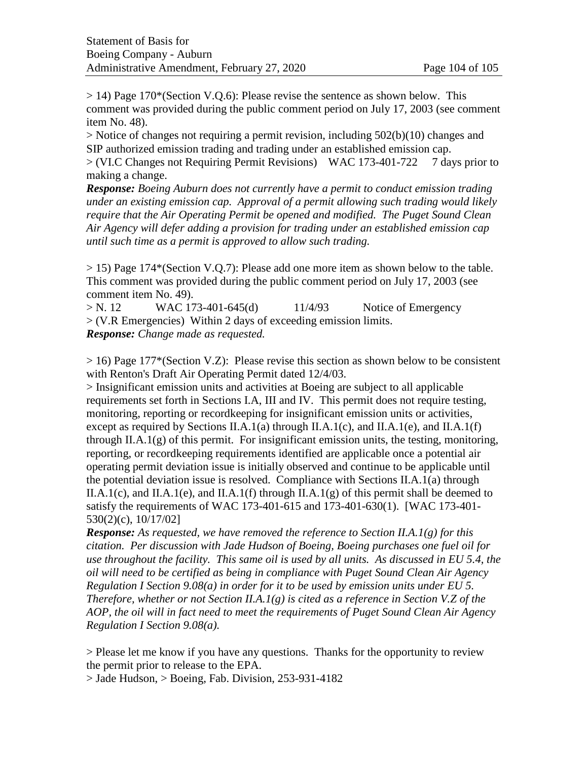> 14) Page 170\*(Section V.Q.6): Please revise the sentence as shown below. This comment was provided during the public comment period on July 17, 2003 (see comment item No. 48).

> Notice of changes not requiring a permit revision, including 502(b)(10) changes and SIP authorized emission trading and trading under an established emission cap.

> (VI.C Changes not Requiring Permit Revisions) WAC 173-401-722 7 days prior to making a change.

*Response: Boeing Auburn does not currently have a permit to conduct emission trading under an existing emission cap. Approval of a permit allowing such trading would likely require that the Air Operating Permit be opened and modified. The Puget Sound Clean Air Agency will defer adding a provision for trading under an established emission cap until such time as a permit is approved to allow such trading.*

> 15) Page 174\*(Section V.Q.7): Please add one more item as shown below to the table. This comment was provided during the public comment period on July 17, 2003 (see comment item No. 49).

 $> N. 12$  WAC 173-401-645(d) 11/4/93 Notice of Emergency > (V.R Emergencies) Within 2 days of exceeding emission limits. *Response: Change made as requested.*

> 16) Page 177\*(Section V.Z): Please revise this section as shown below to be consistent with Renton's Draft Air Operating Permit dated 12/4/03.

> Insignificant emission units and activities at Boeing are subject to all applicable requirements set forth in Sections I.A, III and IV. This permit does not require testing, monitoring, reporting or recordkeeping for insignificant emission units or activities, except as required by Sections II.A.1(a) through II.A.1(c), and II.A.1(e), and II.A.1(f) through II.A.1 $(g)$  of this permit. For insignificant emission units, the testing, monitoring, reporting, or recordkeeping requirements identified are applicable once a potential air operating permit deviation issue is initially observed and continue to be applicable until the potential deviation issue is resolved. Compliance with Sections II.A.1(a) through II.A.1(c), and II.A.1(e), and II.A.1(f) through II.A.1(g) of this permit shall be deemed to satisfy the requirements of WAC 173-401-615 and 173-401-630(1). [WAC 173-401- 530(2)(c), 10/17/02]

*Response: As requested, we have removed the reference to Section II.A.1(g) for this citation. Per discussion with Jade Hudson of Boeing, Boeing purchases one fuel oil for use throughout the facility. This same oil is used by all units. As discussed in EU 5.4, the oil will need to be certified as being in compliance with Puget Sound Clean Air Agency Regulation I Section 9.08(a) in order for it to be used by emission units under EU 5. Therefore, whether or not Section II.A.1(g) is cited as a reference in Section V.Z of the AOP, the oil will in fact need to meet the requirements of Puget Sound Clean Air Agency Regulation I Section 9.08(a).* 

> Please let me know if you have any questions. Thanks for the opportunity to review the permit prior to release to the EPA.

 $>$  Jade Hudson,  $>$  Boeing, Fab. Division, 253-931-4182